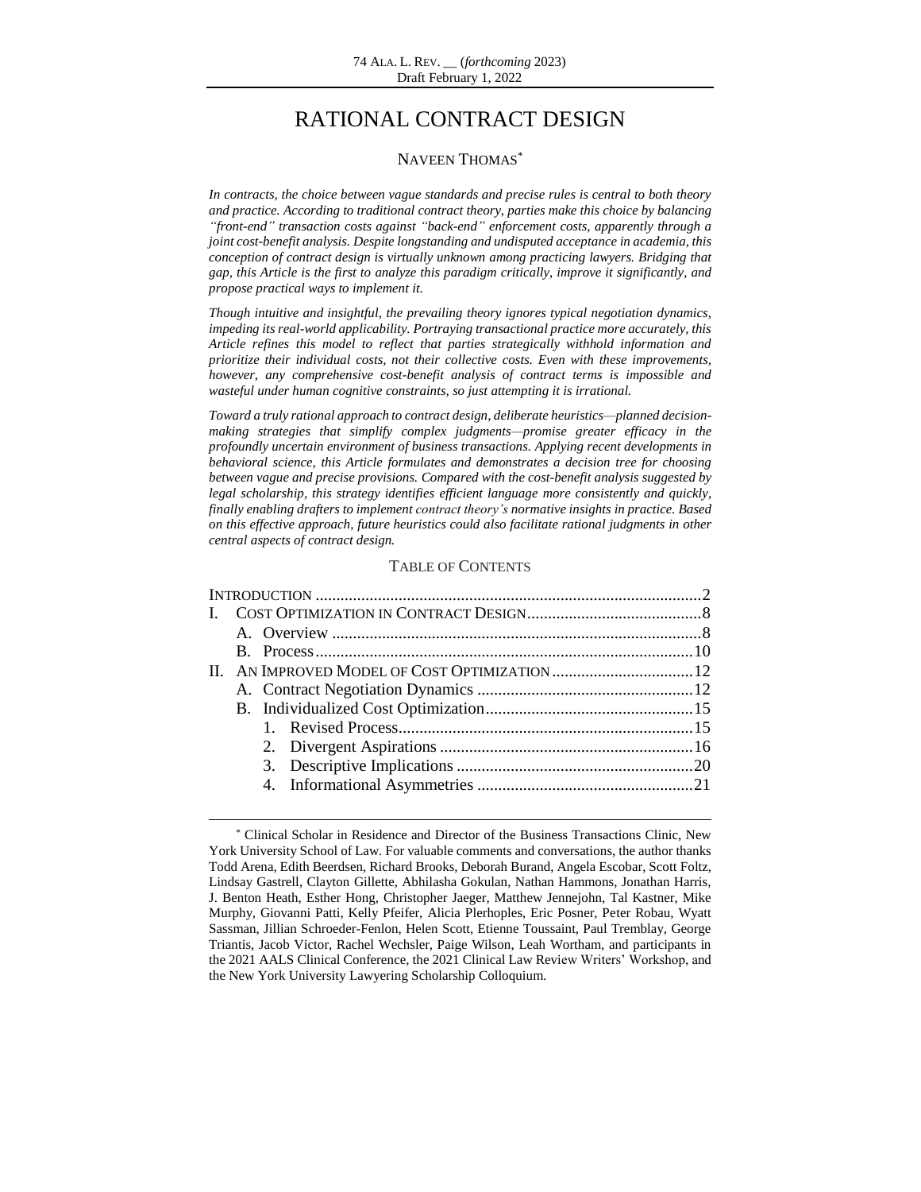# RATIONAL CONTRACT DESIGN

#### NAVEEN THOMAS\*

*In contracts, the choice between vague standards and precise rules is central to both theory and practice. According to traditional contract theory, parties make this choice by balancing "front-end" transaction costs against "back-end" enforcement costs, apparently through a joint cost-benefit analysis. Despite longstanding and undisputed acceptance in academia, this conception of contract design is virtually unknown among practicing lawyers. Bridging that gap, this Article is the first to analyze this paradigm critically, improve it significantly, and propose practical ways to implement it.*

*Though intuitive and insightful, the prevailing theory ignores typical negotiation dynamics, impeding its real-world applicability. Portraying transactional practice more accurately, this Article refines this model to reflect that parties strategically withhold information and prioritize their individual costs, not their collective costs. Even with these improvements, however, any comprehensive cost-benefit analysis of contract terms is impossible and wasteful under human cognitive constraints, so just attempting it is irrational.* 

*Toward a truly rational approach to contract design, deliberate heuristics—planned decisionmaking strategies that simplify complex judgments—promise greater efficacy in the profoundly uncertain environment of business transactions. Applying recent developments in behavioral science, this Article formulates and demonstrates a decision tree for choosing between vague and precise provisions. Compared with the cost-benefit analysis suggested by legal scholarship, this strategy identifies efficient language more consistently and quickly, finally enabling drafters to implement contract theory's normative insights in practice. Based on this effective approach, future heuristics could also facilitate rational judgments in other central aspects of contract design.*

#### TABLE OF CONTENTS

 $\overline{\phantom{a}}$ 

<sup>\*</sup> Clinical Scholar in Residence and Director of the Business Transactions Clinic, New York University School of Law. For valuable comments and conversations, the author thanks Todd Arena, Edith Beerdsen, Richard Brooks, Deborah Burand, Angela Escobar, Scott Foltz, Lindsay Gastrell, Clayton Gillette, Abhilasha Gokulan, Nathan Hammons, Jonathan Harris, J. Benton Heath, Esther Hong, Christopher Jaeger, Matthew Jennejohn, Tal Kastner, Mike Murphy, Giovanni Patti, Kelly Pfeifer, Alicia Plerhoples, Eric Posner, Peter Robau, Wyatt Sassman, Jillian Schroeder-Fenlon, Helen Scott, Etienne Toussaint, Paul Tremblay, George Triantis, Jacob Victor, Rachel Wechsler, Paige Wilson, Leah Wortham, and participants in the 2021 AALS Clinical Conference, the 2021 Clinical Law Review Writers' Workshop, and the New York University Lawyering Scholarship Colloquium.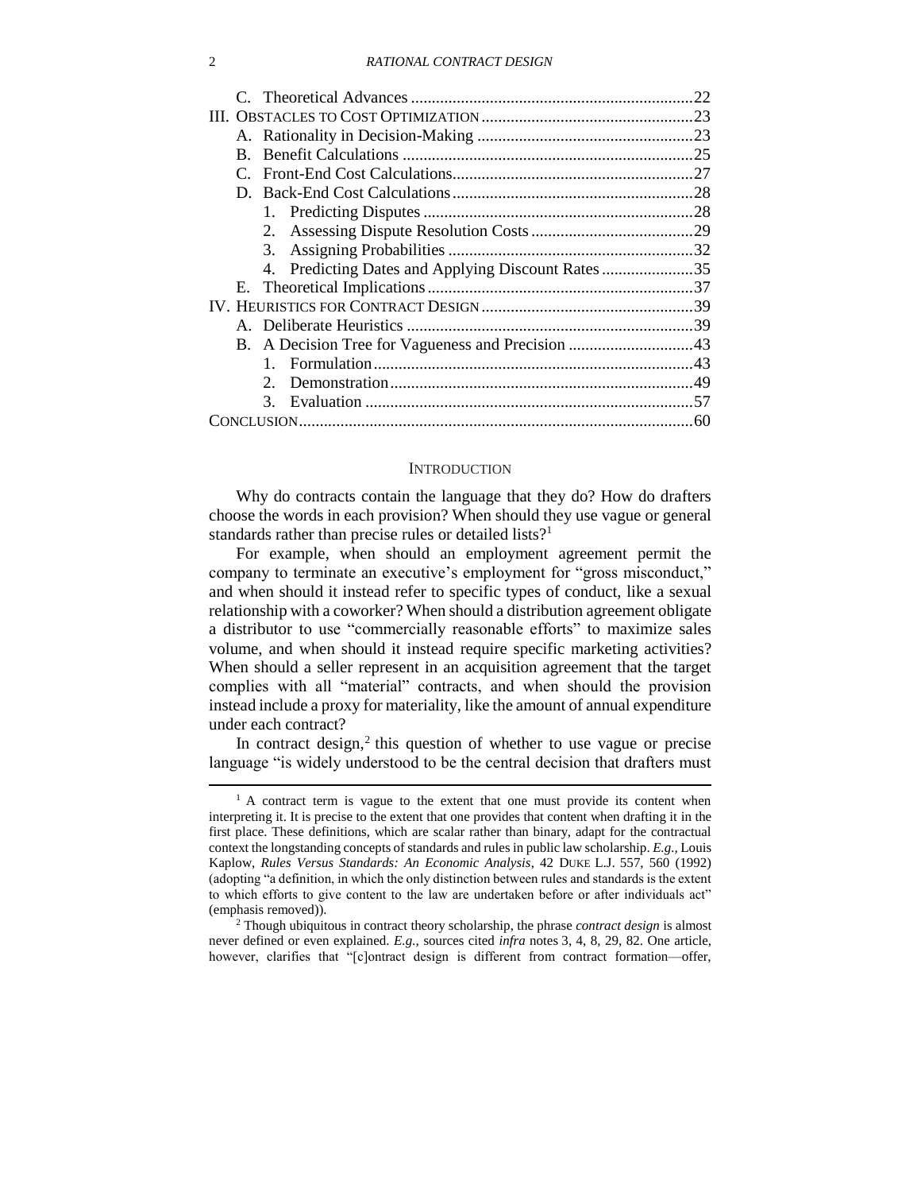|  |    |                                                    | 22  |  |  |  |
|--|----|----------------------------------------------------|-----|--|--|--|
|  |    |                                                    |     |  |  |  |
|  |    |                                                    |     |  |  |  |
|  | B. |                                                    |     |  |  |  |
|  |    |                                                    | .27 |  |  |  |
|  |    |                                                    |     |  |  |  |
|  |    |                                                    |     |  |  |  |
|  |    | 2.                                                 |     |  |  |  |
|  |    | 3.                                                 |     |  |  |  |
|  |    | 4. Predicting Dates and Applying Discount Rates 35 |     |  |  |  |
|  | Е. |                                                    |     |  |  |  |
|  |    |                                                    |     |  |  |  |
|  |    |                                                    |     |  |  |  |
|  |    |                                                    |     |  |  |  |
|  |    |                                                    |     |  |  |  |
|  |    | $2^{\circ}$                                        |     |  |  |  |
|  |    | $3_{-}$                                            |     |  |  |  |
|  |    |                                                    |     |  |  |  |

#### <span id="page-1-1"></span>**INTRODUCTION**

<span id="page-1-0"></span>Why do contracts contain the language that they do? How do drafters choose the words in each provision? When should they use vague or general standards rather than precise rules or detailed lists?<sup>1</sup>

For example, when should an employment agreement permit the company to terminate an executive's employment for "gross misconduct," and when should it instead refer to specific types of conduct, like a sexual relationship with a coworker? When should a distribution agreement obligate a distributor to use "commercially reasonable efforts" to maximize sales volume, and when should it instead require specific marketing activities? When should a seller represent in an acquisition agreement that the target complies with all "material" contracts, and when should the provision instead include a proxy for materiality, like the amount of annual expenditure under each contract?

In contract design, 2 this question of whether to use vague or precise language "is widely understood to be the central decision that drafters must

<sup>&</sup>lt;sup>1</sup> A contract term is vague to the extent that one must provide its content when interpreting it. It is precise to the extent that one provides that content when drafting it in the first place. These definitions, which are scalar rather than binary, adapt for the contractual context the longstanding concepts of standards and rules in public law scholarship. *E.g.,* Louis Kaplow, *Rules Versus Standards: An Economic Analysis*, 42 DUKE L.J. 557, 560 (1992) (adopting "a definition, in which the only distinction between rules and standards is the extent to which efforts to give content to the law are undertaken before or after individuals act" (emphasis removed)).

<sup>2</sup> Though ubiquitous in contract theory scholarship, the phrase *contract design* is almost never defined or even explained. *E.g.,* sources cited *infra* notes [3,](#page-2-0) [4,](#page-2-1) [8,](#page-2-2) [29,](#page-7-2) [82.](#page-18-0) One article, however, clarifies that "[c]ontract design is different from contract formation—offer,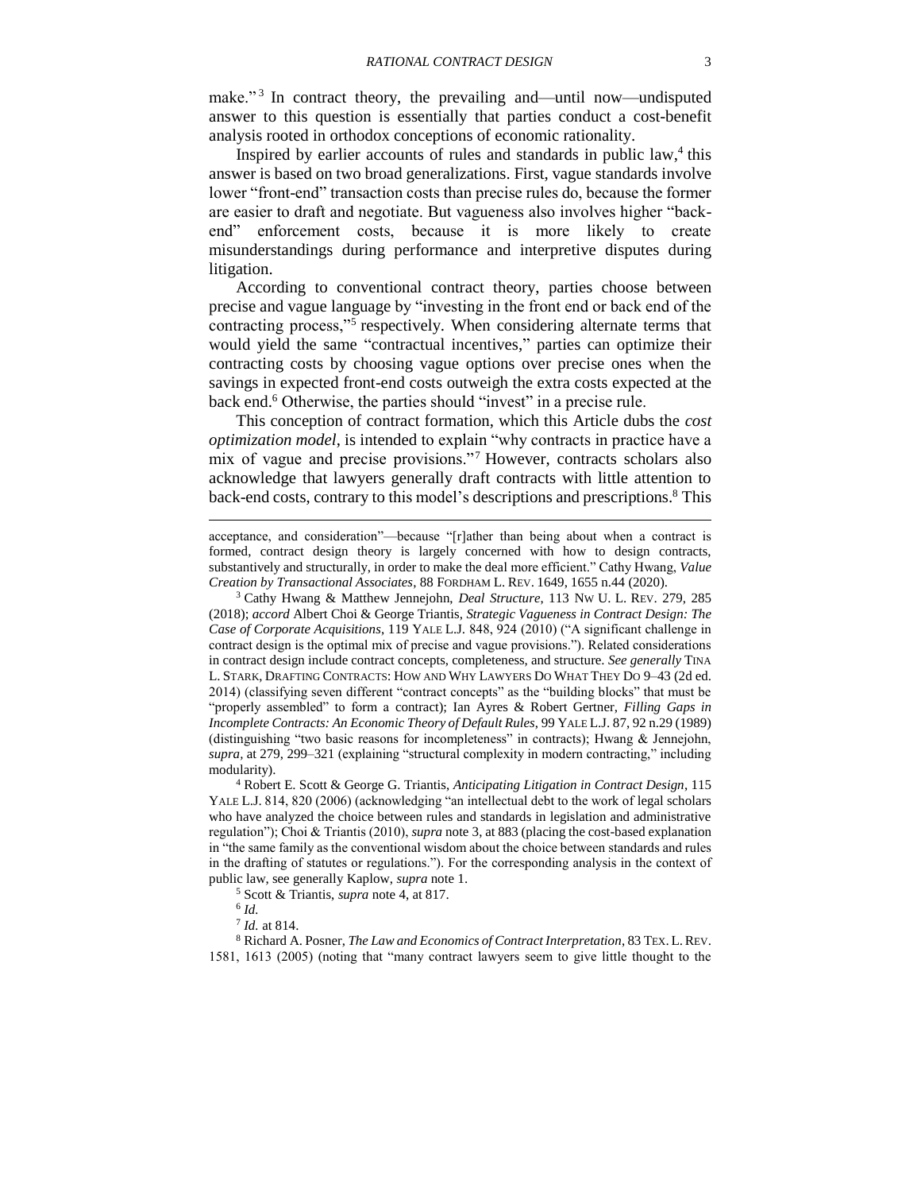<span id="page-2-0"></span>make."<sup>3</sup> In contract theory, the prevailing and—until now—undisputed answer to this question is essentially that parties conduct a cost-benefit analysis rooted in orthodox conceptions of economic rationality.

<span id="page-2-1"></span>Inspired by earlier accounts of rules and standards in public law,<sup>4</sup> this answer is based on two broad generalizations. First, vague standards involve lower "front-end" transaction costs than precise rules do, because the former are easier to draft and negotiate. But vagueness also involves higher "backend" enforcement costs, because it is more likely to create misunderstandings during performance and interpretive disputes during litigation.

According to conventional contract theory, parties choose between precise and vague language by "investing in the front end or back end of the contracting process,"<sup>5</sup> respectively. When considering alternate terms that would yield the same "contractual incentives," parties can optimize their contracting costs by choosing vague options over precise ones when the savings in expected front-end costs outweigh the extra costs expected at the back end.<sup>6</sup> Otherwise, the parties should "invest" in a precise rule.

This conception of contract formation, which this Article dubs the *cost optimization model*, is intended to explain "why contracts in practice have a mix of vague and precise provisions."<sup>7</sup> However, contracts scholars also acknowledge that lawyers generally draft contracts with little attention to back-end costs, contrary to this model's descriptions and prescriptions.<sup>8</sup> This

<sup>3</sup> Cathy Hwang & Matthew Jennejohn, *Deal Structure*, 113 NW U. L. REV. 279, 285 (2018); *accord* Albert Choi & George Triantis, *Strategic Vagueness in Contract Design: The Case of Corporate Acquisitions*, 119 YALE L.J. 848, 924 (2010) ("A significant challenge in contract design is the optimal mix of precise and vague provisions."). Related considerations in contract design include contract concepts, completeness, and structure. *See generally* TINA L. STARK, DRAFTING CONTRACTS: HOW AND WHY LAWYERS DO WHAT THEY DO 9–43 (2d ed. 2014) (classifying seven different "contract concepts" as the "building blocks" that must be "properly assembled" to form a contract); Ian Ayres & Robert Gertner, *Filling Gaps in Incomplete Contracts: An Economic Theory of Default Rules*, 99 YALE L.J. 87, 92 n.29 (1989) (distinguishing "two basic reasons for incompleteness" in contracts); Hwang & Jennejohn, *supra,* at 279, 299–321 (explaining "structural complexity in modern contracting," including modularity).

<sup>4</sup> Robert E. Scott & George G. Triantis, *Anticipating Litigation in Contract Design*, 115 YALE L.J. 814, 820 (2006) (acknowledging "an intellectual debt to the work of legal scholars who have analyzed the choice between rules and standards in legislation and administrative regulation"); Choi & Triantis (2010), *supra* note [3,](#page-2-0) at 883 (placing the cost-based explanation in "the same family as the conventional wisdom about the choice between standards and rules in the drafting of statutes or regulations."). For the corresponding analysis in the context of public law, see generally Kaplow, *supra* note [1.](#page-1-1)

<sup>5</sup> Scott & Triantis, *supra* note [4,](#page-2-1) at 817.

6 *Id.*

<span id="page-2-2"></span>l

7 *Id.* at 814.

<sup>8</sup> Richard A. Posner, *The Law and Economics of Contract Interpretation*, 83 TEX. L.REV. 1581, 1613 (2005) (noting that "many contract lawyers seem to give little thought to the

acceptance, and consideration"—because "[r]ather than being about when a contract is formed, contract design theory is largely concerned with how to design contracts, substantively and structurally, in order to make the deal more efficient." Cathy Hwang, *Value Creation by Transactional Associates*, 88 FORDHAM L. REV. 1649, 1655 n.44 (2020).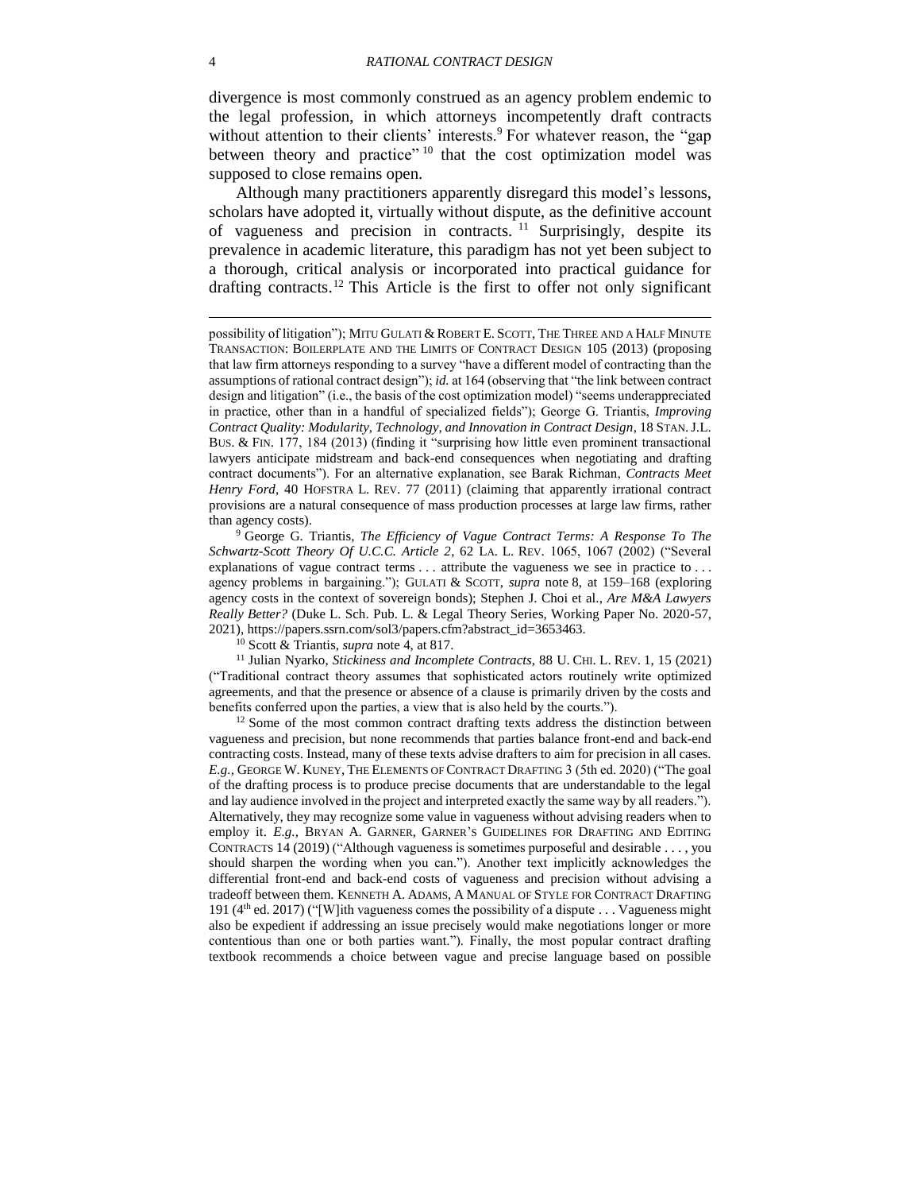<span id="page-3-3"></span>divergence is most commonly construed as an agency problem endemic to the legal profession, in which attorneys incompetently draft contracts without attention to their clients' interests.<sup>9</sup> For whatever reason, the "gap between theory and practice"<sup>10</sup> that the cost optimization model was supposed to close remains open.

<span id="page-3-1"></span><span id="page-3-0"></span>Although many practitioners apparently disregard this model's lessons, scholars have adopted it, virtually without dispute, as the definitive account of vagueness and precision in contracts.<sup>11</sup> Surprisingly, despite its prevalence in academic literature, this paradigm has not yet been subject to a thorough, critical analysis or incorporated into practical guidance for drafting contracts. <sup>12</sup> This Article is the first to offer not only significant

<sup>9</sup> George G. Triantis, *The Efficiency of Vague Contract Terms: A Response To The Schwartz-Scott Theory Of U.C.C. Article 2*, 62 LA. L. REV. 1065, 1067 (2002) ("Several explanations of vague contract terms . . . attribute the vagueness we see in practice to . . . agency problems in bargaining."); GULATI & SCOTT, *supra* note [8,](#page-2-2) at 159–168 (exploring agency costs in the context of sovereign bonds); Stephen J. Choi et al., *Are M&A Lawyers Really Better?* (Duke L. Sch. Pub. L. & Legal Theory Series, Working Paper No. 2020-57, 2021), https://papers.ssrn.com/sol3/papers.cfm?abstract\_id=3653463.

<sup>10</sup> Scott & Triantis, *supra* note [4,](#page-2-1) at 817.

<sup>11</sup> Julian Nyarko, *Stickiness and Incomplete Contracts*, 88 U. CHI. L. REV. 1, 15 (2021) ("Traditional contract theory assumes that sophisticated actors routinely write optimized agreements, and that the presence or absence of a clause is primarily driven by the costs and benefits conferred upon the parties, a view that is also held by the courts.").

<sup>12</sup> Some of the most common contract drafting texts address the distinction between vagueness and precision, but none recommends that parties balance front-end and back-end contracting costs. Instead, many of these texts advise drafters to aim for precision in all cases. *E.g.,* GEORGE W. KUNEY, THE ELEMENTS OF CONTRACT DRAFTING 3 (5th ed. 2020) ("The goal of the drafting process is to produce precise documents that are understandable to the legal and lay audience involved in the project and interpreted exactly the same way by all readers."). Alternatively, they may recognize some value in vagueness without advising readers when to employ it. *E.g.*, BRYAN A. GARNER, GARNER'S GUIDELINES FOR DRAFTING AND EDITING CONTRACTS 14 (2019) ("Although vagueness is sometimes purposeful and desirable . . . , you should sharpen the wording when you can."). Another text implicitly acknowledges the differential front-end and back-end costs of vagueness and precision without advising a tradeoff between them. KENNETH A. ADAMS, A MANUAL OF STYLE FOR CONTRACT DRAFTING 191 ( $4<sup>th</sup>$  ed. 2017) ("[W]ith vagueness comes the possibility of a dispute . . . Vagueness might also be expedient if addressing an issue precisely would make negotiations longer or more contentious than one or both parties want."). Finally, the most popular contract drafting textbook recommends a choice between vague and precise language based on possible

<span id="page-3-2"></span>possibility of litigation"); MITU GULATI & ROBERT E. SCOTT, THE THREE AND A HALF MINUTE TRANSACTION: BOILERPLATE AND THE LIMITS OF CONTRACT DESIGN 105 (2013) (proposing that law firm attorneys responding to a survey "have a different model of contracting than the assumptions of rational contract design"); *id.* at 164 (observing that "the link between contract design and litigation" (i.e., the basis of the cost optimization model) "seems underappreciated in practice, other than in a handful of specialized fields"); George G. Triantis, *Improving Contract Quality: Modularity, Technology, and Innovation in Contract Design*, 18 STAN.J.L. BUS. & FIN. 177, 184 (2013) (finding it "surprising how little even prominent transactional lawyers anticipate midstream and back-end consequences when negotiating and drafting contract documents"). For an alternative explanation, see Barak Richman, *Contracts Meet Henry Ford*, 40 HOFSTRA L. REV. 77 (2011) (claiming that apparently irrational contract provisions are a natural consequence of mass production processes at large law firms, rather than agency costs).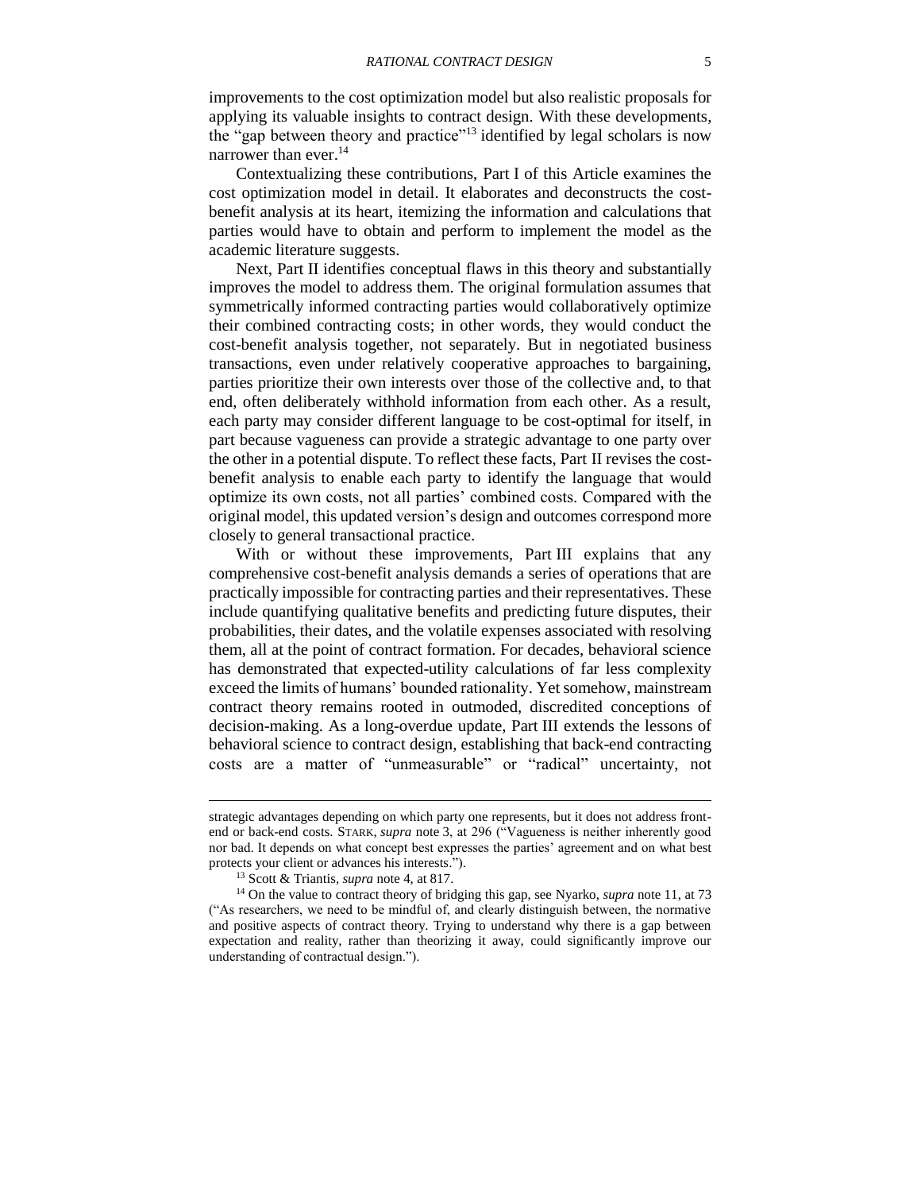improvements to the cost optimization model but also realistic proposals for applying its valuable insights to contract design. With these developments, the "gap between theory and practice"<sup>13</sup> identified by legal scholars is now narrower than ever. 14

Contextualizing these contributions, Part I of this Article examines the cost optimization model in detail. It elaborates and deconstructs the costbenefit analysis at its heart, itemizing the information and calculations that parties would have to obtain and perform to implement the model as the academic literature suggests.

Next, Part II identifies conceptual flaws in this theory and substantially improves the model to address them. The original formulation assumes that symmetrically informed contracting parties would collaboratively optimize their combined contracting costs; in other words, they would conduct the cost-benefit analysis together, not separately. But in negotiated business transactions, even under relatively cooperative approaches to bargaining, parties prioritize their own interests over those of the collective and, to that end, often deliberately withhold information from each other. As a result, each party may consider different language to be cost-optimal for itself, in part because vagueness can provide a strategic advantage to one party over the other in a potential dispute. To reflect these facts, Part II revises the costbenefit analysis to enable each party to identify the language that would optimize its own costs, not all parties' combined costs. Compared with the original model, this updated version's design and outcomes correspond more closely to general transactional practice.

With or without these improvements, Part III explains that any comprehensive cost-benefit analysis demands a series of operations that are practically impossible for contracting parties and their representatives. These include quantifying qualitative benefits and predicting future disputes, their probabilities, their dates, and the volatile expenses associated with resolving them, all at the point of contract formation. For decades, behavioral science has demonstrated that expected-utility calculations of far less complexity exceed the limits of humans' bounded rationality. Yet somehow, mainstream contract theory remains rooted in outmoded, discredited conceptions of decision-making. As a long-overdue update, Part III extends the lessons of behavioral science to contract design, establishing that back-end contracting costs are a matter of "unmeasurable" or "radical" uncertainty, not

 $\overline{\phantom{a}}$ 

strategic advantages depending on which party one represents, but it does not address frontend or back-end costs. STARK, *supra* note [3,](#page-2-0) at 296 ("Vagueness is neither inherently good nor bad. It depends on what concept best expresses the parties' agreement and on what best protects your client or advances his interests.").

<sup>13</sup> Scott & Triantis, *supra* note [4,](#page-2-1) at 817.

<sup>14</sup> On the value to contract theory of bridging this gap, see Nyarko, *supra* note [11,](#page-3-0) at 73 ("As researchers, we need to be mindful of, and clearly distinguish between, the normative and positive aspects of contract theory. Trying to understand why there is a gap between expectation and reality, rather than theorizing it away, could significantly improve our understanding of contractual design.").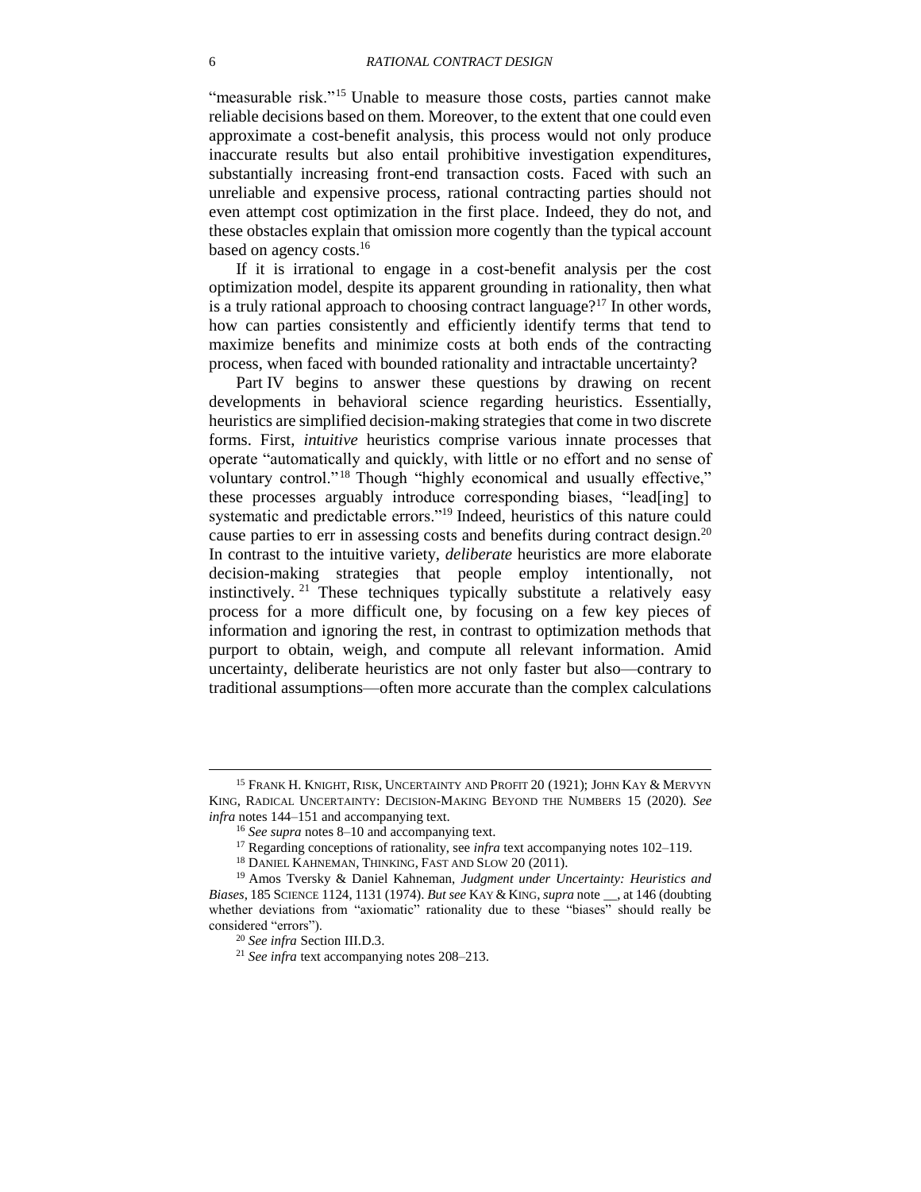<span id="page-5-0"></span>"measurable risk."<sup>15</sup> Unable to measure those costs, parties cannot make reliable decisions based on them. Moreover, to the extent that one could even approximate a cost-benefit analysis, this process would not only produce inaccurate results but also entail prohibitive investigation expenditures, substantially increasing front-end transaction costs. Faced with such an unreliable and expensive process, rational contracting parties should not even attempt cost optimization in the first place. Indeed, they do not, and these obstacles explain that omission more cogently than the typical account based on agency costs.<sup>16</sup>

If it is irrational to engage in a cost-benefit analysis per the cost optimization model, despite its apparent grounding in rationality, then what is a truly rational approach to choosing contract language?<sup>17</sup> In other words, how can parties consistently and efficiently identify terms that tend to maximize benefits and minimize costs at both ends of the contracting process, when faced with bounded rationality and intractable uncertainty?

<span id="page-5-3"></span><span id="page-5-2"></span><span id="page-5-1"></span>Part IV begins to answer these questions by drawing on recent developments in behavioral science regarding heuristics. Essentially, heuristics are simplified decision-making strategies that come in two discrete forms. First, *intuitive* heuristics comprise various innate processes that operate "automatically and quickly, with little or no effort and no sense of voluntary control."<sup>18</sup> Though "highly economical and usually effective," these processes arguably introduce corresponding biases, "lead[ing] to systematic and predictable errors."<sup>19</sup> Indeed, heuristics of this nature could cause parties to err in assessing costs and benefits during contract design.<sup>20</sup> In contrast to the intuitive variety, *deliberate* heuristics are more elaborate decision-making strategies that people employ intentionally, not instinctively. <sup>21</sup> These techniques typically substitute a relatively easy process for a more difficult one, by focusing on a few key pieces of information and ignoring the rest, in contrast to optimization methods that purport to obtain, weigh, and compute all relevant information. Amid uncertainty, deliberate heuristics are not only faster but also—contrary to traditional assumptions—often more accurate than the complex calculations

 $\overline{\phantom{a}}$ 

<sup>&</sup>lt;sup>15</sup> FRANK H. KNIGHT, RISK, UNCERTAINTY AND PROFIT 20 (1921); JOHN KAY & MERVYN KING, RADICAL UNCERTAINTY: DECISION-MAKING BEYOND THE NUMBERS 15 (2020). *See infra* notes [144–](#page-29-0)[151](#page-29-1) and accompanying text.

<sup>16</sup> *See supra* notes [8–](#page-2-2)[10](#page-3-1) and accompanying text.

<sup>&</sup>lt;sup>17</sup> Regarding conceptions of rationality, see *infra* text accompanying notes [102](#page-22-2)[–119.](#page-24-1)

<sup>18</sup> DANIEL KAHNEMAN, THINKING, FAST AND SLOW 20 (2011).

<sup>19</sup> Amos Tversky & Daniel Kahneman, *Judgment under Uncertainty: Heuristics and Biases*, 185 SCIENCE 1124, 1131 (1974). *But see* KAY & KING, *supra* note \_\_, at 146 (doubting whether deviations from "axiomatic" rationality due to these "biases" should really be considered "errors").

<sup>20</sup> *See infra* Section [III.D.3.](#page-31-0)

<sup>21</sup> *See infra* text accompanying notes [208](#page-38-2)[–213.](#page-38-3)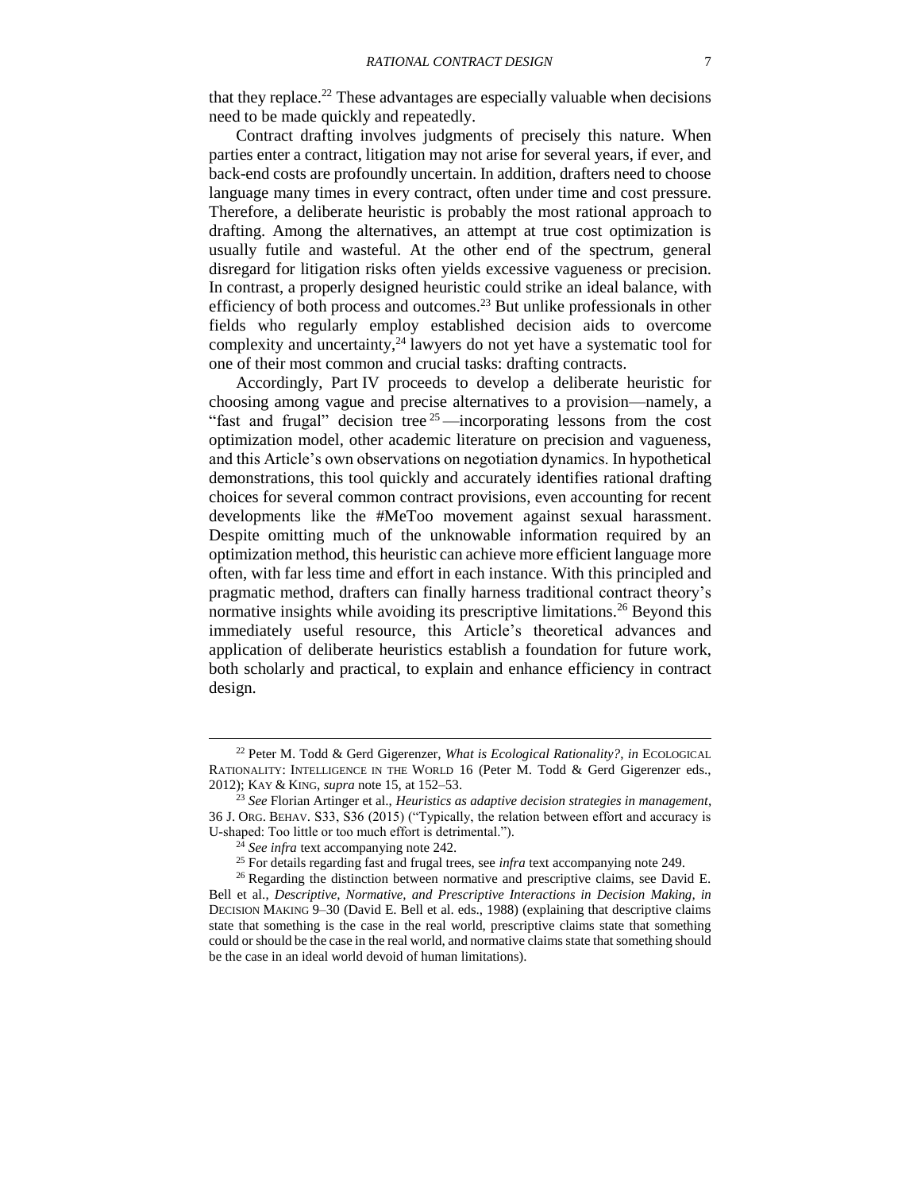<span id="page-6-0"></span>that they replace.<sup>22</sup> These advantages are especially valuable when decisions need to be made quickly and repeatedly.

Contract drafting involves judgments of precisely this nature. When parties enter a contract, litigation may not arise for several years, if ever, and back-end costs are profoundly uncertain. In addition, drafters need to choose language many times in every contract, often under time and cost pressure. Therefore, a deliberate heuristic is probably the most rational approach to drafting. Among the alternatives, an attempt at true cost optimization is usually futile and wasteful. At the other end of the spectrum, general disregard for litigation risks often yields excessive vagueness or precision. In contrast, a properly designed heuristic could strike an ideal balance, with efficiency of both process and outcomes.<sup>23</sup> But unlike professionals in other fields who regularly employ established decision aids to overcome complexity and uncertainty, $^{24}$  lawyers do not yet have a systematic tool for one of their most common and crucial tasks: drafting contracts.

<span id="page-6-2"></span>Accordingly, Part IV proceeds to develop a deliberate heuristic for choosing among vague and precise alternatives to a provision—namely, a "fast and frugal" decision tree  $25$  —incorporating lessons from the cost optimization model, other academic literature on precision and vagueness, and this Article's own observations on negotiation dynamics. In hypothetical demonstrations, this tool quickly and accurately identifies rational drafting choices for several common contract provisions, even accounting for recent developments like the #MeToo movement against sexual harassment. Despite omitting much of the unknowable information required by an optimization method, this heuristic can achieve more efficient language more often, with far less time and effort in each instance. With this principled and pragmatic method, drafters can finally harness traditional contract theory's normative insights while avoiding its prescriptive limitations.<sup>26</sup> Beyond this immediately useful resource, this Article's theoretical advances and application of deliberate heuristics establish a foundation for future work, both scholarly and practical, to explain and enhance efficiency in contract design.

<span id="page-6-1"></span><sup>22</sup> Peter M. Todd & Gerd Gigerenzer, *What is Ecological Rationality?*, *in* ECOLOGICAL RATIONALITY: INTELLIGENCE IN THE WORLD 16 (Peter M. Todd & Gerd Gigerenzer eds., 2012); KAY & KING, *supra* note [15,](#page-5-0) at 152–53.

<sup>23</sup> *See* Florian Artinger et al., *Heuristics as adaptive decision strategies in management*, 36 J. ORG. BEHAV. S33, S36 (2015) ("Typically, the relation between effort and accuracy is U-shaped: Too little or too much effort is detrimental.").

<sup>24</sup> *See infra* text accompanying note [242.](#page-41-0)

<sup>25</sup> For details regarding fast and frugal trees, see *infra* text accompanying note [249.](#page-42-2)

<sup>&</sup>lt;sup>26</sup> Regarding the distinction between normative and prescriptive claims, see David E. Bell et al., *Descriptive, Normative, and Prescriptive Interactions in Decision Making, in* DECISION MAKING 9–30 (David E. Bell et al. eds., 1988) (explaining that descriptive claims state that something is the case in the real world, prescriptive claims state that something could or should be the case in the real world, and normative claims state that something should be the case in an ideal world devoid of human limitations).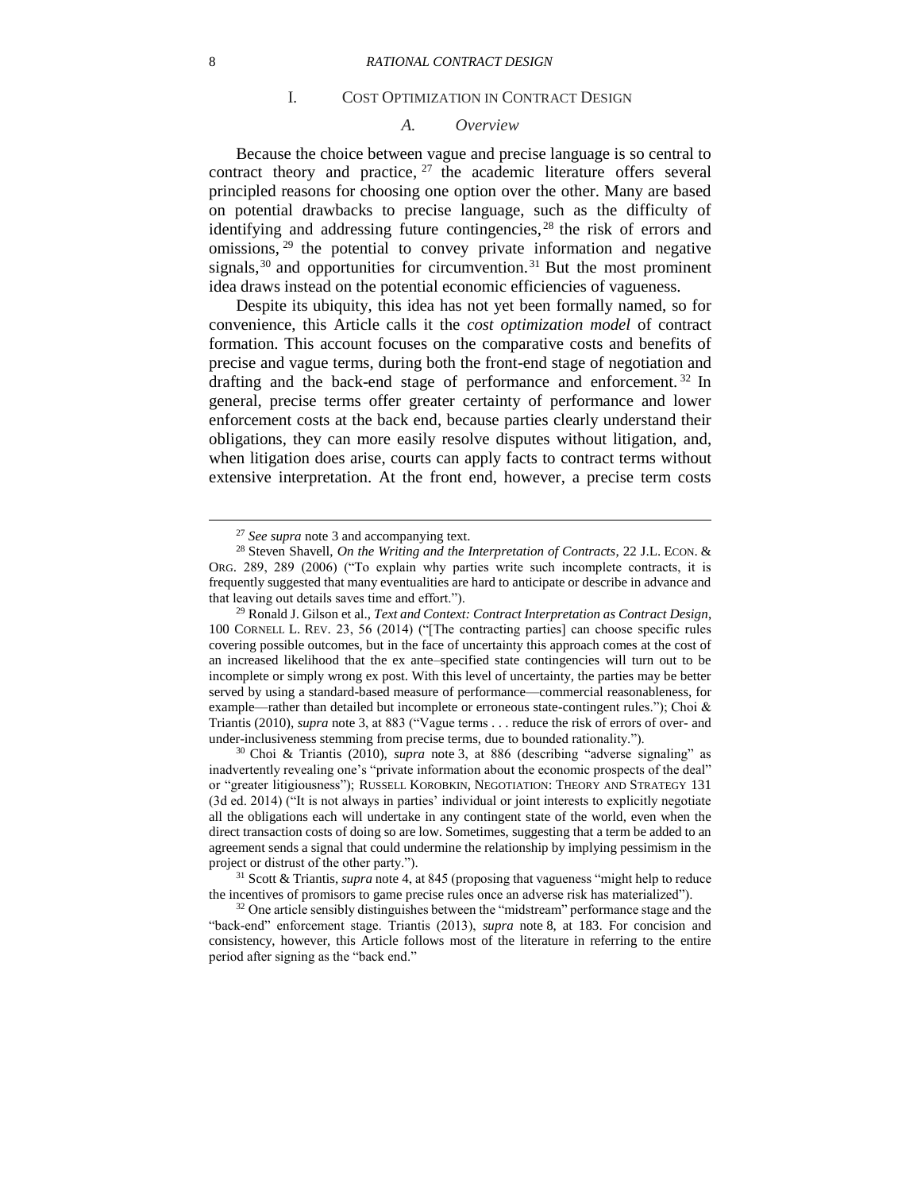#### I. COST OPTIMIZATION IN CONTRACT DESIGN

#### <span id="page-7-4"></span><span id="page-7-3"></span>*A. Overview*

<span id="page-7-1"></span><span id="page-7-0"></span>Because the choice between vague and precise language is so central to contract theory and practice,  $27$  the academic literature offers several principled reasons for choosing one option over the other. Many are based on potential drawbacks to precise language, such as the difficulty of identifying and addressing future contingencies,  $28$  the risk of errors and omissions, <sup>29</sup> the potential to convey private information and negative signals,  $30$  and opportunities for circumvention.  $31$  But the most prominent idea draws instead on the potential economic efficiencies of vagueness.

<span id="page-7-5"></span><span id="page-7-2"></span>Despite its ubiquity, this idea has not yet been formally named, so for convenience, this Article calls it the *cost optimization model* of contract formation. This account focuses on the comparative costs and benefits of precise and vague terms, during both the front-end stage of negotiation and drafting and the back-end stage of performance and enforcement. <sup>32</sup> In general, precise terms offer greater certainty of performance and lower enforcement costs at the back end, because parties clearly understand their obligations, they can more easily resolve disputes without litigation, and, when litigation does arise, courts can apply facts to contract terms without extensive interpretation. At the front end, however, a precise term costs

<sup>27</sup> *See supra* note [3](#page-2-0) and accompanying text.

<sup>28</sup> Steven Shavell, *On the Writing and the Interpretation of Contracts*, 22 J.L. ECON. & ORG. 289, 289 (2006) ("To explain why parties write such incomplete contracts, it is frequently suggested that many eventualities are hard to anticipate or describe in advance and that leaving out details saves time and effort.").

<sup>29</sup> Ronald J. Gilson et al., *Text and Context: Contract Interpretation as Contract Design*, 100 CORNELL L. REV. 23, 56 (2014) ("[The contracting parties] can choose specific rules covering possible outcomes, but in the face of uncertainty this approach comes at the cost of an increased likelihood that the ex ante–specified state contingencies will turn out to be incomplete or simply wrong ex post. With this level of uncertainty, the parties may be better served by using a standard-based measure of performance—commercial reasonableness, for example—rather than detailed but incomplete or erroneous state-contingent rules."); Choi & Triantis (2010), *supra* note [3,](#page-2-0) at 883 ("Vague terms . . . reduce the risk of errors of over- and under-inclusiveness stemming from precise terms, due to bounded rationality.").

<sup>30</sup> Choi & Triantis (2010), *supra* note [3,](#page-2-0) at 886 (describing "adverse signaling" as inadvertently revealing one's "private information about the economic prospects of the deal" or "greater litigiousness"); RUSSELL KOROBKIN, NEGOTIATION: THEORY AND STRATEGY 131 (3d ed. 2014) ("It is not always in parties' individual or joint interests to explicitly negotiate all the obligations each will undertake in any contingent state of the world, even when the direct transaction costs of doing so are low. Sometimes, suggesting that a term be added to an agreement sends a signal that could undermine the relationship by implying pessimism in the project or distrust of the other party.").

<sup>31</sup> Scott & Triantis, *supra* note [4,](#page-2-1) at 845 (proposing that vagueness "might help to reduce the incentives of promisors to game precise rules once an adverse risk has materialized").

 $32$  One article sensibly distinguishes between the "midstream" performance stage and the "back-end" enforcement stage. Triantis (2013), *supra* note [8,](#page-2-2) at 183. For concision and consistency, however, this Article follows most of the literature in referring to the entire period after signing as the "back end."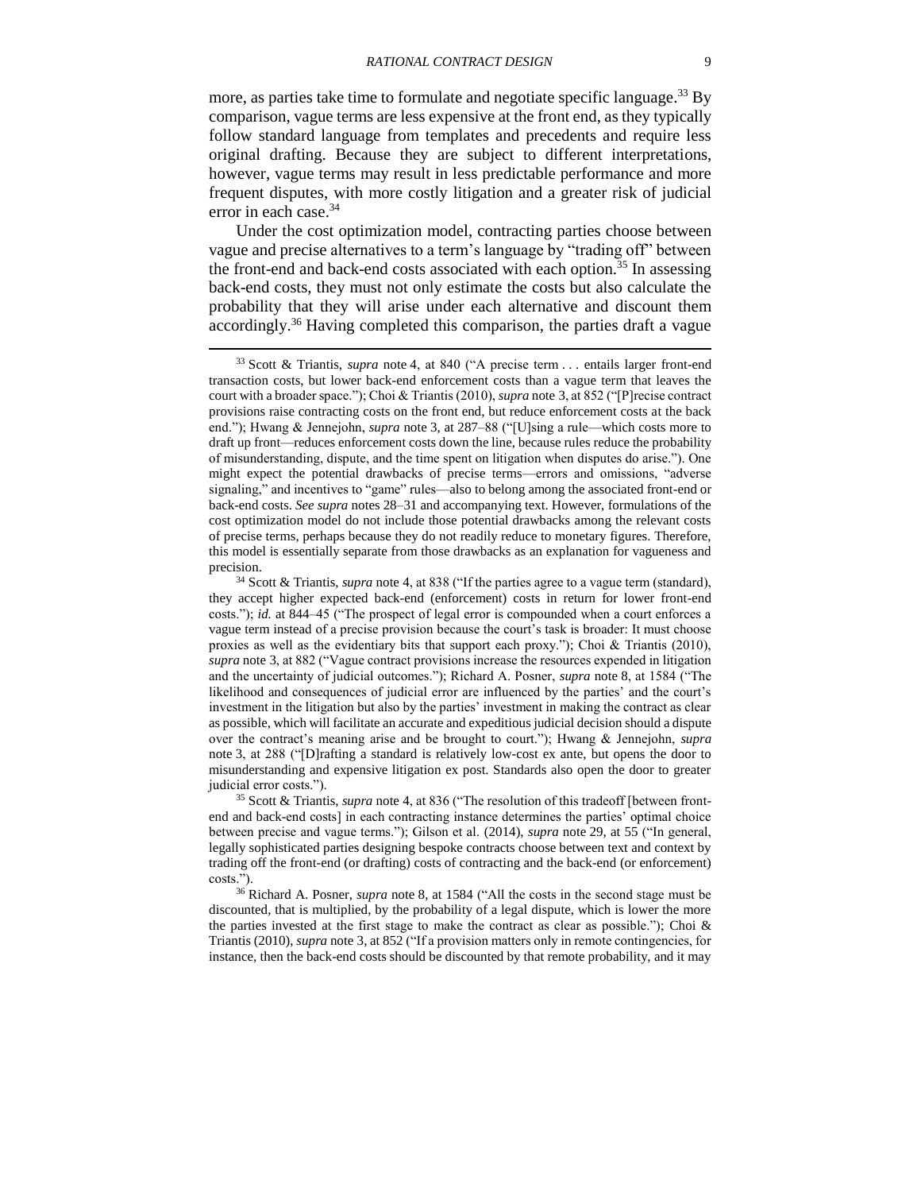<span id="page-8-1"></span>more, as parties take time to formulate and negotiate specific language.<sup>33</sup> By comparison, vague terms are less expensive at the front end, as they typically follow standard language from templates and precedents and require less original drafting. Because they are subject to different interpretations, however, vague terms may result in less predictable performance and more frequent disputes, with more costly litigation and a greater risk of judicial error in each case. 34

<span id="page-8-2"></span><span id="page-8-0"></span>Under the cost optimization model, contracting parties choose between vague and precise alternatives to a term's language by "trading off" between the front-end and back-end costs associated with each option.<sup>35</sup> In assessing back-end costs, they must not only estimate the costs but also calculate the probability that they will arise under each alternative and discount them accordingly.<sup>36</sup> Having completed this comparison, the parties draft a vague

<span id="page-8-3"></span>l

<sup>35</sup> Scott & Triantis, *supra* note [4,](#page-2-1) at 836 ("The resolution of this tradeoff [between frontend and back-end costs] in each contracting instance determines the parties' optimal choice between precise and vague terms."); Gilson et al. (2014), *supra* note [29,](#page-7-2) at 55 ("In general, legally sophisticated parties designing bespoke contracts choose between text and context by trading off the front-end (or drafting) costs of contracting and the back-end (or enforcement) costs.").

<sup>36</sup> Richard A. Posner, *supra* note [8,](#page-2-2) at 1584 ("All the costs in the second stage must be discounted, that is multiplied, by the probability of a legal dispute, which is lower the more the parties invested at the first stage to make the contract as clear as possible."); Choi  $\&$ Triantis (2010), *supra* note [3,](#page-2-0) at 852 ("If a provision matters only in remote contingencies, for instance, then the back-end costs should be discounted by that remote probability, and it may

<sup>33</sup> Scott & Triantis, *supra* note [4,](#page-2-1) at 840 ("A precise term . . . entails larger front-end transaction costs, but lower back-end enforcement costs than a vague term that leaves the court with a broader space."); Choi & Triantis (2010), *supra* note [3,](#page-2-0) at 852 ("[P]recise contract provisions raise contracting costs on the front end, but reduce enforcement costs at the back end."); Hwang & Jennejohn, *supra* note [3,](#page-2-0) at 287–88 ("[U]sing a rule—which costs more to draft up front—reduces enforcement costs down the line, because rules reduce the probability of misunderstanding, dispute, and the time spent on litigation when disputes do arise."). One might expect the potential drawbacks of precise terms—errors and omissions, "adverse signaling," and incentives to "game" rules—also to belong among the associated front-end or back-end costs. *See supra* notes [28](#page-7-3)[–31](#page-7-4) and accompanying text. However, formulations of the cost optimization model do not include those potential drawbacks among the relevant costs of precise terms, perhaps because they do not readily reduce to monetary figures. Therefore, this model is essentially separate from those drawbacks as an explanation for vagueness and precision.

<sup>34</sup> Scott & Triantis, *supra* note [4,](#page-2-1) at 838 ("If the parties agree to a vague term (standard), they accept higher expected back-end (enforcement) costs in return for lower front-end costs."); *id.* at 844–45 ("The prospect of legal error is compounded when a court enforces a vague term instead of a precise provision because the court's task is broader: It must choose proxies as well as the evidentiary bits that support each proxy."); Choi & Triantis (2010), *supra* note [3,](#page-2-0) at 882 ("Vague contract provisions increase the resources expended in litigation and the uncertainty of judicial outcomes."); Richard A. Posner, *supra* note [8,](#page-2-2) at 1584 ("The likelihood and consequences of judicial error are influenced by the parties' and the court's investment in the litigation but also by the parties' investment in making the contract as clear as possible, which will facilitate an accurate and expeditious judicial decision should a dispute over the contract's meaning arise and be brought to court."); Hwang & Jennejohn, *supra*  note [3,](#page-2-0) at 288 ("[D]rafting a standard is relatively low-cost ex ante, but opens the door to misunderstanding and expensive litigation ex post. Standards also open the door to greater judicial error costs.").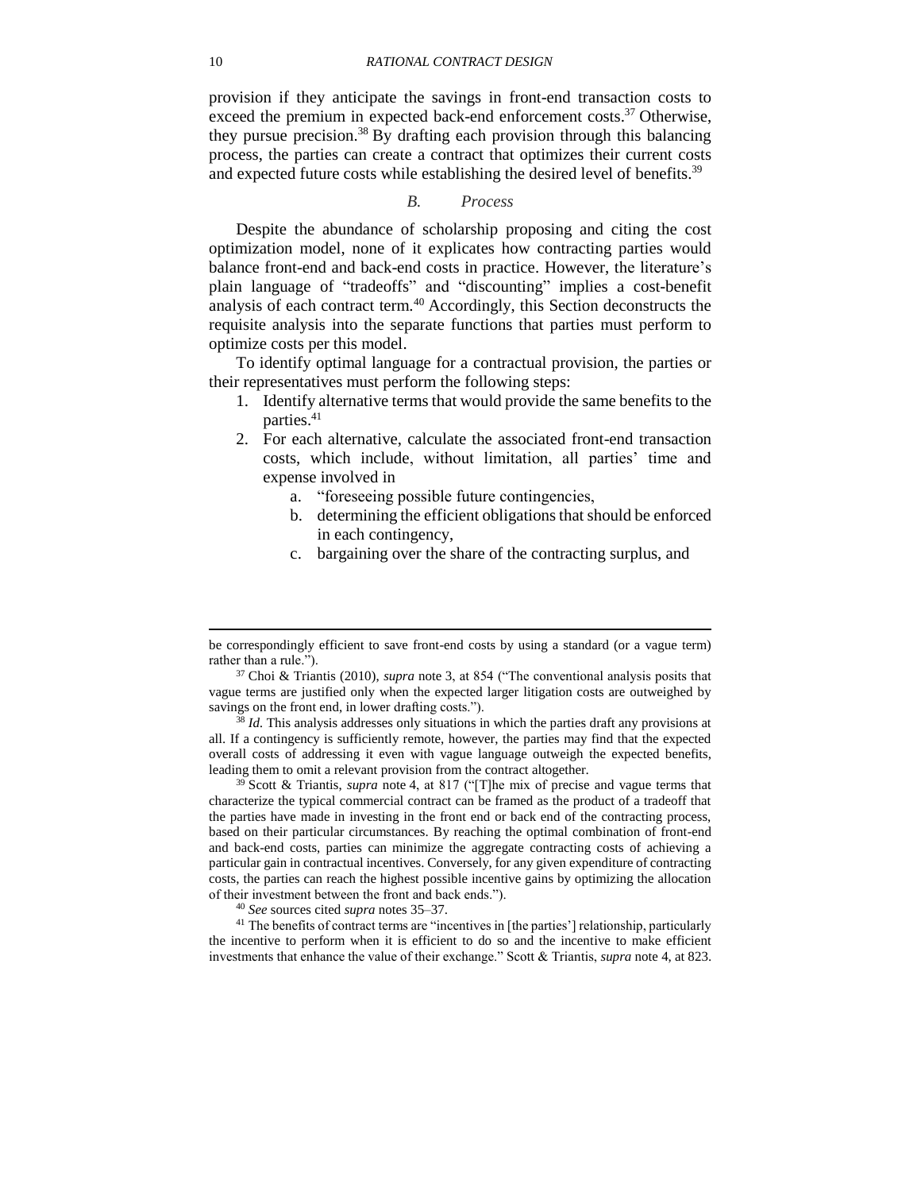provision if they anticipate the savings in front-end transaction costs to exceed the premium in expected back-end enforcement costs.<sup>37</sup> Otherwise, they pursue precision.<sup>38</sup> By drafting each provision through this balancing process, the parties can create a contract that optimizes their current costs and expected future costs while establishing the desired level of benefits.<sup>39</sup>

<span id="page-9-2"></span><span id="page-9-1"></span>*B. Process*

<span id="page-9-0"></span>Despite the abundance of scholarship proposing and citing the cost optimization model, none of it explicates how contracting parties would balance front-end and back-end costs in practice. However, the literature's plain language of "tradeoffs" and "discounting" implies a cost-benefit analysis of each contract term.<sup>40</sup> Accordingly, this Section deconstructs the requisite analysis into the separate functions that parties must perform to optimize costs per this model.

To identify optimal language for a contractual provision, the parties or their representatives must perform the following steps:

- <span id="page-9-3"></span>1. Identify alternative terms that would provide the same benefits to the parties. 41
- 2. For each alternative, calculate the associated front-end transaction costs, which include, without limitation, all parties' time and expense involved in
	- a. "foreseeing possible future contingencies,
	- b. determining the efficient obligations that should be enforced in each contingency,
	- c. bargaining over the share of the contracting surplus, and

<sup>8</sup> *Id.* This analysis addresses only situations in which the parties draft any provisions at all. If a contingency is sufficiently remote, however, the parties may find that the expected overall costs of addressing it even with vague language outweigh the expected benefits, leading them to omit a relevant provision from the contract altogether.

<sup>39</sup> Scott & Triantis, *supra* note [4,](#page-2-1) at 817 ("[T]he mix of precise and vague terms that characterize the typical commercial contract can be framed as the product of a tradeoff that the parties have made in investing in the front end or back end of the contracting process, based on their particular circumstances. By reaching the optimal combination of front-end and back-end costs, parties can minimize the aggregate contracting costs of achieving a particular gain in contractual incentives. Conversely, for any given expenditure of contracting costs, the parties can reach the highest possible incentive gains by optimizing the allocation of their investment between the front and back ends.").

<sup>41</sup> The benefits of contract terms are "incentives in [the parties'] relationship, particularly the incentive to perform when it is efficient to do so and the incentive to make efficient investments that enhance the value of their exchange." Scott & Triantis, *supra* note [4,](#page-2-1) at 823.

be correspondingly efficient to save front-end costs by using a standard (or a vague term) rather than a rule.").

<sup>37</sup> Choi & Triantis (2010), *supra* note [3,](#page-2-0) at 854 ("The conventional analysis posits that vague terms are justified only when the expected larger litigation costs are outweighed by savings on the front end, in lower drafting costs.").

<sup>40</sup> *See* sources cited *supra* notes [35](#page-8-0)[–37.](#page-9-1)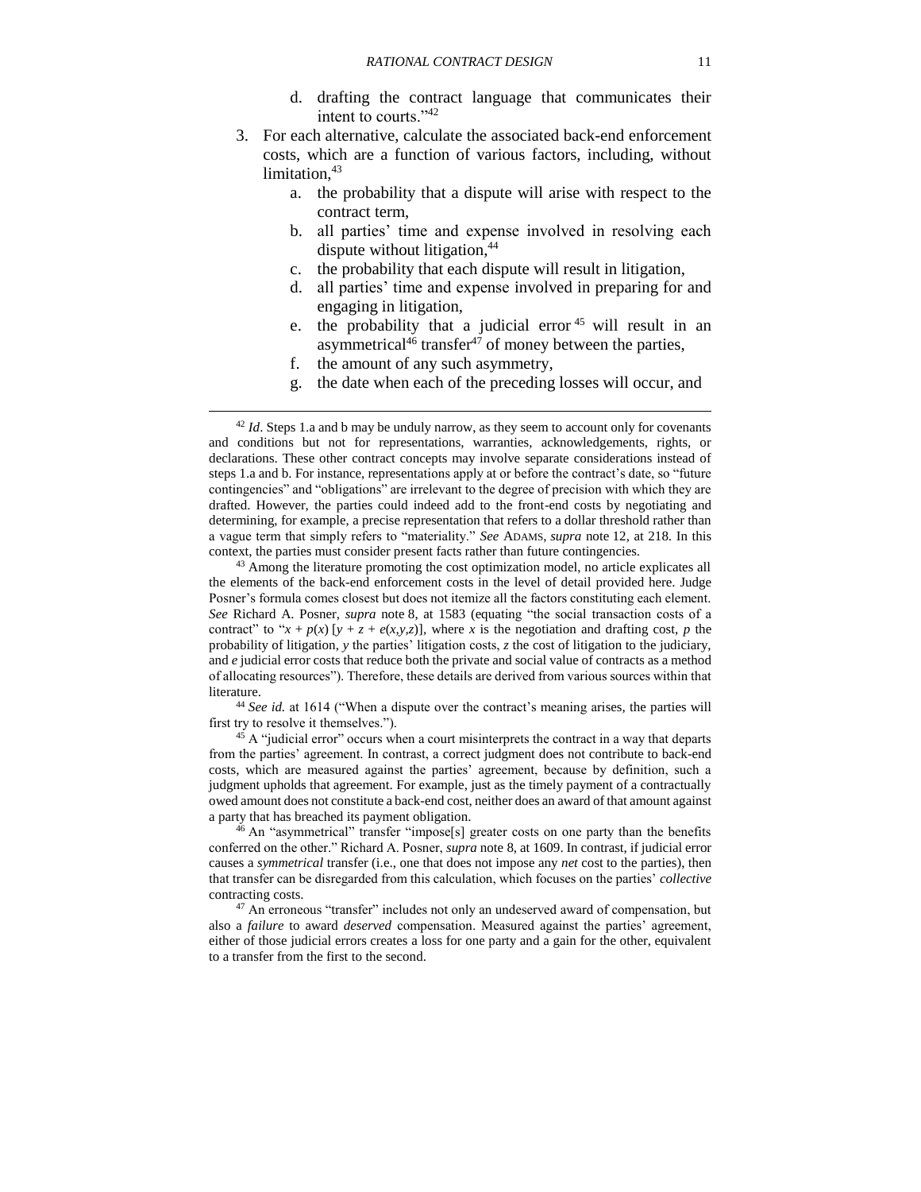- <span id="page-10-3"></span>d. drafting the contract language that communicates their intent to courts."<sup>42</sup>
- 3. For each alternative, calculate the associated back-end enforcement costs, which are a function of various factors, including, without limitation, 43
	- a. the probability that a dispute will arise with respect to the contract term,
	- b. all parties' time and expense involved in resolving each dispute without litigation,<sup>44</sup>
	- c. the probability that each dispute will result in litigation,
	- d. all parties' time and expense involved in preparing for and engaging in litigation,
	- e. the probability that a judicial error <sup>45</sup> will result in an asymmetrical<sup>46</sup> transfer<sup>47</sup> of money between the parties,
	- f. the amount of any such asymmetry,

 $\overline{\phantom{a}}$ 

<span id="page-10-2"></span><span id="page-10-1"></span><span id="page-10-0"></span>g. the date when each of the preceding losses will occur, and

<sup>43</sup> Among the literature promoting the cost optimization model, no article explicates all the elements of the back-end enforcement costs in the level of detail provided here. Judge Posner's formula comes closest but does not itemize all the factors constituting each element. *See* Richard A. Posner, *supra* note [8,](#page-2-2) at 1583 (equating "the social transaction costs of a contract" to " $x + p(x)$  [ $y + z + e(x, y, z)$ ], where  $x$  is the negotiation and drafting cost,  $p$  the probability of litigation, *y* the parties' litigation costs, *z* the cost of litigation to the judiciary, and *e* judicial error costs that reduce both the private and social value of contracts as a method of allocating resources"). Therefore, these details are derived from various sources within that literature.

<sup>44</sup> *See id.* at 1614 ("When a dispute over the contract's meaning arises, the parties will first try to resolve it themselves.").

 $45$  A "judicial error" occurs when a court misinterprets the contract in a way that departs from the parties' agreement. In contrast, a correct judgment does not contribute to back-end costs, which are measured against the parties' agreement, because by definition, such a judgment upholds that agreement. For example, just as the timely payment of a contractually owed amount does not constitute a back-end cost, neither does an award of that amount against a party that has breached its payment obligation.

<sup>46</sup> An "asymmetrical" transfer "impose[s] greater costs on one party than the benefits conferred on the other." Richard A. Posner, *supra* note [8,](#page-2-2) at 1609. In contrast, if judicial error causes a *symmetrical* transfer (i.e., one that does not impose any *net* cost to the parties), then that transfer can be disregarded from this calculation, which focuses on the parties' *collective* contracting costs.

<sup>47</sup> An erroneous "transfer" includes not only an undeserved award of compensation, but also a *failure* to award *deserved* compensation. Measured against the parties' agreement, either of those judicial errors creates a loss for one party and a gain for the other, equivalent to a transfer from the first to the second.

<sup>&</sup>lt;sup>42</sup> *Id*. Steps 1.a and b may be unduly narrow, as they seem to account only for covenants and conditions but not for representations, warranties, acknowledgements, rights, or declarations. These other contract concepts may involve separate considerations instead of steps 1.a and b. For instance, representations apply at or before the contract's date, so "future contingencies" and "obligations" are irrelevant to the degree of precision with which they are drafted. However, the parties could indeed add to the front-end costs by negotiating and determining, for example, a precise representation that refers to a dollar threshold rather than a vague term that simply refers to "materiality." *See* ADAMS, *supra* note [12,](#page-3-2) at 218. In this context, the parties must consider present facts rather than future contingencies.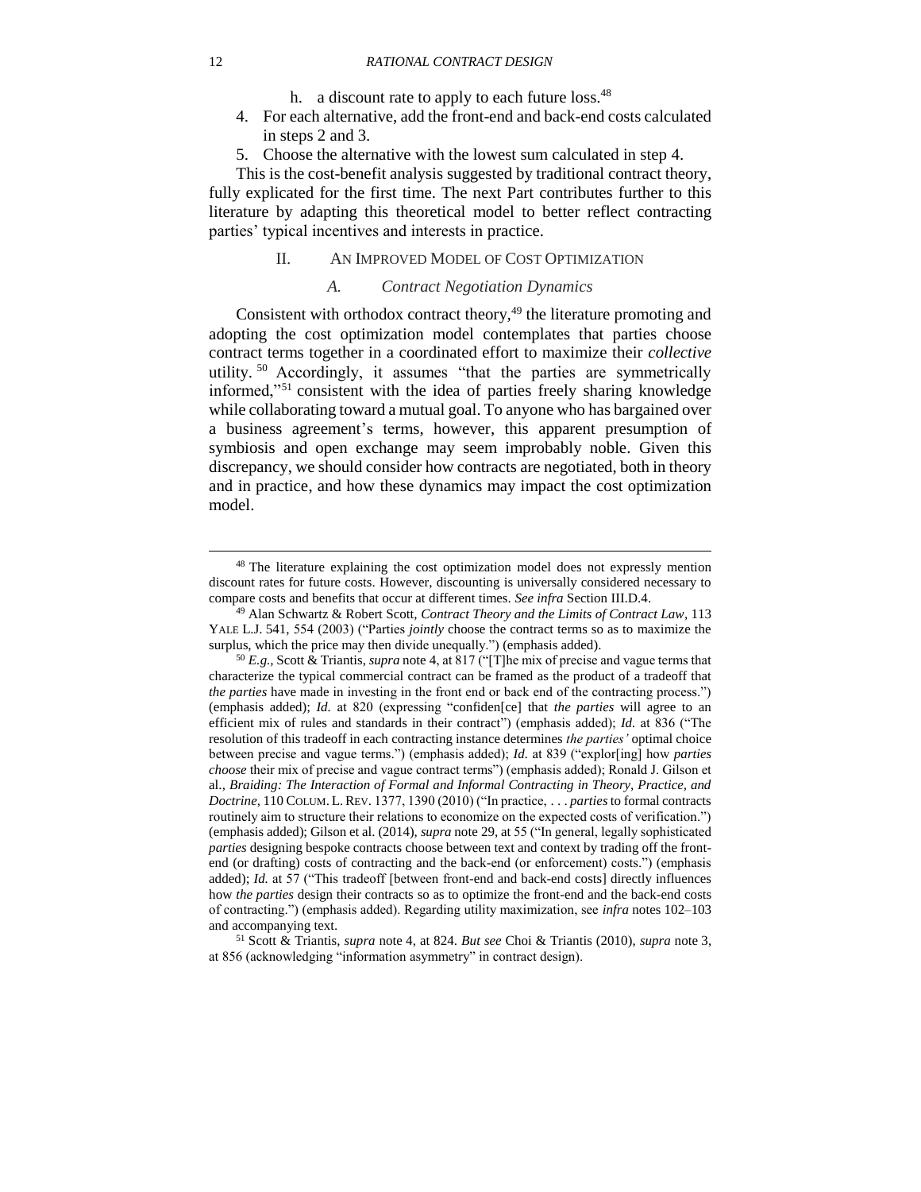#### 12 *RATIONAL CONTRACT DESIGN*

h. a discount rate to apply to each future loss.<sup>48</sup>

- 4. For each alternative, add the front-end and back-end costs calculated in steps 2 and 3.
- 5. Choose the alternative with the lowest sum calculated in step 4.

This is the cost-benefit analysis suggested by traditional contract theory, fully explicated for the first time. The next Part contributes further to this literature by adapting this theoretical model to better reflect contracting parties' typical incentives and interests in practice.

#### II. AN IMPROVED MODEL OF COST OPTIMIZATION

## *A. Contract Negotiation Dynamics*

<span id="page-11-2"></span><span id="page-11-1"></span><span id="page-11-0"></span>Consistent with orthodox contract theory, $49$  the literature promoting and adopting the cost optimization model contemplates that parties choose contract terms together in a coordinated effort to maximize their *collective* utility. <sup>50</sup> Accordingly, it assumes "that the parties are symmetrically informed,"<sup>51</sup> consistent with the idea of parties freely sharing knowledge while collaborating toward a mutual goal. To anyone who has bargained over a business agreement's terms, however, this apparent presumption of symbiosis and open exchange may seem improbably noble. Given this discrepancy, we should consider how contracts are negotiated, both in theory and in practice, and how these dynamics may impact the cost optimization model.

<sup>&</sup>lt;sup>48</sup> The literature explaining the cost optimization model does not expressly mention discount rates for future costs. However, discounting is universally considered necessary to compare costs and benefits that occur at different times. *See infra* Section [III.D.4.](#page-34-0)

<sup>49</sup> Alan Schwartz & Robert Scott, *Contract Theory and the Limits of Contract Law*, 113 YALE L.J. 541, 554 (2003) ("Parties *jointly* choose the contract terms so as to maximize the surplus, which the price may then divide unequally.") (emphasis added).

<sup>50</sup> *E.g.,* Scott & Triantis, *supra* note [4,](#page-2-1) at 817 ("[T]he mix of precise and vague terms that characterize the typical commercial contract can be framed as the product of a tradeoff that *the parties* have made in investing in the front end or back end of the contracting process.") (emphasis added); *Id.* at 820 (expressing "confiden[ce] that *the parties* will agree to an efficient mix of rules and standards in their contract") (emphasis added); *Id.* at 836 ("The resolution of this tradeoff in each contracting instance determines *the parties'* optimal choice between precise and vague terms.") (emphasis added); *Id.* at 839 ("explor[ing] how *parties choose* their mix of precise and vague contract terms") (emphasis added); Ronald J. Gilson et al., *Braiding: The Interaction of Formal and Informal Contracting in Theory, Practice, and Doctrine*, 110 COLUM. L.REV. 1377, 1390 (2010) ("In practice, . . . *parties* to formal contracts routinely aim to structure their relations to economize on the expected costs of verification.") (emphasis added); Gilson et al. (2014), *supra* note [29,](#page-7-2) at 55 ("In general, legally sophisticated *parties* designing bespoke contracts choose between text and context by trading off the frontend (or drafting) costs of contracting and the back-end (or enforcement) costs.") (emphasis added); *Id.* at 57 ("This tradeoff [between front-end and back-end costs] directly influences how *the parties* design their contracts so as to optimize the front-end and the back-end costs of contracting.") (emphasis added). Regarding utility maximization, see *infra* notes [102](#page-22-2)[–103](#page-22-3) and accompanying text.

<sup>51</sup> Scott & Triantis, *supra* note [4,](#page-2-1) at 824. *But see* Choi & Triantis (2010), *supra* note [3,](#page-2-0) at 856 (acknowledging "information asymmetry" in contract design).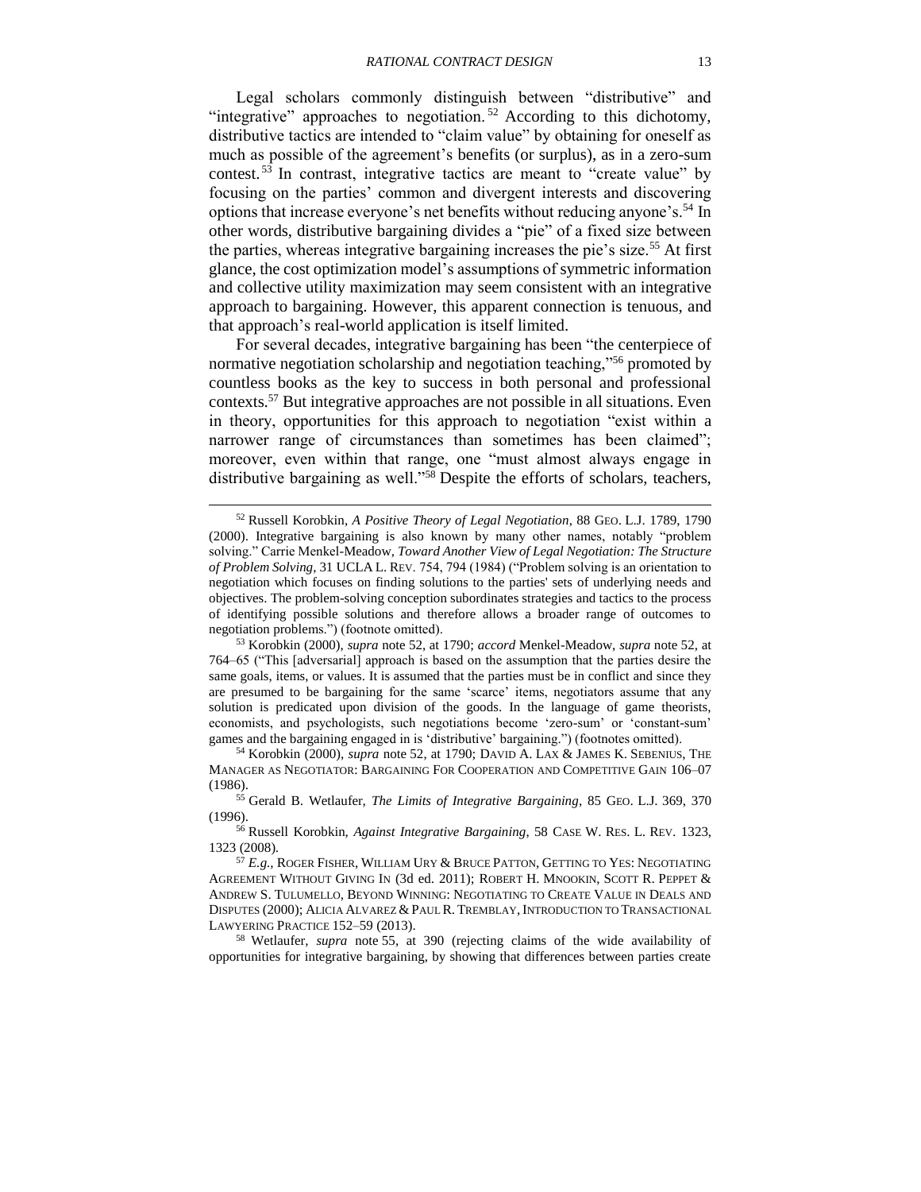<span id="page-12-4"></span><span id="page-12-0"></span>Legal scholars commonly distinguish between "distributive" and "integrative" approaches to negotiation.<sup>52</sup> According to this dichotomy, distributive tactics are intended to "claim value" by obtaining for oneself as much as possible of the agreement's benefits (or surplus), as in a zero-sum contest. <sup>53</sup> In contrast, integrative tactics are meant to "create value" by focusing on the parties' common and divergent interests and discovering options that increase everyone's net benefits without reducing anyone's.<sup>54</sup> In other words, distributive bargaining divides a "pie" of a fixed size between the parties, whereas integrative bargaining increases the pie's size.<sup>55</sup> At first glance, the cost optimization model's assumptions of symmetric information and collective utility maximization may seem consistent with an integrative approach to bargaining. However, this apparent connection is tenuous, and that approach's real-world application is itself limited.

<span id="page-12-3"></span><span id="page-12-2"></span><span id="page-12-1"></span>For several decades, integrative bargaining has been "the centerpiece of normative negotiation scholarship and negotiation teaching,"<sup>56</sup> promoted by countless books as the key to success in both personal and professional contexts.<sup>57</sup> But integrative approaches are not possible in all situations. Even in theory, opportunities for this approach to negotiation "exist within a narrower range of circumstances than sometimes has been claimed"; moreover, even within that range, one "must almost always engage in distributive bargaining as well."<sup>58</sup> Despite the efforts of scholars, teachers,

l

<sup>58</sup> Wetlaufer, *supra* note [55,](#page-12-1) at 390 (rejecting claims of the wide availability of opportunities for integrative bargaining, by showing that differences between parties create

<sup>52</sup> Russell Korobkin, *A Positive Theory of Legal Negotiation*, 88 GEO. L.J. 1789, 1790 (2000). Integrative bargaining is also known by many other names, notably "problem solving." Carrie Menkel-Meadow, *Toward Another View of Legal Negotiation: The Structure of Problem Solving*, 31 UCLA L. REV. 754, 794 (1984) ("Problem solving is an orientation to negotiation which focuses on finding solutions to the parties' sets of underlying needs and objectives. The problem-solving conception subordinates strategies and tactics to the process of identifying possible solutions and therefore allows a broader range of outcomes to negotiation problems.") (footnote omitted).

<sup>53</sup> Korobkin (2000), *supra* note [52,](#page-12-0) at 1790; *accord* Menkel-Meadow, *supra* note [52,](#page-12-0) at 764–65 ("This [adversarial] approach is based on the assumption that the parties desire the same goals, items, or values. It is assumed that the parties must be in conflict and since they are presumed to be bargaining for the same 'scarce' items, negotiators assume that any solution is predicated upon division of the goods. In the language of game theorists, economists, and psychologists, such negotiations become 'zero-sum' or 'constant-sum' games and the bargaining engaged in is 'distributive' bargaining.") (footnotes omitted).

<sup>54</sup> Korobkin (2000), *supra* note [52,](#page-12-0) at 1790; DAVID A. LAX & JAMES K. SEBENIUS, THE MANAGER AS NEGOTIATOR: BARGAINING FOR COOPERATION AND COMPETITIVE GAIN 106–07 (1986).

<sup>55</sup> Gerald B. Wetlaufer, *The Limits of Integrative Bargaining*, 85 GEO. L.J. 369, 370 (1996).

<sup>56</sup> Russell Korobkin, *Against Integrative Bargaining*, 58 CASE W. RES. L. REV. 1323, 1323 (2008).

<sup>57</sup> *E.g.,* ROGER FISHER, WILLIAM URY & BRUCE PATTON, GETTING TO YES: NEGOTIATING AGREEMENT WITHOUT GIVING IN (3d ed. 2011); ROBERT H. MNOOKIN, SCOTT R. PEPPET & ANDREW S. TULUMELLO, BEYOND WINNING: NEGOTIATING TO CREATE VALUE IN DEALS AND DISPUTES (2000); ALICIA ALVAREZ & PAUL R. TREMBLAY, INTRODUCTION TO TRANSACTIONAL LAWYERING PRACTICE 152–59 (2013).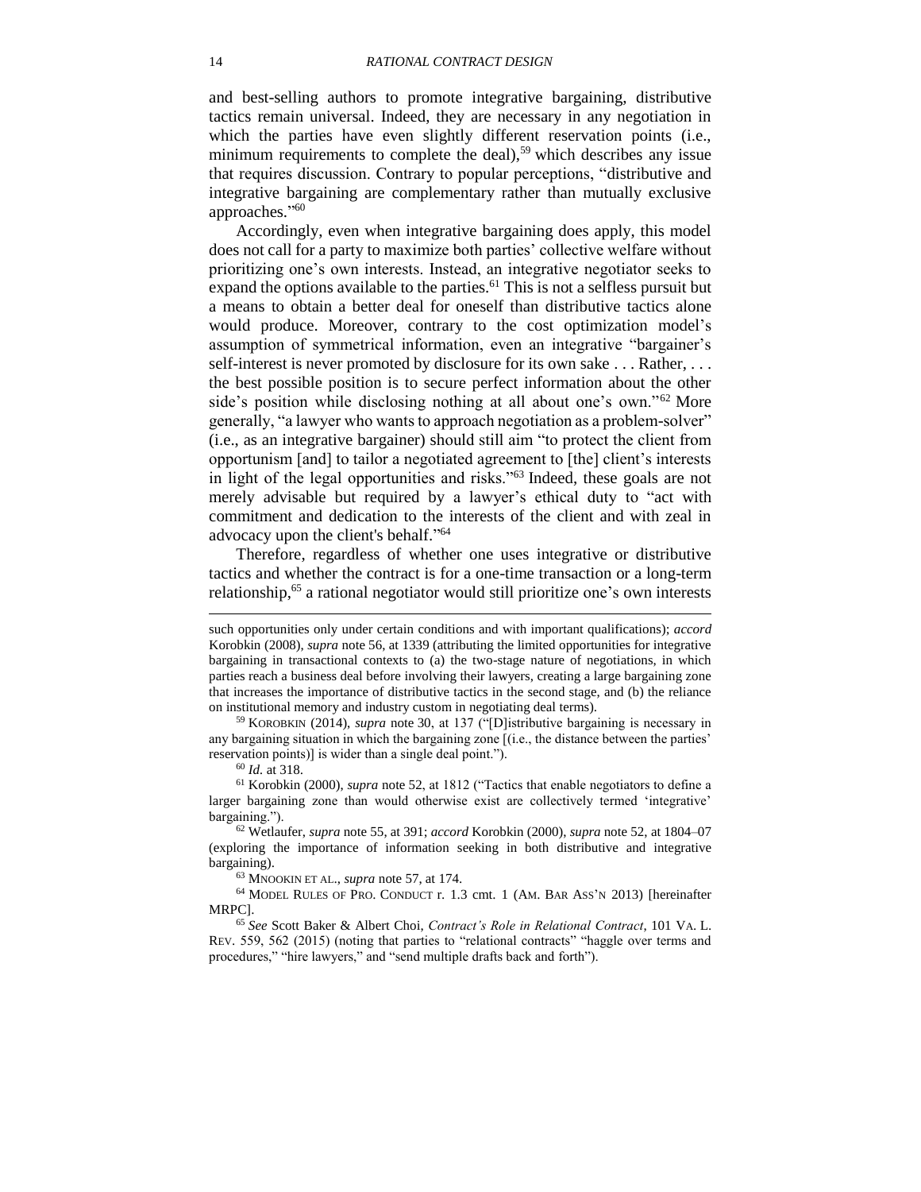and best-selling authors to promote integrative bargaining, distributive tactics remain universal. Indeed, they are necessary in any negotiation in which the parties have even slightly different reservation points (i.e., minimum requirements to complete the deal),<sup>59</sup> which describes any issue that requires discussion. Contrary to popular perceptions, "distributive and integrative bargaining are complementary rather than mutually exclusive approaches." 60

Accordingly, even when integrative bargaining does apply, this model does not call for a party to maximize both parties' collective welfare without prioritizing one's own interests. Instead, an integrative negotiator seeks to expand the options available to the parties.<sup>61</sup> This is not a selfless pursuit but a means to obtain a better deal for oneself than distributive tactics alone would produce. Moreover, contrary to the cost optimization model's assumption of symmetrical information, even an integrative "bargainer's self-interest is never promoted by disclosure for its own sake . . . Rather, . . . the best possible position is to secure perfect information about the other side's position while disclosing nothing at all about one's own."<sup>62</sup> More generally, "a lawyer who wants to approach negotiation as a problem-solver" (i.e., as an integrative bargainer) should still aim "to protect the client from opportunism [and] to tailor a negotiated agreement to [the] client's interests in light of the legal opportunities and risks."<sup>63</sup> Indeed, these goals are not merely advisable but required by a lawyer's ethical duty to "act with commitment and dedication to the interests of the client and with zeal in advocacy upon the client's behalf." 64

<span id="page-13-1"></span><span id="page-13-0"></span>Therefore, regardless of whether one uses integrative or distributive tactics and whether the contract is for a one-time transaction or a long-term relationship,<sup>65</sup> a rational negotiator would still prioritize one's own interests

<sup>59</sup> KOROBKIN (2014), *supra* note [30,](#page-7-5) at 137 ("[D]istributive bargaining is necessary in any bargaining situation in which the bargaining zone [(i.e., the distance between the parties' reservation points)] is wider than a single deal point.").

<sup>60</sup> *Id.* at 318.

l

<sup>61</sup> Korobkin (2000), *supra* note [52,](#page-12-0) at 1812 ("Tactics that enable negotiators to define a larger bargaining zone than would otherwise exist are collectively termed 'integrative' bargaining.").

<sup>62</sup> Wetlaufer, *supra* note [55,](#page-12-1) at 391; *accord* Korobkin (2000), *supra* note [52,](#page-12-0) at 1804–07 (exploring the importance of information seeking in both distributive and integrative bargaining).

<sup>63</sup> MNOOKIN ET AL., *supra* note [57,](#page-12-3) at 174.

<sup>64</sup> MODEL RULES OF PRO. CONDUCT r. 1.3 cmt. 1 (AM. BAR ASS'N 2013) [hereinafter MRPC].

<sup>65</sup> *See* Scott Baker & Albert Choi, *Contract's Role in Relational Contract*, 101 VA. L. REV. 559, 562 (2015) (noting that parties to "relational contracts" "haggle over terms and procedures," "hire lawyers," and "send multiple drafts back and forth").

such opportunities only under certain conditions and with important qualifications); *accord* Korobkin (2008), *supra* note [56,](#page-12-2) at 1339 (attributing the limited opportunities for integrative bargaining in transactional contexts to (a) the two-stage nature of negotiations, in which parties reach a business deal before involving their lawyers, creating a large bargaining zone that increases the importance of distributive tactics in the second stage, and (b) the reliance on institutional memory and industry custom in negotiating deal terms).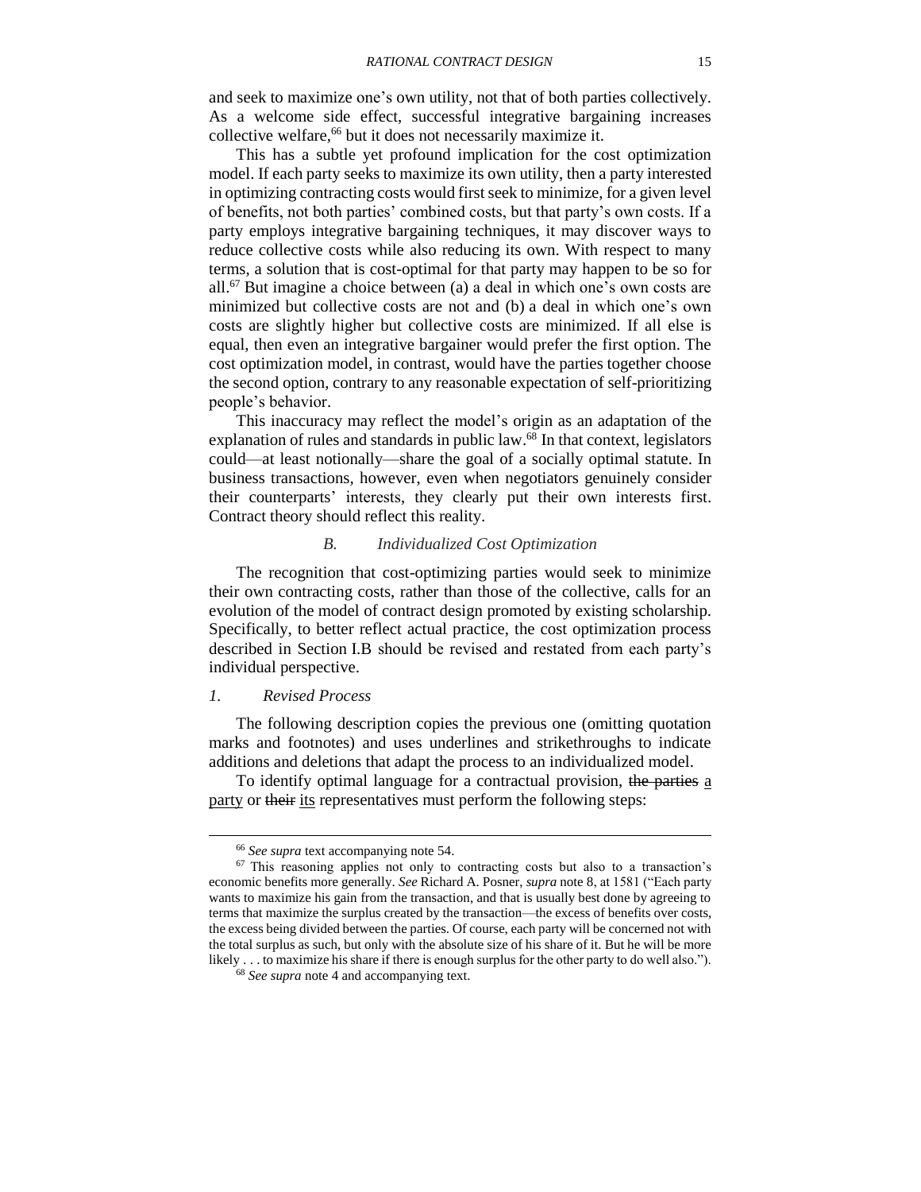and seek to maximize one's own utility, not that of both parties collectively. As a welcome side effect, successful integrative bargaining increases collective welfare,<sup>66</sup> but it does not necessarily maximize it.

This has a subtle yet profound implication for the cost optimization model. If each party seeks to maximize its own utility, then a party interested in optimizing contracting costs would first seek to minimize, for a given level of benefits, not both parties' combined costs, but that party's own costs. If a party employs integrative bargaining techniques, it may discover ways to reduce collective costs while also reducing its own. With respect to many terms, a solution that is cost-optimal for that party may happen to be so for all.<sup>67</sup> But imagine a choice between (a) a deal in which one's own costs are minimized but collective costs are not and (b) a deal in which one's own costs are slightly higher but collective costs are minimized. If all else is equal, then even an integrative bargainer would prefer the first option. The cost optimization model, in contrast, would have the parties together choose the second option, contrary to any reasonable expectation of self-prioritizing people's behavior.

This inaccuracy may reflect the model's origin as an adaptation of the explanation of rules and standards in public law.<sup>68</sup> In that context, legislators could—at least notionally—share the goal of a socially optimal statute. In business transactions, however, even when negotiators genuinely consider their counterparts' interests, they clearly put their own interests first. Contract theory should reflect this reality.

#### *B. Individualized Cost Optimization*

<span id="page-14-0"></span>The recognition that cost-optimizing parties would seek to minimize their own contracting costs, rather than those of the collective, calls for an evolution of the model of contract design promoted by existing scholarship. Specifically, to better reflect actual practice, the cost optimization process described in Section [I.B](#page-9-0) should be revised and restated from each party's individual perspective.

#### <span id="page-14-1"></span>*1. Revised Process*

l

The following description copies the previous one (omitting quotation marks and footnotes) and uses underlines and strikethroughs to indicate additions and deletions that adapt the process to an individualized model.

To identify optimal language for a contractual provision, the parties a party or their its representatives must perform the following steps:

<sup>66</sup> *See supra* text accompanying note [54.](#page-12-4)

<sup>&</sup>lt;sup>67</sup> This reasoning applies not only to contracting costs but also to a transaction's economic benefits more generally. *See* Richard A. Posner, *supra* note [8,](#page-2-2) at 1581 ("Each party wants to maximize his gain from the transaction, and that is usually best done by agreeing to terms that maximize the surplus created by the transaction—the excess of benefits over costs, the excess being divided between the parties. Of course, each party will be concerned not with the total surplus as such, but only with the absolute size of his share of it. But he will be more likely . . . to maximize his share if there is enough surplus for the other party to do well also.").

<sup>68</sup> *See supra* note [4](#page-2-1) and accompanying text.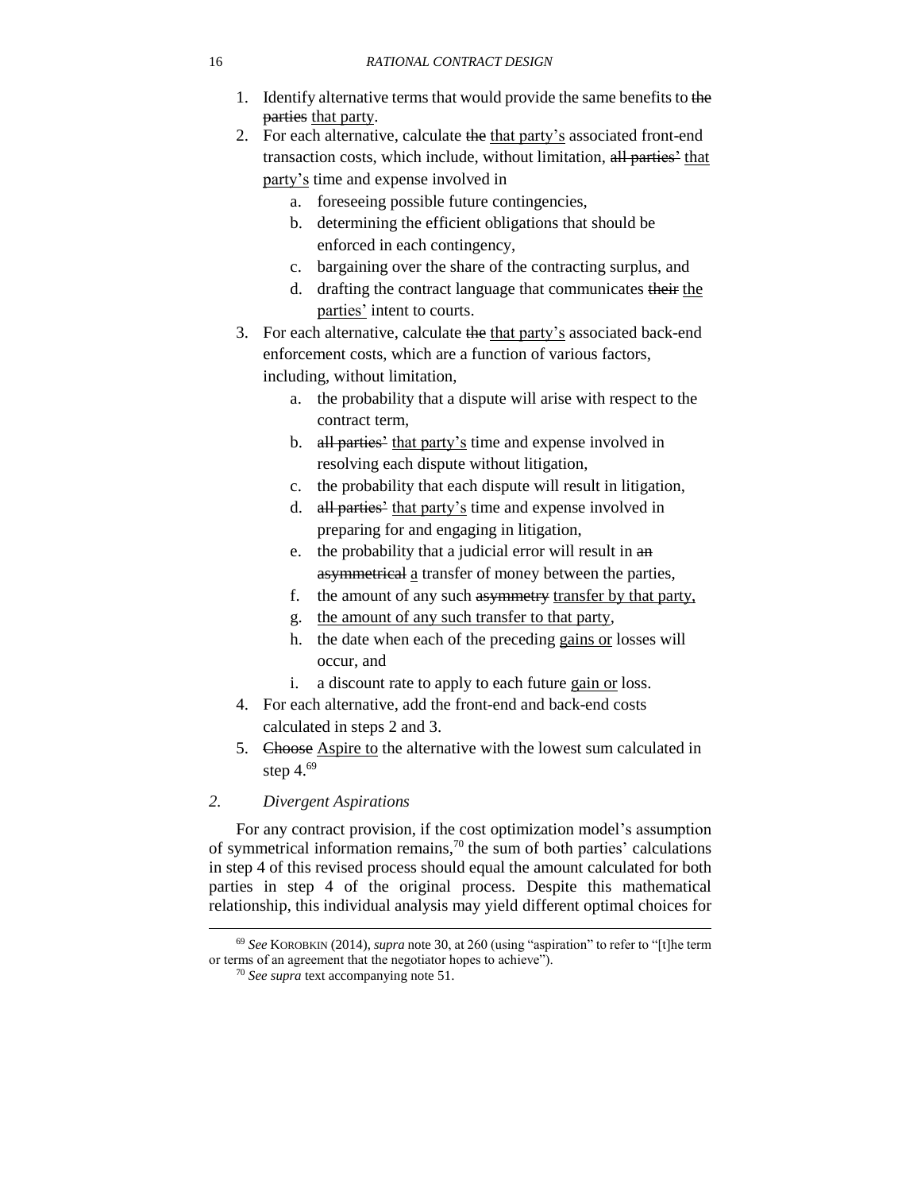#### 16 *RATIONAL CONTRACT DESIGN*

- 1. Identify alternative terms that would provide the same benefits to the parties that party.
- 2. For each alternative, calculate the that party's associated front-end transaction costs, which include, without limitation, all parties' that party's time and expense involved in
	- a. foreseeing possible future contingencies,
	- b. determining the efficient obligations that should be enforced in each contingency,
	- c. bargaining over the share of the contracting surplus, and
	- d. drafting the contract language that communicates their the parties' intent to courts.
- 3. For each alternative, calculate the that party's associated back-end enforcement costs, which are a function of various factors, including, without limitation,
	- a. the probability that a dispute will arise with respect to the contract term,
	- b. all parties' that party's time and expense involved in resolving each dispute without litigation,
	- c. the probability that each dispute will result in litigation,
	- d. all parties' that party's time and expense involved in preparing for and engaging in litigation,
	- e. the probability that a judicial error will result in an asymmetrical a transfer of money between the parties,
	- f. the amount of any such asymmetry transfer by that party,
	- g. the amount of any such transfer to that party,
	- h. the date when each of the preceding gains or losses will occur, and
	- i. a discount rate to apply to each future gain or loss.
- 4. For each alternative, add the front-end and back-end costs calculated in steps 2 and 3.
- <span id="page-15-1"></span>5. Choose Aspire to the alternative with the lowest sum calculated in step 4. 69

## <span id="page-15-0"></span>*2. Divergent Aspirations*

 $\overline{\phantom{a}}$ 

For any contract provision, if the cost optimization model's assumption of symmetrical information remains,<sup>70</sup> the sum of both parties' calculations in step 4 of this revised process should equal the amount calculated for both parties in step 4 of the original process. Despite this mathematical relationship, this individual analysis may yield different optimal choices for

<sup>69</sup> *See* KOROBKIN (2014), *supra* note [30,](#page-7-5) at 260 (using "aspiration" to refer to "[t]he term or terms of an agreement that the negotiator hopes to achieve").

<sup>70</sup> *See supra* text accompanying note [51.](#page-11-2)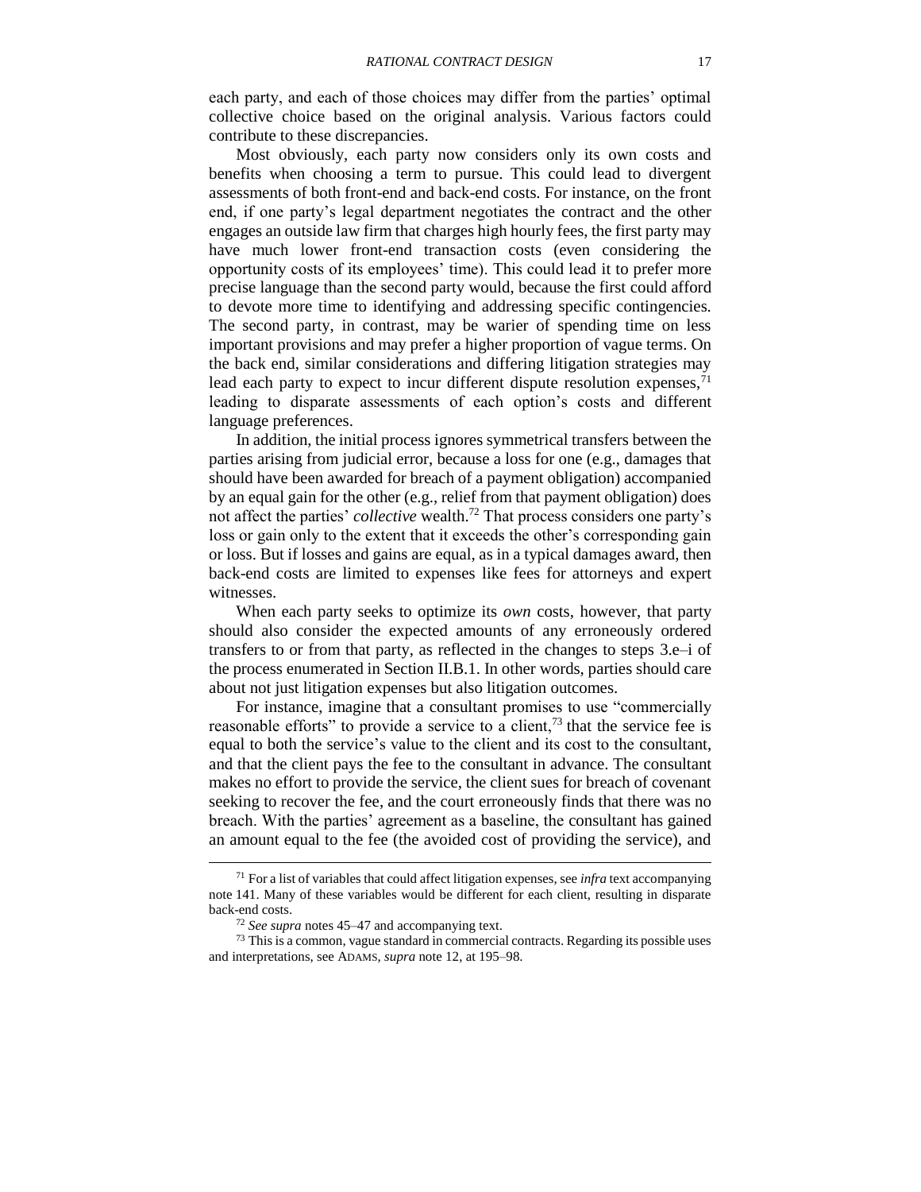each party, and each of those choices may differ from the parties' optimal collective choice based on the original analysis. Various factors could contribute to these discrepancies.

Most obviously, each party now considers only its own costs and benefits when choosing a term to pursue. This could lead to divergent assessments of both front-end and back-end costs. For instance, on the front end, if one party's legal department negotiates the contract and the other engages an outside law firm that charges high hourly fees, the first party may have much lower front-end transaction costs (even considering the opportunity costs of its employees' time). This could lead it to prefer more precise language than the second party would, because the first could afford to devote more time to identifying and addressing specific contingencies. The second party, in contrast, may be warier of spending time on less important provisions and may prefer a higher proportion of vague terms. On the back end, similar considerations and differing litigation strategies may lead each party to expect to incur different dispute resolution expenses,  $^{71}$ leading to disparate assessments of each option's costs and different language preferences.

<span id="page-16-0"></span>In addition, the initial process ignores symmetrical transfers between the parties arising from judicial error, because a loss for one (e.g., damages that should have been awarded for breach of a payment obligation) accompanied by an equal gain for the other (e.g., relief from that payment obligation) does not affect the parties' *collective* wealth.<sup>72</sup> That process considers one party's loss or gain only to the extent that it exceeds the other's corresponding gain or loss. But if losses and gains are equal, as in a typical damages award, then back-end costs are limited to expenses like fees for attorneys and expert witnesses.

When each party seeks to optimize its *own* costs, however, that party should also consider the expected amounts of any erroneously ordered transfers to or from that party, as reflected in the changes to steps 3.e–i of the process enumerated in Section [II.B.1.](#page-14-1) In other words, parties should care about not just litigation expenses but also litigation outcomes.

For instance, imagine that a consultant promises to use "commercially reasonable efforts" to provide a service to a client,<sup>73</sup> that the service fee is equal to both the service's value to the client and its cost to the consultant, and that the client pays the fee to the consultant in advance. The consultant makes no effort to provide the service, the client sues for breach of covenant seeking to recover the fee, and the court erroneously finds that there was no breach. With the parties' agreement as a baseline, the consultant has gained an amount equal to the fee (the avoided cost of providing the service), and

<sup>71</sup> For a list of variables that could affect litigation expenses, see *infra* text accompanying note [141.](#page-29-2) Many of these variables would be different for each client, resulting in disparate back-end costs.

<sup>72</sup> *See supra* notes [45](#page-10-0)[–47](#page-10-1) and accompanying text.

 $73$  This is a common, vague standard in commercial contracts. Regarding its possible uses and interpretations, see ADAMS, *supra* note [12,](#page-3-2) at 195–98.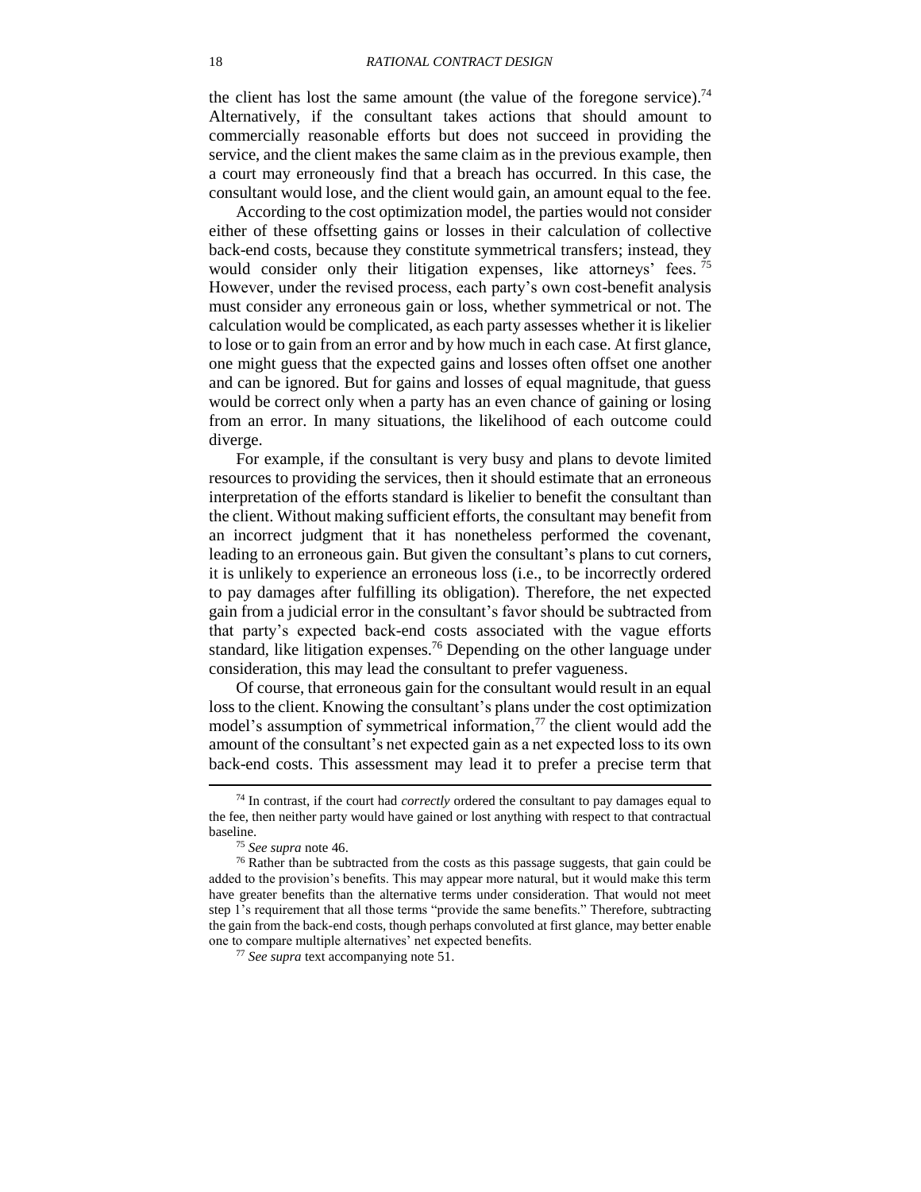the client has lost the same amount (the value of the foregone service).<sup>74</sup> Alternatively, if the consultant takes actions that should amount to commercially reasonable efforts but does not succeed in providing the service, and the client makes the same claim as in the previous example, then a court may erroneously find that a breach has occurred. In this case, the consultant would lose, and the client would gain, an amount equal to the fee.

According to the cost optimization model, the parties would not consider either of these offsetting gains or losses in their calculation of collective back-end costs, because they constitute symmetrical transfers; instead, they would consider only their litigation expenses, like attorneys' fees.<sup>75</sup> However, under the revised process, each party's own cost-benefit analysis must consider any erroneous gain or loss, whether symmetrical or not. The calculation would be complicated, as each party assesses whether it is likelier to lose or to gain from an error and by how much in each case. At first glance, one might guess that the expected gains and losses often offset one another and can be ignored. But for gains and losses of equal magnitude, that guess would be correct only when a party has an even chance of gaining or losing from an error. In many situations, the likelihood of each outcome could diverge.

For example, if the consultant is very busy and plans to devote limited resources to providing the services, then it should estimate that an erroneous interpretation of the efforts standard is likelier to benefit the consultant than the client. Without making sufficient efforts, the consultant may benefit from an incorrect judgment that it has nonetheless performed the covenant, leading to an erroneous gain. But given the consultant's plans to cut corners, it is unlikely to experience an erroneous loss (i.e., to be incorrectly ordered to pay damages after fulfilling its obligation). Therefore, the net expected gain from a judicial error in the consultant's favor should be subtracted from that party's expected back-end costs associated with the vague efforts standard, like litigation expenses.<sup>76</sup> Depending on the other language under consideration, this may lead the consultant to prefer vagueness.

<span id="page-17-1"></span>Of course, that erroneous gain for the consultant would result in an equal loss to the client. Knowing the consultant's plans under the cost optimization model's assumption of symmetrical information, $\frac{7}{7}$  the client would add the amount of the consultant's net expected gain as a net expected loss to its own back-end costs. This assessment may lead it to prefer a precise term that

<sup>74</sup> In contrast, if the court had *correctly* ordered the consultant to pay damages equal to the fee, then neither party would have gained or lost anything with respect to that contractual baseline.

<span id="page-17-0"></span><sup>75</sup> *See supra* note [46.](#page-10-2)

 $76$  Rather than be subtracted from the costs as this passage suggests, that gain could be added to the provision's benefits. This may appear more natural, but it would make this term have greater benefits than the alternative terms under consideration. That would not meet step 1's requirement that all those terms "provide the same benefits." Therefore, subtracting the gain from the back-end costs, though perhaps convoluted at first glance, may better enable one to compare multiple alternatives' net expected benefits.

<sup>77</sup> *See supra* text accompanying note [51.](#page-11-2)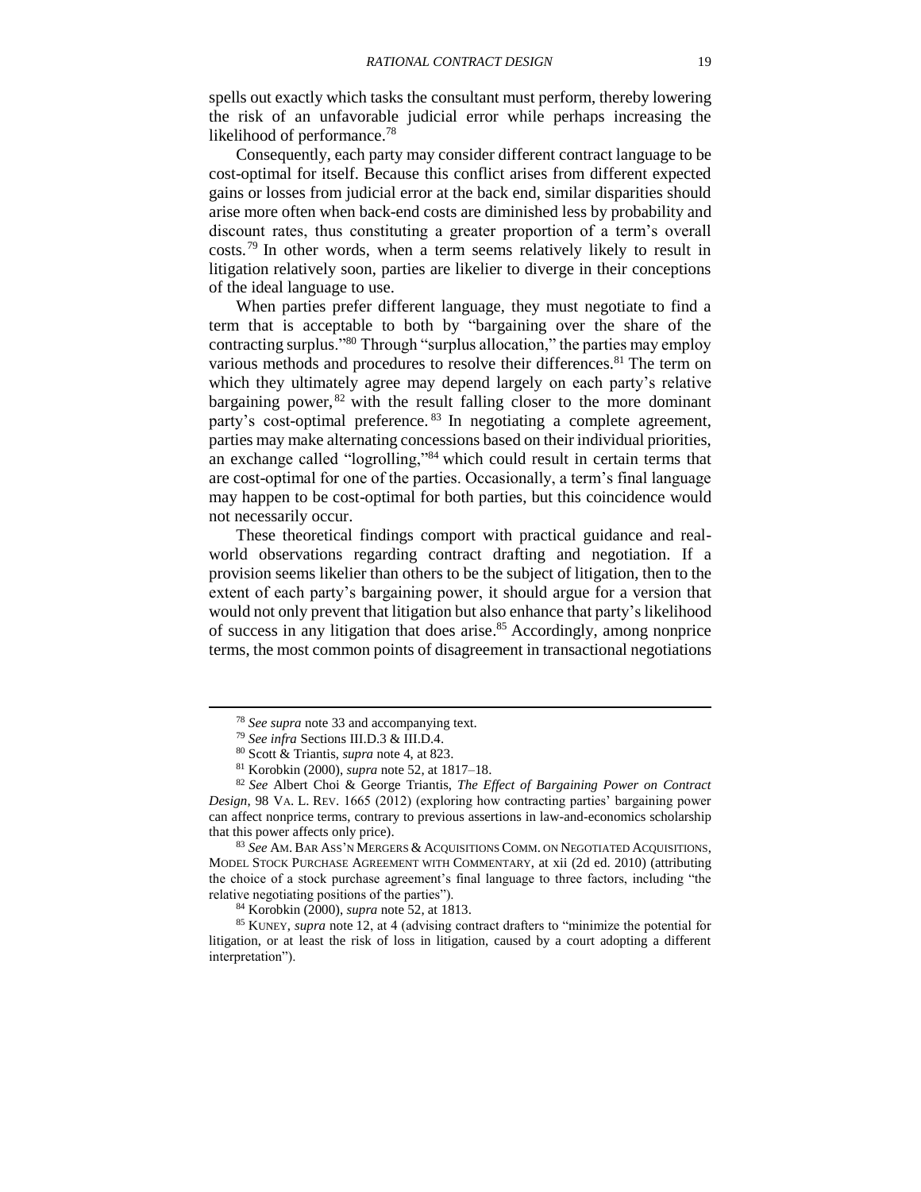spells out exactly which tasks the consultant must perform, thereby lowering the risk of an unfavorable judicial error while perhaps increasing the likelihood of performance.<sup>78</sup>

Consequently, each party may consider different contract language to be cost-optimal for itself. Because this conflict arises from different expected gains or losses from judicial error at the back end, similar disparities should arise more often when back-end costs are diminished less by probability and discount rates, thus constituting a greater proportion of a term's overall costs.<sup>79</sup> In other words, when a term seems relatively likely to result in litigation relatively soon, parties are likelier to diverge in their conceptions of the ideal language to use.

<span id="page-18-0"></span>When parties prefer different language, they must negotiate to find a term that is acceptable to both by "bargaining over the share of the contracting surplus."<sup>80</sup> Through "surplus allocation," the parties may employ various methods and procedures to resolve their differences.<sup>81</sup> The term on which they ultimately agree may depend largely on each party's relative bargaining power,  $82$  with the result falling closer to the more dominant party's cost-optimal preference.<sup>83</sup> In negotiating a complete agreement, parties may make alternating concessions based on their individual priorities, an exchange called "logrolling,"<sup>84</sup> which could result in certain terms that are cost-optimal for one of the parties. Occasionally, a term's final language may happen to be cost-optimal for both parties, but this coincidence would not necessarily occur.

These theoretical findings comport with practical guidance and realworld observations regarding contract drafting and negotiation. If a provision seems likelier than others to be the subject of litigation, then to the extent of each party's bargaining power, it should argue for a version that would not only prevent that litigation but also enhance that party's likelihood of success in any litigation that does arise. <sup>85</sup> Accordingly, among nonprice terms, the most common points of disagreement in transactional negotiations

l

<sup>83</sup> *See* AM. BAR ASS'N MERGERS & ACQUISITIONS COMM. ON NEGOTIATED ACQUISITIONS, MODEL STOCK PURCHASE AGREEMENT WITH COMMENTARY, at xii (2d ed. 2010) (attributing the choice of a stock purchase agreement's final language to three factors, including "the relative negotiating positions of the parties").

<sup>84</sup> Korobkin (2000), *supra* note [52,](#page-12-0) at 1813.

<sup>85</sup> KUNEY, *supra* note [12,](#page-3-2) at 4 (advising contract drafters to "minimize the potential for litigation, or at least the risk of loss in litigation, caused by a court adopting a different interpretation").

<span id="page-18-1"></span><sup>78</sup> *See supra* note [33](#page-8-1) and accompanying text.

<sup>79</sup> *See infra* Sections [III.D.3](#page-31-0) [& III.D.4.](#page-34-0)

<sup>80</sup> Scott & Triantis, *supra* note [4,](#page-2-1) at 823.

<sup>81</sup> Korobkin (2000), *supra* note [52,](#page-12-0) at 1817–18.

<sup>82</sup> *See* Albert Choi & George Triantis, *The Effect of Bargaining Power on Contract Design*, 98 VA. L. REV. 1665 (2012) (exploring how contracting parties' bargaining power can affect nonprice terms, contrary to previous assertions in law-and-economics scholarship that this power affects only price).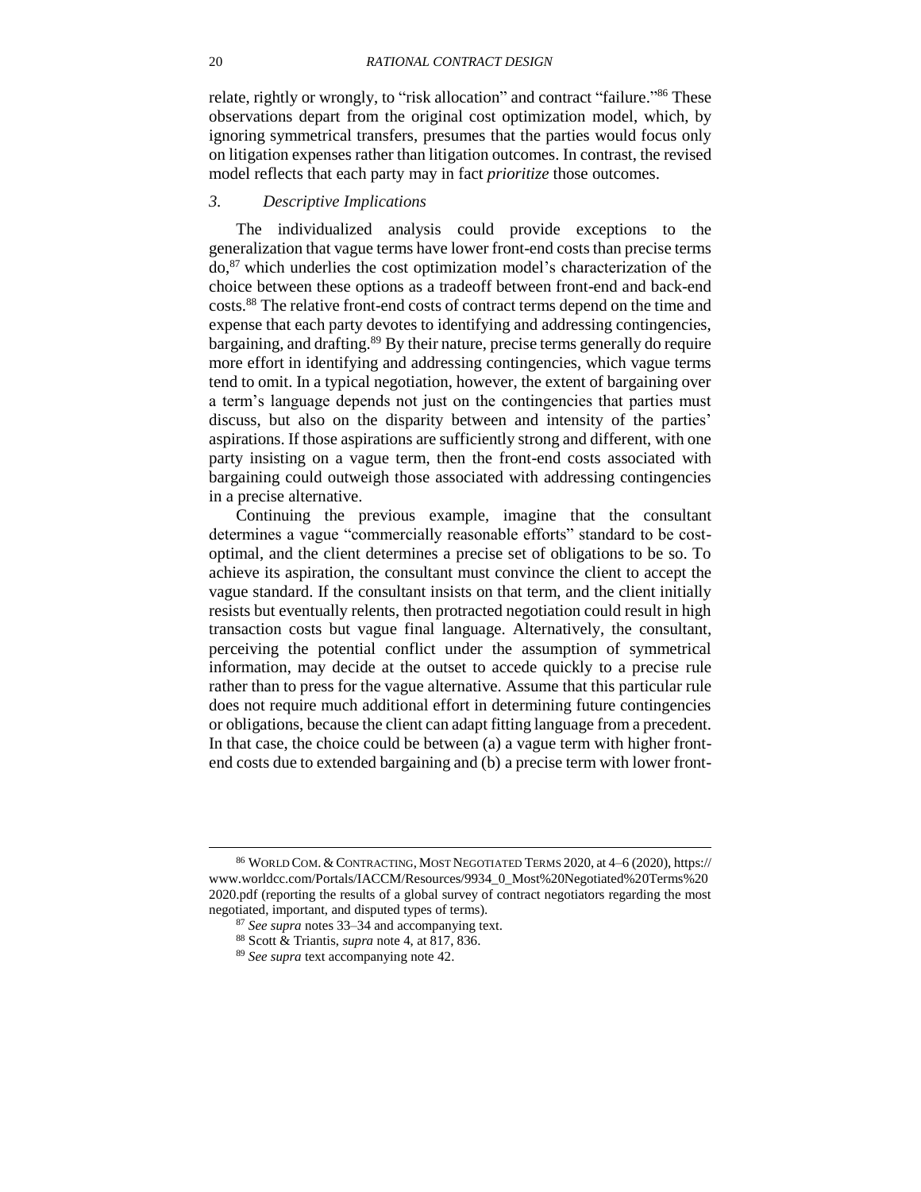relate, rightly or wrongly, to "risk allocation" and contract "failure."<sup>86</sup> These observations depart from the original cost optimization model, which, by ignoring symmetrical transfers, presumes that the parties would focus only on litigation expenses rather than litigation outcomes. In contrast, the revised model reflects that each party may in fact *prioritize* those outcomes.

## <span id="page-19-0"></span>*3. Descriptive Implications*

The individualized analysis could provide exceptions to the generalization that vague terms have lower front-end costs than precise terms do, <sup>87</sup> which underlies the cost optimization model's characterization of the choice between these options as a tradeoff between front-end and back-end costs.<sup>88</sup> The relative front-end costs of contract terms depend on the time and expense that each party devotes to identifying and addressing contingencies, bargaining, and drafting.<sup>89</sup> By their nature, precise terms generally do require more effort in identifying and addressing contingencies, which vague terms tend to omit. In a typical negotiation, however, the extent of bargaining over a term's language depends not just on the contingencies that parties must discuss, but also on the disparity between and intensity of the parties' aspirations. If those aspirations are sufficiently strong and different, with one party insisting on a vague term, then the front-end costs associated with bargaining could outweigh those associated with addressing contingencies in a precise alternative.

Continuing the previous example, imagine that the consultant determines a vague "commercially reasonable efforts" standard to be costoptimal, and the client determines a precise set of obligations to be so. To achieve its aspiration, the consultant must convince the client to accept the vague standard. If the consultant insists on that term, and the client initially resists but eventually relents, then protracted negotiation could result in high transaction costs but vague final language. Alternatively, the consultant, perceiving the potential conflict under the assumption of symmetrical information, may decide at the outset to accede quickly to a precise rule rather than to press for the vague alternative. Assume that this particular rule does not require much additional effort in determining future contingencies or obligations, because the client can adapt fitting language from a precedent. In that case, the choice could be between (a) a vague term with higher frontend costs due to extended bargaining and (b) a precise term with lower front-

<sup>86</sup> WORLD COM. &CONTRACTING, MOST NEGOTIATED TERMS 2020, at 4–6 (2020), https:// www.worldcc.com/Portals/IACCM/Resources/9934\_0\_Most%20Negotiated%20Terms%20 2020.pdf (reporting the results of a global survey of contract negotiators regarding the most negotiated, important, and disputed types of terms).

<sup>87</sup> *See supra* notes [33](#page-8-1)[–34](#page-8-2) and accompanying text.

<sup>88</sup> Scott & Triantis, *supra* note [4,](#page-2-1) at 817, 836.

<sup>89</sup> *See supra* text accompanying note [42.](#page-10-3)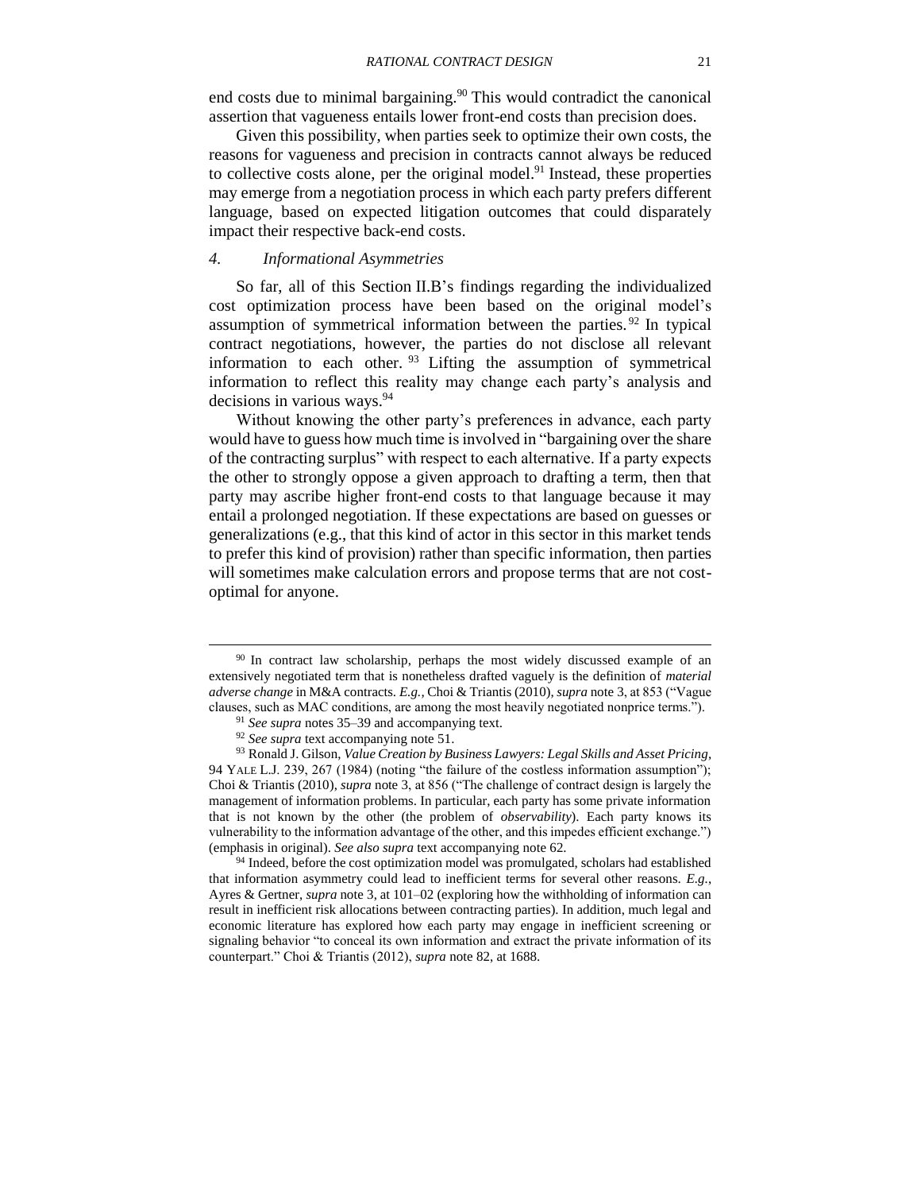end costs due to minimal bargaining.<sup>90</sup> This would contradict the canonical assertion that vagueness entails lower front-end costs than precision does.

Given this possibility, when parties seek to optimize their own costs, the reasons for vagueness and precision in contracts cannot always be reduced to collective costs alone, per the original model.<sup>91</sup> Instead, these properties may emerge from a negotiation process in which each party prefers different language, based on expected litigation outcomes that could disparately impact their respective back-end costs.

## <span id="page-20-0"></span>*4. Informational Asymmetries*

So far, all of this Section [II.B'](#page-14-0)s findings regarding the individualized cost optimization process have been based on the original model's assumption of symmetrical information between the parties. <sup>92</sup> In typical contract negotiations, however, the parties do not disclose all relevant information to each other.  $93$  Lifting the assumption of symmetrical information to reflect this reality may change each party's analysis and decisions in various ways.<sup>94</sup>

Without knowing the other party's preferences in advance, each party would have to guess how much time is involved in "bargaining over the share of the contracting surplus" with respect to each alternative. If a party expects the other to strongly oppose a given approach to drafting a term, then that party may ascribe higher front-end costs to that language because it may entail a prolonged negotiation. If these expectations are based on guesses or generalizations (e.g., that this kind of actor in this sector in this market tends to prefer this kind of provision) rather than specific information, then parties will sometimes make calculation errors and propose terms that are not costoptimal for anyone.

 $\overline{\phantom{a}}$ 

<sup>94</sup> Indeed, before the cost optimization model was promulgated, scholars had established that information asymmetry could lead to inefficient terms for several other reasons. *E.g.*, Ayres & Gertner, *supra* note [3,](#page-2-0) at 101–02 (exploring how the withholding of information can result in inefficient risk allocations between contracting parties). In addition, much legal and economic literature has explored how each party may engage in inefficient screening or signaling behavior "to conceal its own information and extract the private information of its counterpart." Choi & Triantis (2012), *supra* note [82,](#page-18-0) at 1688.

<sup>&</sup>lt;sup>90</sup> In contract law scholarship, perhaps the most widely discussed example of an extensively negotiated term that is nonetheless drafted vaguely is the definition of *material adverse change* in M&A contracts. *E.g.,* Choi & Triantis (2010), *supra* note [3,](#page-2-0) at 853 ("Vague clauses, such as MAC conditions, are among the most heavily negotiated nonprice terms.").

<sup>91</sup> *See supra* notes [35](#page-8-0)[–39](#page-9-2) and accompanying text.

<sup>92</sup> *See supra* text accompanying note [51.](#page-11-2)

<sup>93</sup> Ronald J. Gilson, *Value Creation by Business Lawyers: Legal Skills and Asset Pricing*, 94 YALE L.J. 239, 267 (1984) (noting "the failure of the costless information assumption"); Choi & Triantis (2010), *supra* note [3,](#page-2-0) at 856 ("The challenge of contract design is largely the management of information problems. In particular, each party has some private information that is not known by the other (the problem of *observability*). Each party knows its vulnerability to the information advantage of the other, and this impedes efficient exchange.") (emphasis in original). *See also supra* text accompanying note [62.](#page-13-0)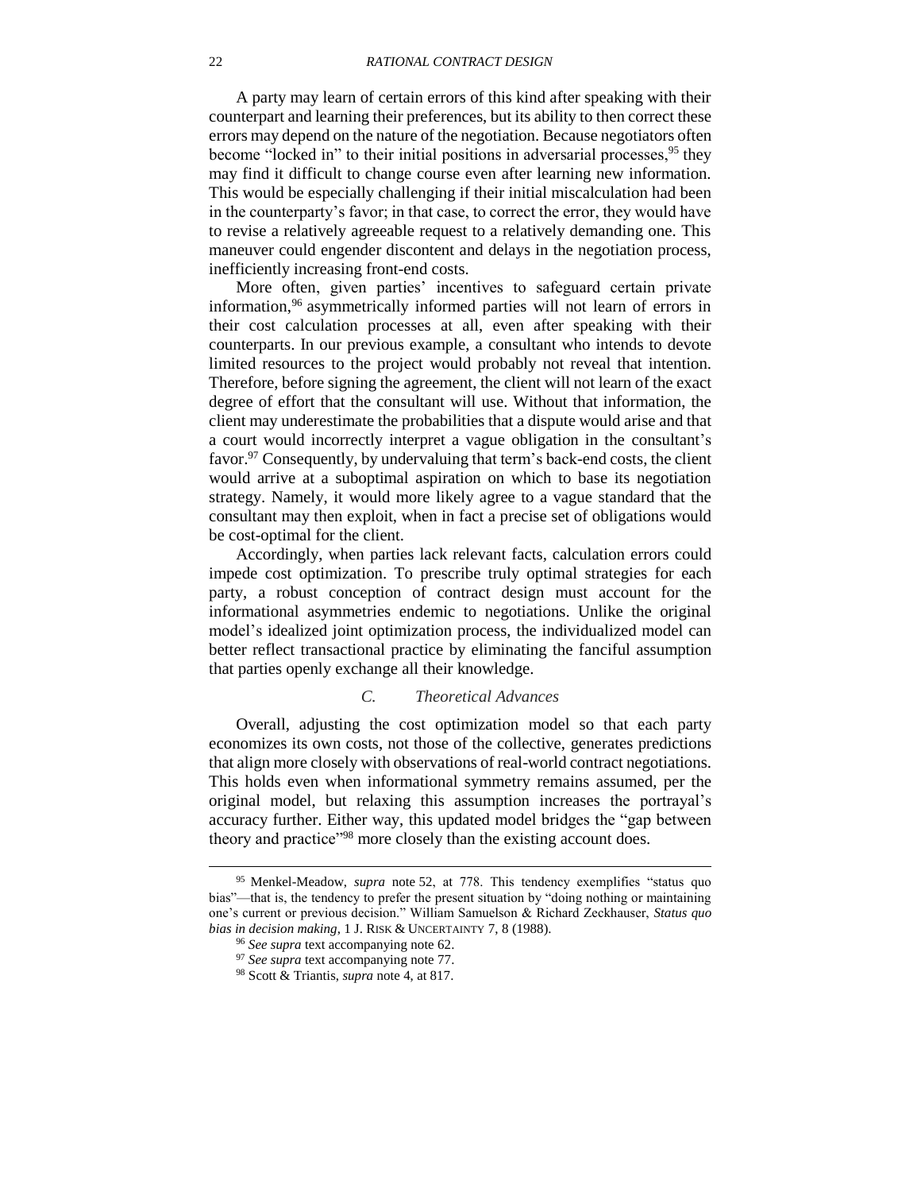A party may learn of certain errors of this kind after speaking with their counterpart and learning their preferences, but its ability to then correct these errors may depend on the nature of the negotiation. Because negotiators often become "locked in" to their initial positions in adversarial processes, <sup>95</sup> they may find it difficult to change course even after learning new information. This would be especially challenging if their initial miscalculation had been in the counterparty's favor; in that case, to correct the error, they would have to revise a relatively agreeable request to a relatively demanding one. This maneuver could engender discontent and delays in the negotiation process, inefficiently increasing front-end costs.

More often, given parties' incentives to safeguard certain private information,<sup>96</sup> asymmetrically informed parties will not learn of errors in their cost calculation processes at all, even after speaking with their counterparts. In our previous example, a consultant who intends to devote limited resources to the project would probably not reveal that intention. Therefore, before signing the agreement, the client will not learn of the exact degree of effort that the consultant will use. Without that information, the client may underestimate the probabilities that a dispute would arise and that a court would incorrectly interpret a vague obligation in the consultant's favor.<sup>97</sup> Consequently, by undervaluing that term's back-end costs, the client would arrive at a suboptimal aspiration on which to base its negotiation strategy. Namely, it would more likely agree to a vague standard that the consultant may then exploit, when in fact a precise set of obligations would be cost-optimal for the client.

Accordingly, when parties lack relevant facts, calculation errors could impede cost optimization. To prescribe truly optimal strategies for each party, a robust conception of contract design must account for the informational asymmetries endemic to negotiations. Unlike the original model's idealized joint optimization process, the individualized model can better reflect transactional practice by eliminating the fanciful assumption that parties openly exchange all their knowledge.

## *C. Theoretical Advances*

<span id="page-21-0"></span>Overall, adjusting the cost optimization model so that each party economizes its own costs, not those of the collective, generates predictions that align more closely with observations of real-world contract negotiations. This holds even when informational symmetry remains assumed, per the original model, but relaxing this assumption increases the portrayal's accuracy further. Either way, this updated model bridges the "gap between theory and practice"<sup>98</sup> more closely than the existing account does.

<sup>95</sup> Menkel-Meadow, *supra* note [52,](#page-12-0) at 778. This tendency exemplifies "status quo bias"—that is, the tendency to prefer the present situation by "doing nothing or maintaining one's current or previous decision." William Samuelson & Richard Zeckhauser, *Status quo bias in decision making*, 1 J. RISK & UNCERTAINTY 7, 8 (1988).

<sup>96</sup> *See supra* text accompanying note [62.](#page-13-0)

<sup>97</sup> *See supra* text accompanying note [77.](#page-17-0)

<sup>98</sup> Scott & Triantis, *supra* note [4,](#page-2-1) at 817.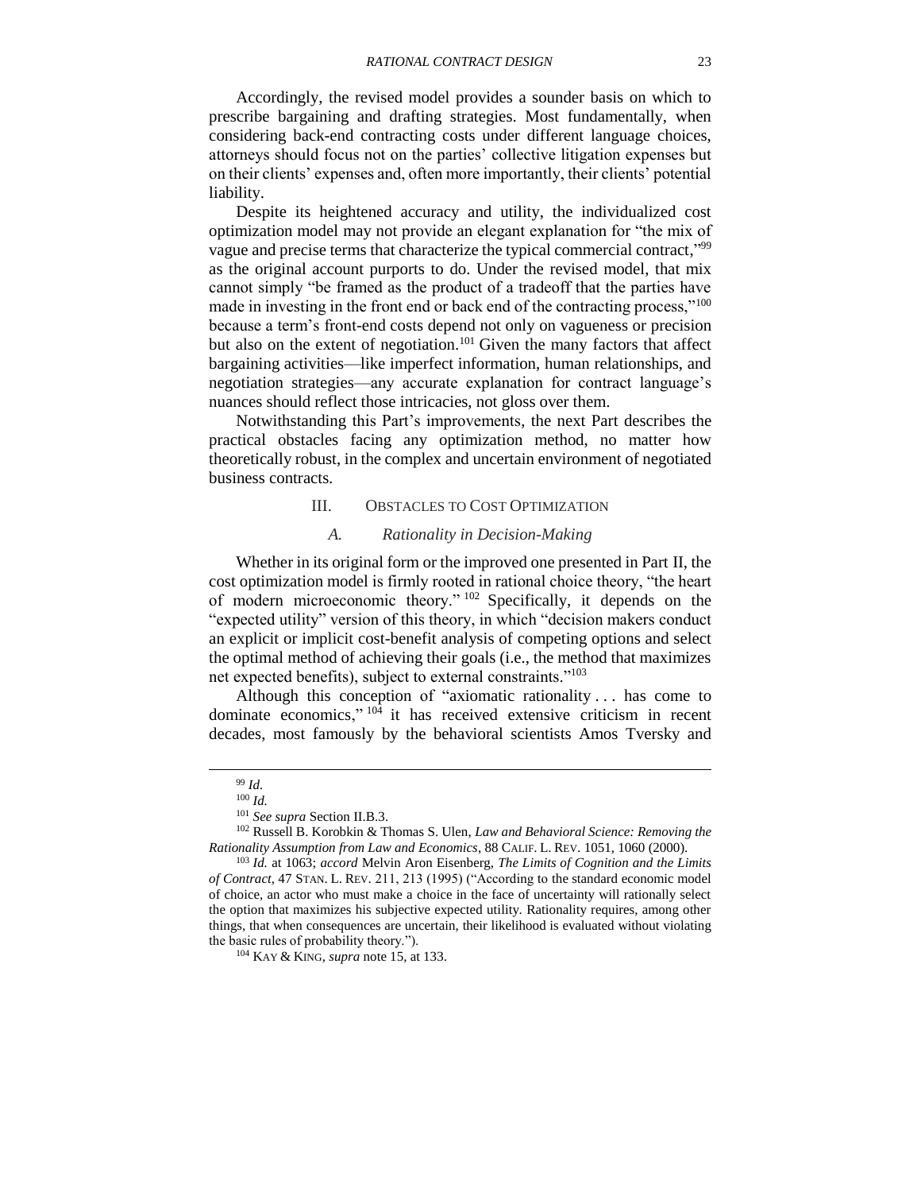Accordingly, the revised model provides a sounder basis on which to prescribe bargaining and drafting strategies. Most fundamentally, when considering back-end contracting costs under different language choices, attorneys should focus not on the parties' collective litigation expenses but on their clients' expenses and, often more importantly, their clients' potential liability.

Despite its heightened accuracy and utility, the individualized cost optimization model may not provide an elegant explanation for "the mix of vague and precise terms that characterize the typical commercial contract,"<sup>99</sup> as the original account purports to do. Under the revised model, that mix cannot simply "be framed as the product of a tradeoff that the parties have made in investing in the front end or back end of the contracting process,"<sup>100</sup> because a term's front-end costs depend not only on vagueness or precision but also on the extent of negotiation.<sup>101</sup> Given the many factors that affect bargaining activities—like imperfect information, human relationships, and negotiation strategies—any accurate explanation for contract language's nuances should reflect those intricacies, not gloss over them.

Notwithstanding this Part's improvements, the next Part describes the practical obstacles facing any optimization method, no matter how theoretically robust, in the complex and uncertain environment of negotiated business contracts.

## III. OBSTACLES TO COST OPTIMIZATION

## <span id="page-22-3"></span><span id="page-22-2"></span>*A. Rationality in Decision-Making*

<span id="page-22-1"></span><span id="page-22-0"></span>Whether in its original form or the improved one presented in Part [II,](#page-11-0) the cost optimization model is firmly rooted in rational choice theory, "the heart of modern microeconomic theory." <sup>102</sup> Specifically, it depends on the "expected utility" version of this theory, in which "decision makers conduct an explicit or implicit cost-benefit analysis of competing options and select the optimal method of achieving their goals (i.e., the method that maximizes net expected benefits), subject to external constraints."<sup>103</sup>

Although this conception of "axiomatic rationality . . . has come to dominate economics,"  $104$  it has received extensive criticism in recent decades, most famously by the behavioral scientists Amos Tversky and

 $\overline{\phantom{a}}$ 

<sup>99</sup> *Id.*

<sup>100</sup> *Id.*

<sup>101</sup> *See supra* Section [II.B.3.](#page-19-0)

<sup>102</sup> Russell B. Korobkin & Thomas S. Ulen, *Law and Behavioral Science: Removing the Rationality Assumption from Law and Economics*, 88 CALIF. L. REV. 1051, 1060 (2000).

<sup>103</sup> *Id.* at 1063; *accord* Melvin Aron Eisenberg, *The Limits of Cognition and the Limits of Contract*, 47 STAN. L. REV. 211, 213 (1995) ("According to the standard economic model of choice, an actor who must make a choice in the face of uncertainty will rationally select the option that maximizes his subjective expected utility. Rationality requires, among other things, that when consequences are uncertain, their likelihood is evaluated without violating the basic rules of probability theory.").

<sup>104</sup> KAY & KING, *supra* note [15,](#page-5-0) at 133.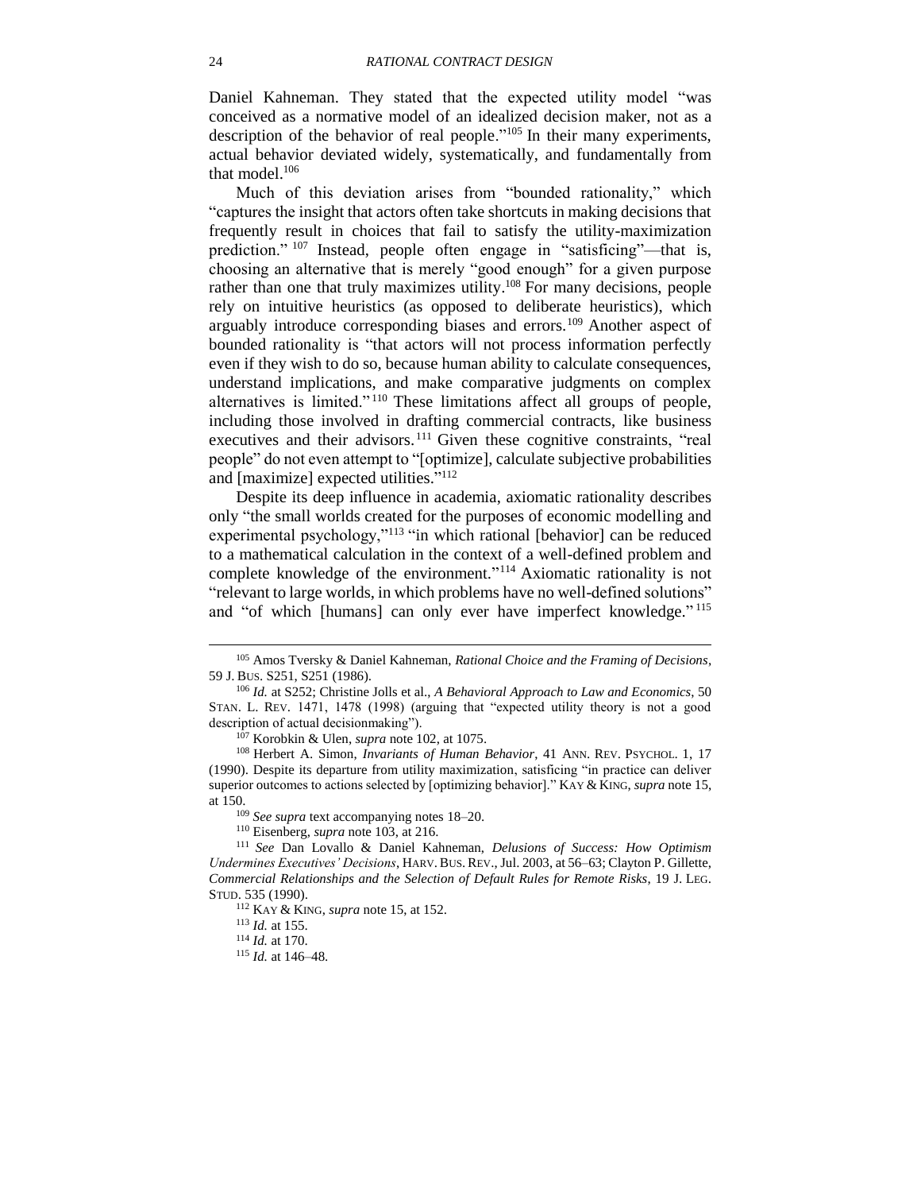<span id="page-23-4"></span>Daniel Kahneman. They stated that the expected utility model "was conceived as a normative model of an idealized decision maker, not as a description of the behavior of real people."<sup>105</sup> In their many experiments, actual behavior deviated widely, systematically, and fundamentally from that model.<sup>106</sup>

<span id="page-23-3"></span><span id="page-23-1"></span><span id="page-23-0"></span>Much of this deviation arises from "bounded rationality," which "captures the insight that actors often take shortcuts in making decisions that frequently result in choices that fail to satisfy the utility-maximization prediction." <sup>107</sup> Instead, people often engage in "satisficing"—that is, choosing an alternative that is merely "good enough" for a given purpose rather than one that truly maximizes utility.<sup>108</sup> For many decisions, people rely on intuitive heuristics (as opposed to deliberate heuristics), which arguably introduce corresponding biases and errors.<sup>109</sup> Another aspect of bounded rationality is "that actors will not process information perfectly even if they wish to do so, because human ability to calculate consequences, understand implications, and make comparative judgments on complex alternatives is limited." <sup>110</sup> These limitations affect all groups of people, including those involved in drafting commercial contracts, like business executives and their advisors.<sup>111</sup> Given these cognitive constraints, "real people" do not even attempt to "[optimize], calculate subjective probabilities and [maximize] expected utilities." 112

<span id="page-23-2"></span>Despite its deep influence in academia, axiomatic rationality describes only "the small worlds created for the purposes of economic modelling and experimental psychology,"<sup>113</sup> "in which rational [behavior] can be reduced to a mathematical calculation in the context of a well-defined problem and complete knowledge of the environment." <sup>114</sup> Axiomatic rationality is not "relevant to large worlds, in which problems have no well-defined solutions" and "of which [humans] can only ever have imperfect knowledge."<sup>115</sup>

 $\overline{\phantom{a}}$ 

<sup>105</sup> Amos Tversky & Daniel Kahneman, *Rational Choice and the Framing of Decisions*, 59 J. BUS. S251, S251 (1986).

<sup>106</sup> *Id.* at S252; Christine Jolls et al., *A Behavioral Approach to Law and Economics*, 50 STAN. L. REV. 1471, 1478 (1998) (arguing that "expected utility theory is not a good description of actual decisionmaking").

<sup>107</sup> Korobkin & Ulen, *supra* note [102,](#page-22-2) at 1075.

<sup>108</sup> Herbert A. Simon, *Invariants of Human Behavior*, 41 ANN. REV. PSYCHOL. 1, 17 (1990). Despite its departure from utility maximization, satisficing "in practice can deliver superior outcomes to actions selected by [optimizing behavior]." KAY & KING, *supra* note [15,](#page-5-0) at 150.

<sup>109</sup> *See supra* text accompanying notes [18–](#page-5-1)[20.](#page-5-2)

<sup>110</sup> Eisenberg, *supra* note [103,](#page-22-3) at 216.

<sup>111</sup> *See* Dan Lovallo & Daniel Kahneman, *Delusions of Success: How Optimism Undermines Executives' Decisions*, HARV.BUS.REV., Jul. 2003, at 56–63; Clayton P. Gillette, *Commercial Relationships and the Selection of Default Rules for Remote Risks*, 19 J. LEG. STUD. 535 (1990).

<sup>112</sup> KAY & KING, *supra* note [15,](#page-5-0) at 152.

<sup>113</sup> *Id.* at 155.

<sup>114</sup> *Id.* at 170.

<sup>115</sup> *Id.* at 146–48.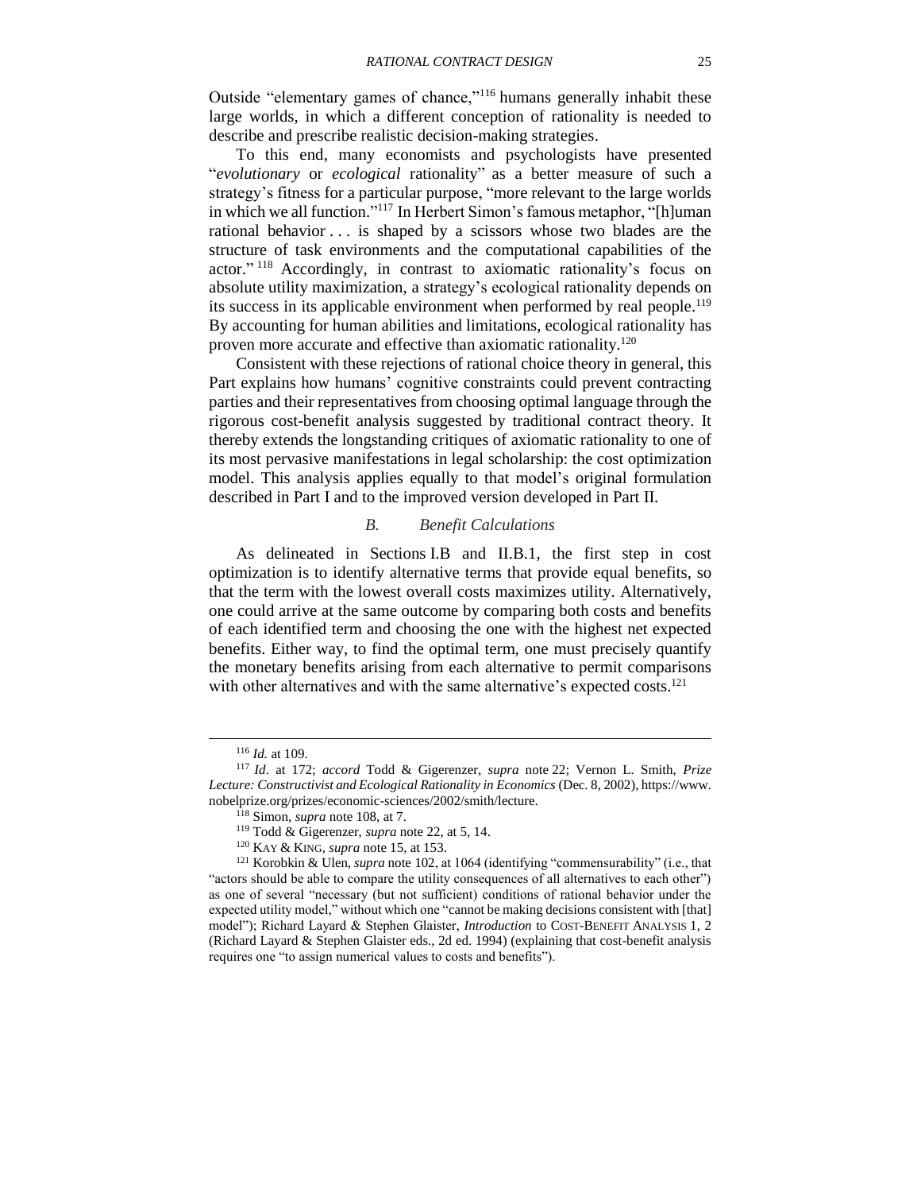Outside "elementary games of chance,"<sup>116</sup> humans generally inhabit these large worlds, in which a different conception of rationality is needed to describe and prescribe realistic decision-making strategies.

<span id="page-24-2"></span>To this end, many economists and psychologists have presented "*evolutionary* or *ecological* rationality" as a better measure of such a strategy's fitness for a particular purpose, "more relevant to the large worlds in which we all function." <sup>117</sup> In Herbert Simon's famous metaphor, "[h]uman rational behavior . . . is shaped by a scissors whose two blades are the structure of task environments and the computational capabilities of the actor."<sup>118</sup> Accordingly, in contrast to axiomatic rationality's focus on absolute utility maximization, a strategy's ecological rationality depends on its success in its applicable environment when performed by real people.<sup>119</sup> By accounting for human abilities and limitations, ecological rationality has proven more accurate and effective than axiomatic rationality.<sup>120</sup>

<span id="page-24-4"></span>Consistent with these rejections of rational choice theory in general, this Part explains how humans' cognitive constraints could prevent contracting parties and their representatives from choosing optimal language through the rigorous cost-benefit analysis suggested by traditional contract theory. It thereby extends the longstanding critiques of axiomatic rationality to one of its most pervasive manifestations in legal scholarship: the cost optimization model. This analysis applies equally to that model's original formulation described in Part [I](#page-7-0) and to the improved version developed in Part [II.](#page-11-0)

#### <span id="page-24-3"></span><span id="page-24-1"></span>*B. Benefit Calculations*

<span id="page-24-0"></span>As delineated in Sections [I.B](#page-9-0) and [II.B.1,](#page-14-1) the first step in cost optimization is to identify alternative terms that provide equal benefits, so that the term with the lowest overall costs maximizes utility. Alternatively, one could arrive at the same outcome by comparing both costs and benefits of each identified term and choosing the one with the highest net expected benefits. Either way, to find the optimal term, one must precisely quantify the monetary benefits arising from each alternative to permit comparisons with other alternatives and with the same alternative's expected costs.<sup>121</sup>

<sup>116</sup> *Id.* at 109.

<sup>117</sup> *Id*. at 172; *accord* Todd & Gigerenzer, *supra* note [22;](#page-6-0) Vernon L. Smith, *Prize Lecture: Constructivist and Ecological Rationality in Economics* (Dec. 8, 2002), https://www. nobelprize.org/prizes/economic-sciences/2002/smith/lecture.

<sup>118</sup> Simon, *supra* note [108,](#page-23-0) at 7.

<sup>119</sup> Todd & Gigerenzer, *supra* note [22,](#page-6-0) at 5, 14.

<sup>120</sup> KAY & KING, *supra* note [15,](#page-5-0) at 153.

<sup>121</sup> Korobkin & Ulen, *supra* note [102,](#page-22-2) at 1064 (identifying "commensurability" (i.e., that "actors should be able to compare the utility consequences of all alternatives to each other") as one of several "necessary (but not sufficient) conditions of rational behavior under the expected utility model," without which one "cannot be making decisions consistent with [that] model"); Richard Layard & Stephen Glaister, *Introduction* to COST-BENEFIT ANALYSIS 1, 2 (Richard Layard & Stephen Glaister eds., 2d ed. 1994) (explaining that cost-benefit analysis requires one "to assign numerical values to costs and benefits").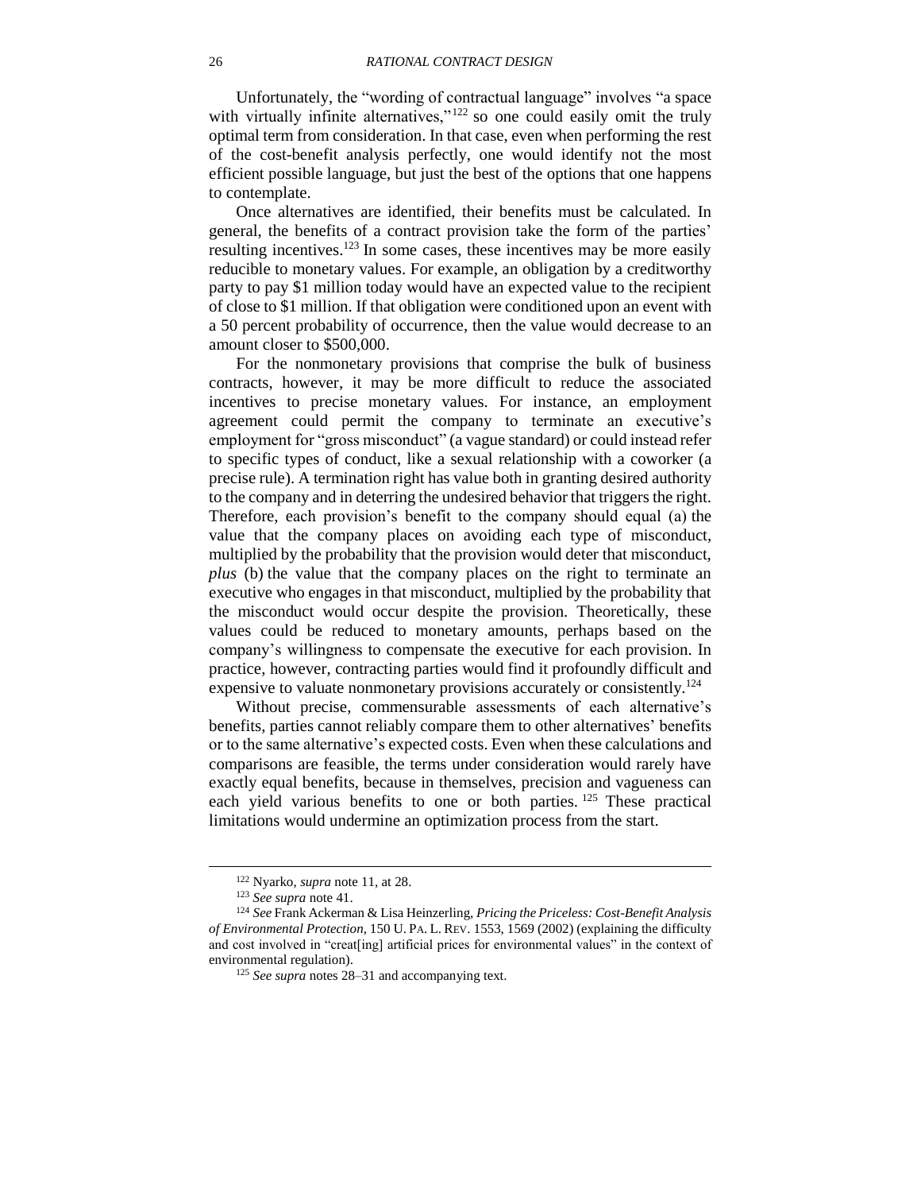Unfortunately, the "wording of contractual language" involves "a space with virtually infinite alternatives,"<sup>122</sup> so one could easily omit the truly optimal term from consideration. In that case, even when performing the rest of the cost-benefit analysis perfectly, one would identify not the most efficient possible language, but just the best of the options that one happens to contemplate.

Once alternatives are identified, their benefits must be calculated. In general, the benefits of a contract provision take the form of the parties' resulting incentives.<sup>123</sup> In some cases, these incentives may be more easily reducible to monetary values. For example, an obligation by a creditworthy party to pay \$1 million today would have an expected value to the recipient of close to \$1 million. If that obligation were conditioned upon an event with a 50 percent probability of occurrence, then the value would decrease to an amount closer to \$500,000.

For the nonmonetary provisions that comprise the bulk of business contracts, however, it may be more difficult to reduce the associated incentives to precise monetary values. For instance, an employment agreement could permit the company to terminate an executive's employment for "gross misconduct" (a vague standard) or could instead refer to specific types of conduct, like a sexual relationship with a coworker (a precise rule). A termination right has value both in granting desired authority to the company and in deterring the undesired behavior that triggers the right. Therefore, each provision's benefit to the company should equal (a) the value that the company places on avoiding each type of misconduct, multiplied by the probability that the provision would deter that misconduct, *plus* (b) the value that the company places on the right to terminate an executive who engages in that misconduct, multiplied by the probability that the misconduct would occur despite the provision. Theoretically, these values could be reduced to monetary amounts, perhaps based on the company's willingness to compensate the executive for each provision. In practice, however, contracting parties would find it profoundly difficult and expensive to valuate nonmonetary provisions accurately or consistently.<sup>124</sup>

<span id="page-25-0"></span>Without precise, commensurable assessments of each alternative's benefits, parties cannot reliably compare them to other alternatives' benefits or to the same alternative's expected costs. Even when these calculations and comparisons are feasible, the terms under consideration would rarely have exactly equal benefits, because in themselves, precision and vagueness can each yield various benefits to one or both parties. <sup>125</sup> These practical limitations would undermine an optimization process from the start.

<sup>122</sup> Nyarko, *supra* note [11,](#page-3-0) at 28.

<sup>123</sup> *See supra* note [41.](#page-9-3)

<sup>124</sup> *See* Frank Ackerman & Lisa Heinzerling, *Pricing the Priceless: Cost-Benefit Analysis of Environmental Protection*, 150 U. PA. L. REV. 1553, 1569 (2002) (explaining the difficulty and cost involved in "creat[ing] artificial prices for environmental values" in the context of environmental regulation).

<sup>125</sup> *See supra* notes [28](#page-7-3)[–31](#page-7-4) and accompanying text.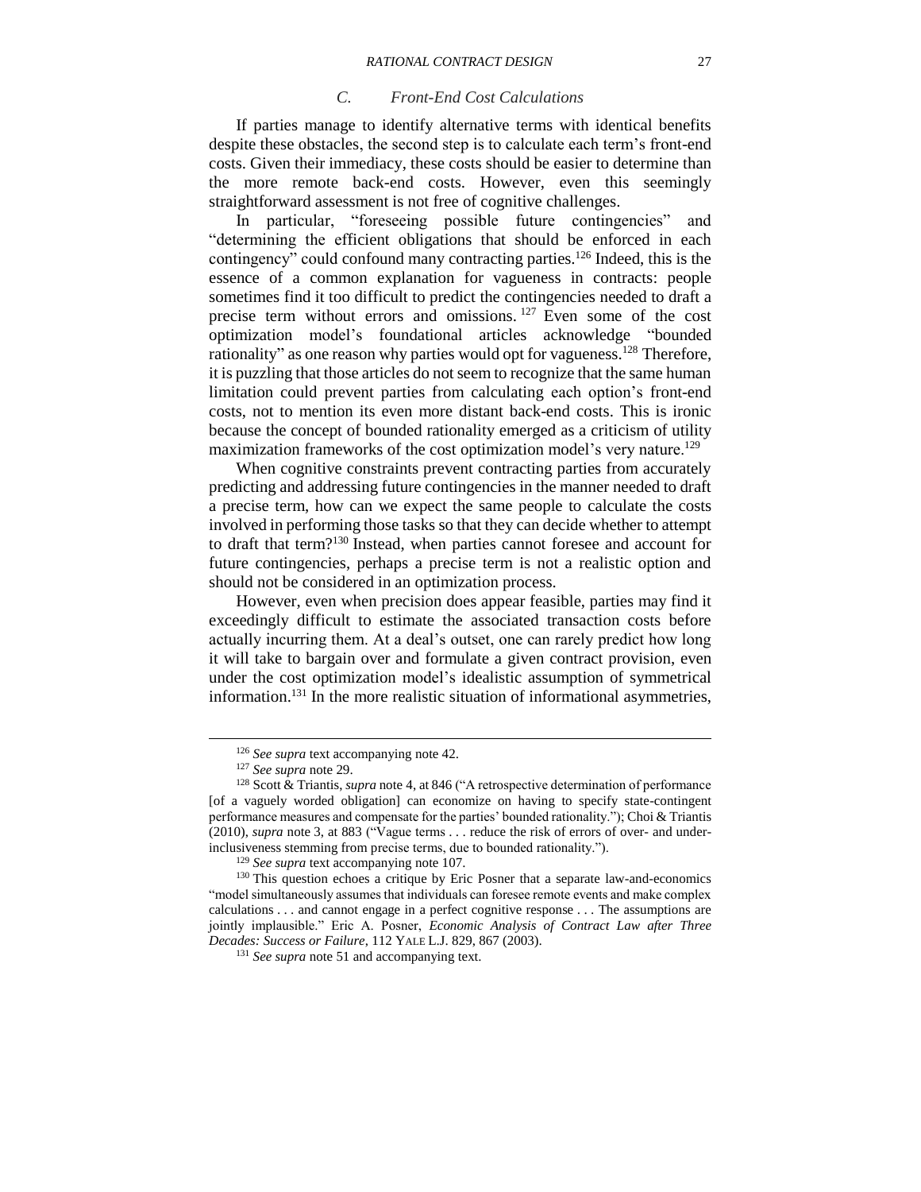#### *C. Front-End Cost Calculations*

<span id="page-26-0"></span>If parties manage to identify alternative terms with identical benefits despite these obstacles, the second step is to calculate each term's front-end costs. Given their immediacy, these costs should be easier to determine than the more remote back-end costs. However, even this seemingly straightforward assessment is not free of cognitive challenges.

In particular, "foreseeing possible future contingencies" and "determining the efficient obligations that should be enforced in each contingency" could confound many contracting parties.<sup>126</sup> Indeed, this is the essence of a common explanation for vagueness in contracts: people sometimes find it too difficult to predict the contingencies needed to draft a precise term without errors and omissions. <sup>127</sup> Even some of the cost optimization model's foundational articles acknowledge "bounded rationality" as one reason why parties would opt for vagueness.<sup>128</sup> Therefore, it is puzzling that those articles do not seem to recognize that the same human limitation could prevent parties from calculating each option's front-end costs, not to mention its even more distant back-end costs. This is ironic because the concept of bounded rationality emerged as a criticism of utility maximization frameworks of the cost optimization model's very nature.<sup>129</sup>

When cognitive constraints prevent contracting parties from accurately predicting and addressing future contingencies in the manner needed to draft a precise term, how can we expect the same people to calculate the costs involved in performing those tasks so that they can decide whether to attempt to draft that term?<sup>130</sup> Instead, when parties cannot foresee and account for future contingencies, perhaps a precise term is not a realistic option and should not be considered in an optimization process.

However, even when precision does appear feasible, parties may find it exceedingly difficult to estimate the associated transaction costs before actually incurring them. At a deal's outset, one can rarely predict how long it will take to bargain over and formulate a given contract provision, even under the cost optimization model's idealistic assumption of symmetrical information. <sup>131</sup> In the more realistic situation of informational asymmetries,

<sup>126</sup> *See supra* text accompanying note [42.](#page-10-3)

<sup>127</sup> *See supra* note [29.](#page-7-2)

<sup>128</sup> Scott & Triantis, *supra* note [4,](#page-2-1) at 846 ("A retrospective determination of performance [of a vaguely worded obligation] can economize on having to specify state-contingent performance measures and compensate for the parties' bounded rationality."); Choi & Triantis (2010), *supra* note [3,](#page-2-0) at 883 ("Vague terms . . . reduce the risk of errors of over- and underinclusiveness stemming from precise terms, due to bounded rationality.").

<sup>129</sup> *See supra* text accompanying note [107.](#page-23-1)

<sup>130</sup> This question echoes a critique by Eric Posner that a separate law-and-economics "model simultaneously assumes that individuals can foresee remote events and make complex calculations . . . and cannot engage in a perfect cognitive response . . . The assumptions are jointly implausible." Eric A. Posner, *Economic Analysis of Contract Law after Three Decades: Success or Failure*, 112 YALE L.J. 829, 867 (2003).

<sup>&</sup>lt;sup>131</sup> See supra note [51](#page-11-2) and accompanying text.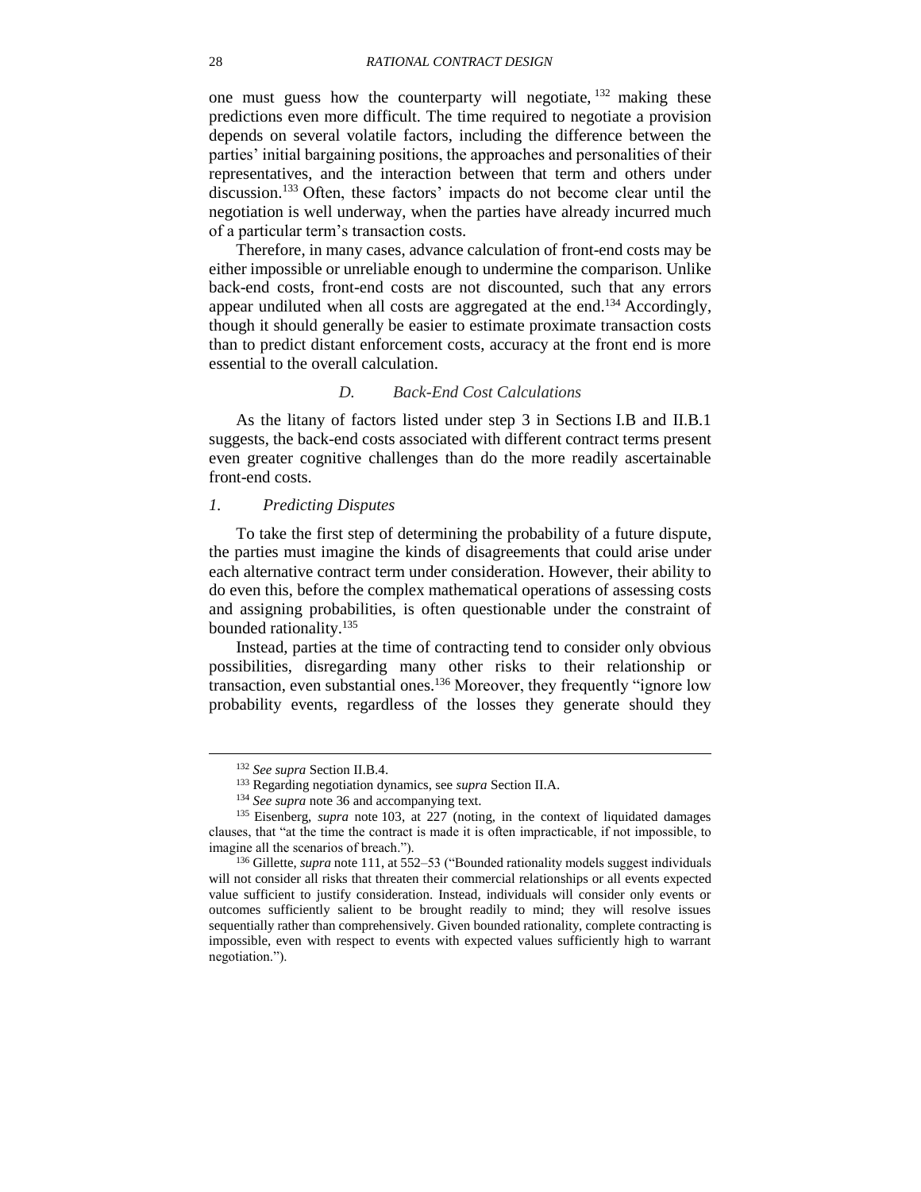<span id="page-27-2"></span>one must guess how the counterparty will negotiate, <sup>132</sup> making these predictions even more difficult. The time required to negotiate a provision depends on several volatile factors, including the difference between the parties' initial bargaining positions, the approaches and personalities of their representatives, and the interaction between that term and others under discussion. <sup>133</sup> Often, these factors' impacts do not become clear until the negotiation is well underway, when the parties have already incurred much of a particular term's transaction costs.

Therefore, in many cases, advance calculation of front-end costs may be either impossible or unreliable enough to undermine the comparison. Unlike back-end costs, front-end costs are not discounted, such that any errors appear undiluted when all costs are aggregated at the end.<sup>134</sup> Accordingly, though it should generally be easier to estimate proximate transaction costs than to predict distant enforcement costs, accuracy at the front end is more essential to the overall calculation.

## *D. Back-End Cost Calculations*

<span id="page-27-0"></span>As the litany of factors listed under step 3 in Sections [I.B](#page-9-0) and [II.B.1](#page-14-1) suggests, the back-end costs associated with different contract terms present even greater cognitive challenges than do the more readily ascertainable front-end costs.

## <span id="page-27-1"></span>*1. Predicting Disputes*

To take the first step of determining the probability of a future dispute, the parties must imagine the kinds of disagreements that could arise under each alternative contract term under consideration. However, their ability to do even this, before the complex mathematical operations of assessing costs and assigning probabilities, is often questionable under the constraint of bounded rationality.<sup>135</sup>

Instead, parties at the time of contracting tend to consider only obvious possibilities, disregarding many other risks to their relationship or transaction, even substantial ones.<sup>136</sup> Moreover, they frequently "ignore low probability events, regardless of the losses they generate should they

<sup>132</sup> *See supra* Section [II.B.4.](#page-20-0)

<sup>133</sup> Regarding negotiation dynamics, see *supra* Section [II.A.](#page-11-1)

<sup>134</sup> *See supra* note [36](#page-8-3) and accompanying text.

<sup>&</sup>lt;sup>135</sup> Eisenberg, *supra* note [103,](#page-22-3) at 227 (noting, in the context of liquidated damages clauses, that "at the time the contract is made it is often impracticable, if not impossible, to imagine all the scenarios of breach.").

<sup>136</sup> Gillette, *supra* note [111,](#page-23-2) at 552–53 ("Bounded rationality models suggest individuals will not consider all risks that threaten their commercial relationships or all events expected value sufficient to justify consideration. Instead, individuals will consider only events or outcomes sufficiently salient to be brought readily to mind; they will resolve issues sequentially rather than comprehensively. Given bounded rationality, complete contracting is impossible, even with respect to events with expected values sufficiently high to warrant negotiation.").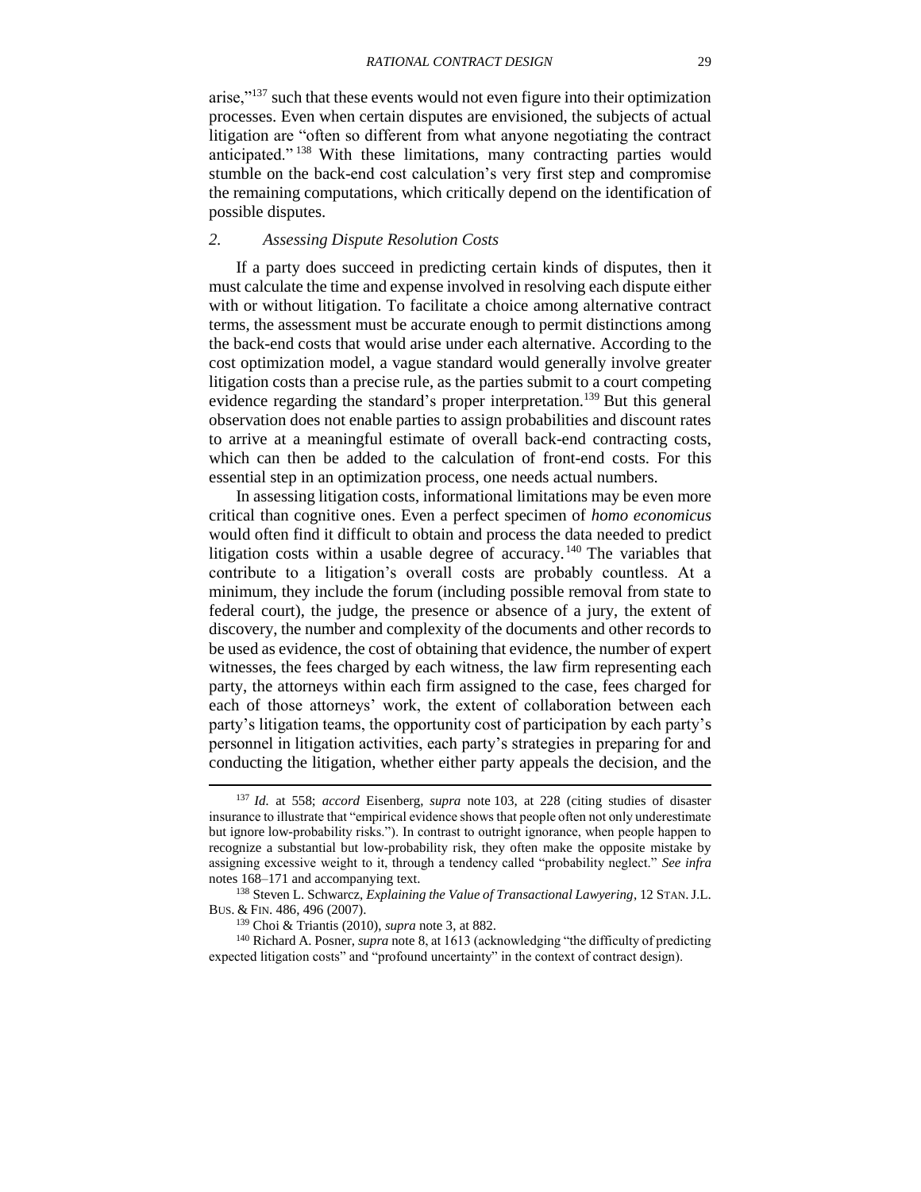<span id="page-28-1"></span>arise,"<sup>137</sup> such that these events would not even figure into their optimization processes. Even when certain disputes are envisioned, the subjects of actual litigation are "often so different from what anyone negotiating the contract anticipated." <sup>138</sup> With these limitations, many contracting parties would stumble on the back-end cost calculation's very first step and compromise the remaining computations, which critically depend on the identification of possible disputes.

## <span id="page-28-0"></span>*2. Assessing Dispute Resolution Costs*

If a party does succeed in predicting certain kinds of disputes, then it must calculate the time and expense involved in resolving each dispute either with or without litigation. To facilitate a choice among alternative contract terms, the assessment must be accurate enough to permit distinctions among the back-end costs that would arise under each alternative. According to the cost optimization model, a vague standard would generally involve greater litigation costs than a precise rule, as the parties submit to a court competing evidence regarding the standard's proper interpretation.<sup>139</sup> But this general observation does not enable parties to assign probabilities and discount rates to arrive at a meaningful estimate of overall back-end contracting costs, which can then be added to the calculation of front-end costs. For this essential step in an optimization process, one needs actual numbers.

<span id="page-28-2"></span>In assessing litigation costs, informational limitations may be even more critical than cognitive ones. Even a perfect specimen of *homo economicus*  would often find it difficult to obtain and process the data needed to predict litigation costs within a usable degree of accuracy.<sup>140</sup> The variables that contribute to a litigation's overall costs are probably countless. At a minimum, they include the forum (including possible removal from state to federal court), the judge, the presence or absence of a jury, the extent of discovery, the number and complexity of the documents and other records to be used as evidence, the cost of obtaining that evidence, the number of expert witnesses, the fees charged by each witness, the law firm representing each party, the attorneys within each firm assigned to the case, fees charged for each of those attorneys' work, the extent of collaboration between each party's litigation teams, the opportunity cost of participation by each party's personnel in litigation activities, each party's strategies in preparing for and conducting the litigation, whether either party appeals the decision, and the

<sup>137</sup> *Id.* at 558; *accord* Eisenberg, *supra* note [103,](#page-22-3) at 228 (citing studies of disaster insurance to illustrate that "empirical evidence shows that people often not only underestimate but ignore low-probability risks."). In contrast to outright ignorance, when people happen to recognize a substantial but low-probability risk, they often make the opposite mistake by assigning excessive weight to it, through a tendency called "probability neglect." *See infra*  notes [168](#page-32-0)[–171](#page-33-0) and accompanying text.

<sup>138</sup> Steven L. Schwarcz, *Explaining the Value of Transactional Lawyering*, 12 STAN.J.L. BUS. & FIN. 486, 496 (2007).

<sup>139</sup> Choi & Triantis (2010), *supra* note [3,](#page-2-0) at 882.

<sup>140</sup> Richard A. Posner, *supra* note [8,](#page-2-2) at 1613 (acknowledging "the difficulty of predicting expected litigation costs" and "profound uncertainty" in the context of contract design).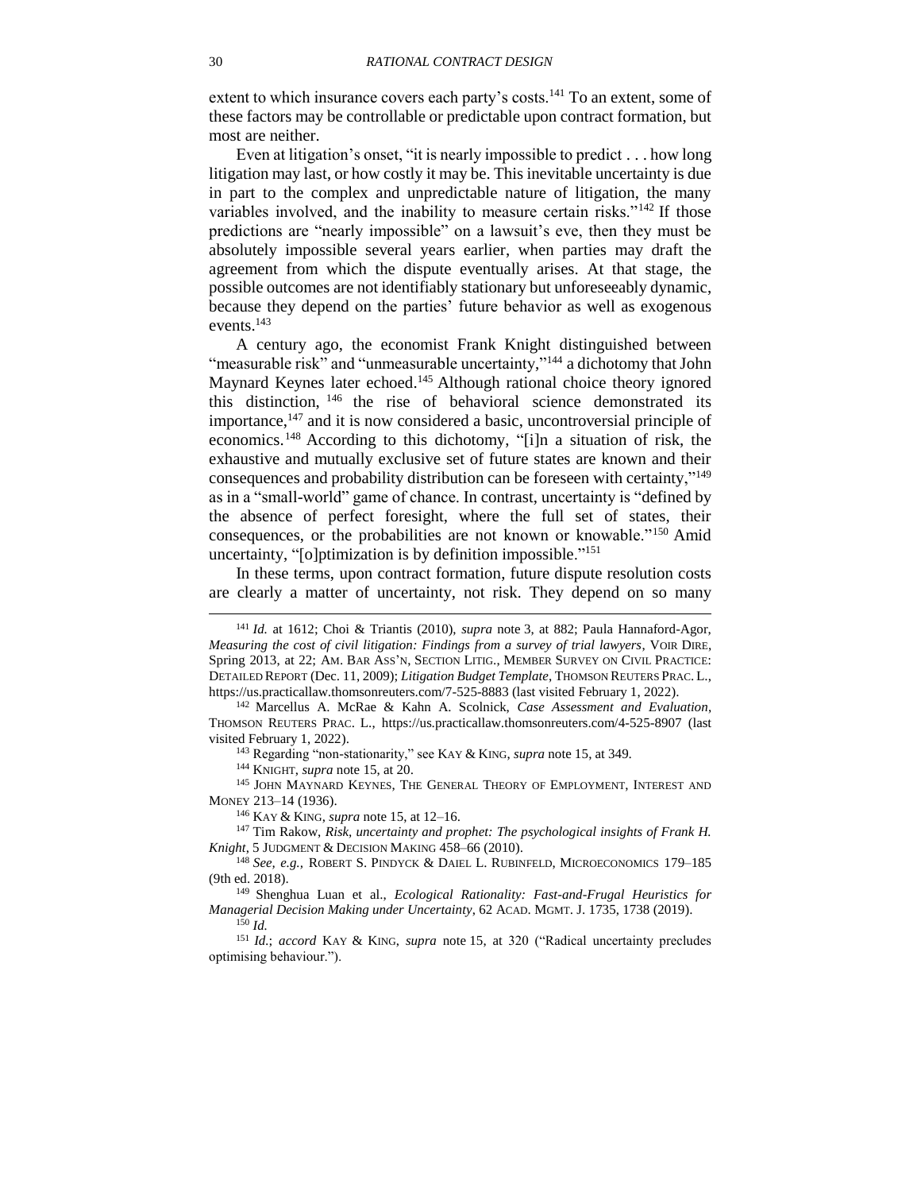<span id="page-29-2"></span>extent to which insurance covers each party's costs.<sup>141</sup> To an extent, some of these factors may be controllable or predictable upon contract formation, but most are neither.

Even at litigation's onset, "it is nearly impossible to predict . . . how long litigation may last, or how costly it may be. This inevitable uncertainty is due in part to the complex and unpredictable nature of litigation, the many variables involved, and the inability to measure certain risks."<sup>142</sup> If those predictions are "nearly impossible" on a lawsuit's eve, then they must be absolutely impossible several years earlier, when parties may draft the agreement from which the dispute eventually arises. At that stage, the possible outcomes are not identifiably stationary but unforeseeably dynamic, because they depend on the parties' future behavior as well as exogenous events.<sup>143</sup>

<span id="page-29-5"></span><span id="page-29-3"></span><span id="page-29-0"></span>A century ago, the economist Frank Knight distinguished between "measurable risk" and "unmeasurable uncertainty,"<sup>144</sup> a dichotomy that John Maynard Keynes later echoed.<sup>145</sup> Although rational choice theory ignored this distinction, <sup>146</sup> the rise of behavioral science demonstrated its importance, $147$  and it is now considered a basic, uncontroversial principle of economics. <sup>148</sup> According to this dichotomy, "[i]n a situation of risk, the exhaustive and mutually exclusive set of future states are known and their consequences and probability distribution can be foreseen with certainty,"<sup>149</sup> as in a "small-world" game of chance. In contrast, uncertainty is "defined by the absence of perfect foresight, where the full set of states, their consequences, or the probabilities are not known or knowable."<sup>150</sup> Amid uncertainty, "[o]ptimization is by definition impossible."<sup>151</sup>

<span id="page-29-4"></span><span id="page-29-1"></span>In these terms, upon contract formation, future dispute resolution costs are clearly a matter of uncertainty, not risk. They depend on so many

<sup>143</sup> Regarding "non-stationarity," see KAY & KING, *supra* note [15,](#page-5-0) at 349.

<sup>144</sup> KNIGHT, *supra* note [15,](#page-5-0) at 20.

<sup>145</sup> JOHN MAYNARD KEYNES, THE GENERAL THEORY OF EMPLOYMENT, INTEREST AND MONEY 213–14 (1936).

<sup>146</sup> KAY & KING, *supra* note [15,](#page-5-0) at 12–16.

<sup>147</sup> Tim Rakow, *Risk, uncertainty and prophet: The psychological insights of Frank H. Knight*, 5 JUDGMENT & DECISION MAKING 458–66 (2010).

<sup>141</sup> *Id.* at 1612; Choi & Triantis (2010), *supra* note [3,](#page-2-0) at 882; Paula Hannaford-Agor, *Measuring the cost of civil litigation: Findings from a survey of trial lawyers*, VOIR DIRE, Spring 2013, at 22; AM. BAR ASS'N, SECTION LITIG., MEMBER SURVEY ON CIVIL PRACTICE: DETAILED REPORT (Dec. 11, 2009); *Litigation Budget Template*, THOMSON REUTERS PRAC. L., https://us.practicallaw.thomsonreuters.com/7-525-8883 (last visited February 1, 2022).

<sup>142</sup> Marcellus A. McRae & Kahn A. Scolnick, *Case Assessment and Evaluation*, THOMSON REUTERS PRAC. L., https://us.practicallaw.thomsonreuters.com/4-525-8907 (last visited February 1, 2022).

<sup>148</sup> *See, e.g.,* ROBERT S. PINDYCK & DAIEL L. RUBINFELD, MICROECONOMICS 179–185 (9th ed. 2018).

<sup>149</sup> Shenghua Luan et al., *Ecological Rationality: Fast-and-Frugal Heuristics for Managerial Decision Making under Uncertainty*, 62 ACAD. MGMT. J. 1735, 1738 (2019). <sup>150</sup> *Id.*

<sup>151</sup> *Id.*; *accord* KAY & KING, *supra* note [15,](#page-5-0) at 320 ("Radical uncertainty precludes optimising behaviour.").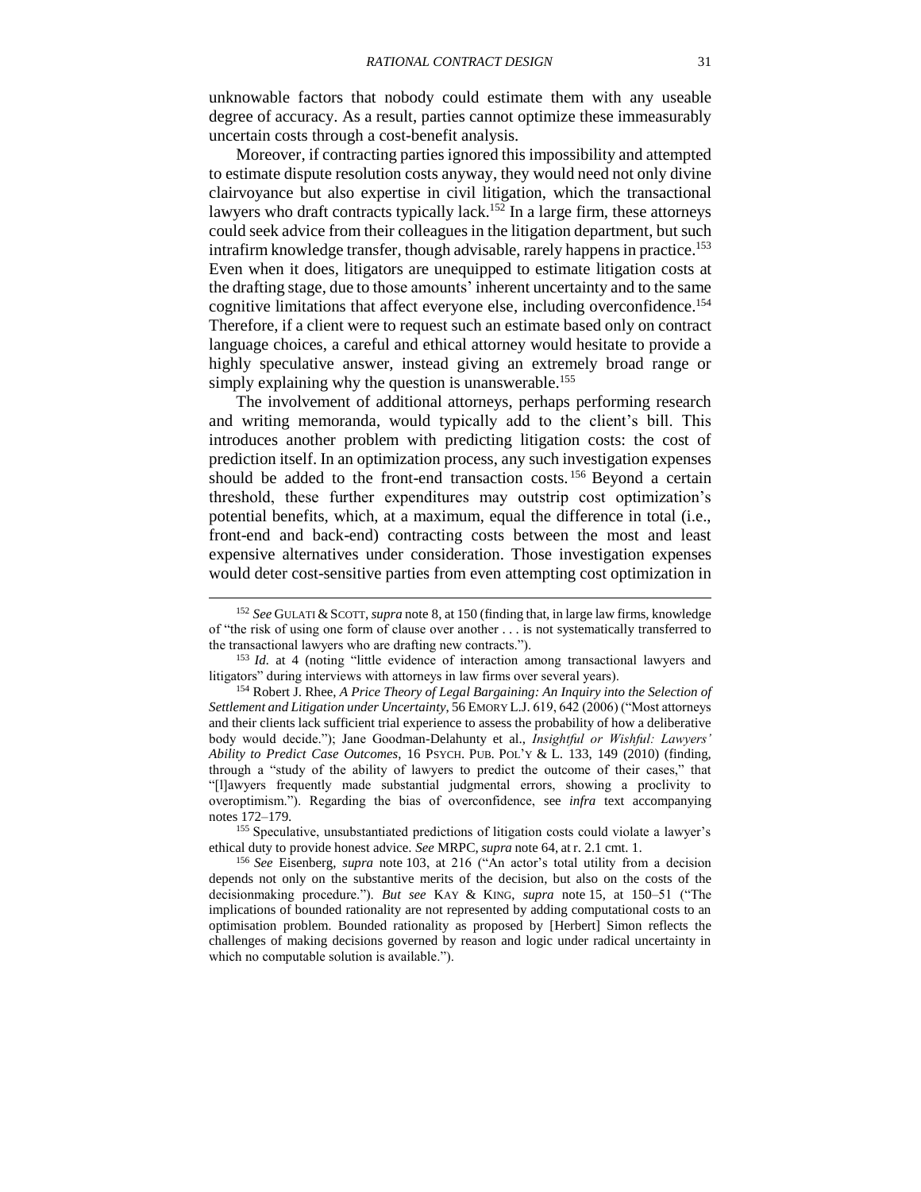unknowable factors that nobody could estimate them with any useable degree of accuracy. As a result, parties cannot optimize these immeasurably uncertain costs through a cost-benefit analysis.

<span id="page-30-2"></span><span id="page-30-1"></span>Moreover, if contracting parties ignored this impossibility and attempted to estimate dispute resolution costs anyway, they would need not only divine clairvoyance but also expertise in civil litigation, which the transactional lawyers who draft contracts typically lack.<sup>152</sup> In a large firm, these attorneys could seek advice from their colleagues in the litigation department, but such intrafirm knowledge transfer, though advisable, rarely happens in practice.<sup>153</sup> Even when it does, litigators are unequipped to estimate litigation costs at the drafting stage, due to those amounts' inherent uncertainty and to the same cognitive limitations that affect everyone else, including overconfidence. 154 Therefore, if a client were to request such an estimate based only on contract language choices, a careful and ethical attorney would hesitate to provide a highly speculative answer, instead giving an extremely broad range or simply explaining why the question is unanswerable.<sup>155</sup>

<span id="page-30-0"></span>The involvement of additional attorneys, perhaps performing research and writing memoranda, would typically add to the client's bill. This introduces another problem with predicting litigation costs: the cost of prediction itself. In an optimization process, any such investigation expenses should be added to the front-end transaction costs.<sup>156</sup> Beyond a certain threshold, these further expenditures may outstrip cost optimization's potential benefits, which, at a maximum, equal the difference in total (i.e., front-end and back-end) contracting costs between the most and least expensive alternatives under consideration. Those investigation expenses would deter cost-sensitive parties from even attempting cost optimization in

 $\overline{a}$ 

<sup>155</sup> Speculative, unsubstantiated predictions of litigation costs could violate a lawyer's ethical duty to provide honest advice. *See* MRPC, *supra* note [64,](#page-13-1) at r. 2.1 cmt. 1.

<sup>&</sup>lt;sup>152</sup> See GULATI & SCOTT, *supra* note [8,](#page-2-2) at 150 (finding that, in large law firms, knowledge of "the risk of using one form of clause over another . . . is not systematically transferred to the transactional lawyers who are drafting new contracts.").

<sup>&</sup>lt;sup>153</sup> *Id.* at 4 (noting "little evidence of interaction among transactional lawyers and litigators" during interviews with attorneys in law firms over several years).

<sup>154</sup> Robert J. Rhee, *A Price Theory of Legal Bargaining: An Inquiry into the Selection of Settlement and Litigation under Uncertainty*, 56 EMORY L.J. 619, 642 (2006) ("Most attorneys and their clients lack sufficient trial experience to assess the probability of how a deliberative body would decide."); Jane Goodman-Delahunty et al., *Insightful or Wishful: Lawyers' Ability to Predict Case Outcomes*, 16 PSYCH. PUB. POL'Y & L. 133, 149 (2010) (finding, through a "study of the ability of lawyers to predict the outcome of their cases," that "[l]awyers frequently made substantial judgmental errors, showing a proclivity to overoptimism."). Regarding the bias of overconfidence, see *infra* text accompanying notes [172](#page-33-1)[–179.](#page-34-1)

<sup>156</sup> *See* Eisenberg, *supra* note [103,](#page-22-3) at 216 ("An actor's total utility from a decision depends not only on the substantive merits of the decision, but also on the costs of the decisionmaking procedure."). *But see* KAY & KING, *supra* note [15,](#page-5-0) at 150–51 ("The implications of bounded rationality are not represented by adding computational costs to an optimisation problem. Bounded rationality as proposed by [Herbert] Simon reflects the challenges of making decisions governed by reason and logic under radical uncertainty in which no computable solution is available.").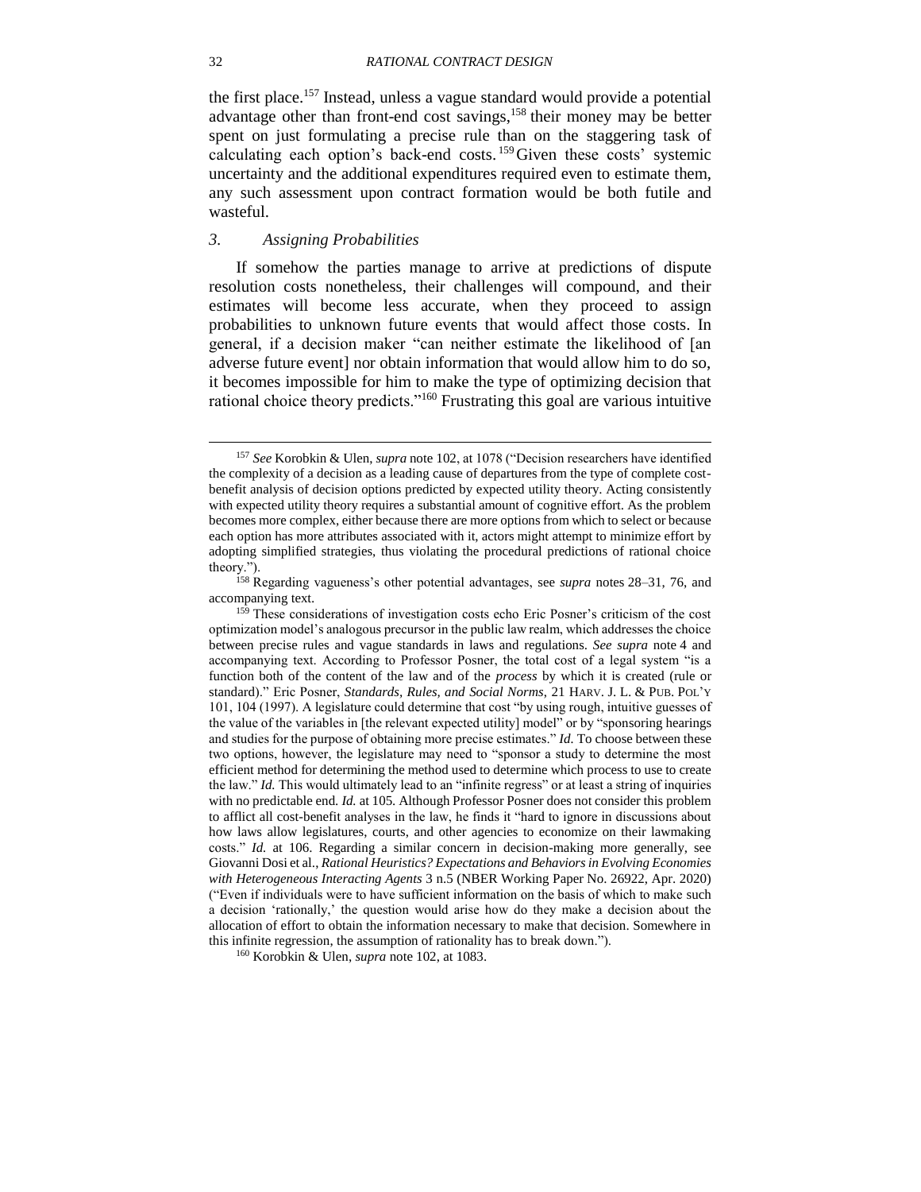<span id="page-31-1"></span>the first place.<sup>157</sup> Instead, unless a vague standard would provide a potential advantage other than front-end cost savings,<sup>158</sup> their money may be better spent on just formulating a precise rule than on the staggering task of calculating each option's back-end costs. <sup>159</sup>Given these costs' systemic uncertainty and the additional expenditures required even to estimate them, any such assessment upon contract formation would be both futile and wasteful.

## <span id="page-31-0"></span>*3. Assigning Probabilities*

If somehow the parties manage to arrive at predictions of dispute resolution costs nonetheless, their challenges will compound, and their estimates will become less accurate, when they proceed to assign probabilities to unknown future events that would affect those costs. In general, if a decision maker "can neither estimate the likelihood of [an adverse future event] nor obtain information that would allow him to do so, it becomes impossible for him to make the type of optimizing decision that rational choice theory predicts."<sup>160</sup> Frustrating this goal are various intuitive

<sup>157</sup> *See* Korobkin & Ulen, *supra* note [102,](#page-22-2) at 1078 ("Decision researchers have identified the complexity of a decision as a leading cause of departures from the type of complete costbenefit analysis of decision options predicted by expected utility theory. Acting consistently with expected utility theory requires a substantial amount of cognitive effort. As the problem becomes more complex, either because there are more options from which to select or because each option has more attributes associated with it, actors might attempt to minimize effort by adopting simplified strategies, thus violating the procedural predictions of rational choice theory.").

<sup>158</sup> Regarding vagueness's other potential advantages, see *supra* notes [28–](#page-7-3)[31,](#page-7-4) [76,](#page-17-1) and accompanying text.

<sup>&</sup>lt;sup>159</sup> These considerations of investigation costs echo Eric Posner's criticism of the cost optimization model's analogous precursor in the public law realm, which addresses the choice between precise rules and vague standards in laws and regulations. *See supra* note [4](#page-2-1) and accompanying text. According to Professor Posner, the total cost of a legal system "is a function both of the content of the law and of the *process* by which it is created (rule or standard)." Eric Posner, *Standards, Rules, and Social Norms*, 21 HARV. J. L. & PUB. POL'Y 101, 104 (1997). A legislature could determine that cost "by using rough, intuitive guesses of the value of the variables in [the relevant expected utility] model" or by "sponsoring hearings and studies for the purpose of obtaining more precise estimates." *Id.* To choose between these two options, however, the legislature may need to "sponsor a study to determine the most efficient method for determining the method used to determine which process to use to create the law." *Id.* This would ultimately lead to an "infinite regress" or at least a string of inquiries with no predictable end. *Id.* at 105. Although Professor Posner does not consider this problem to afflict all cost-benefit analyses in the law, he finds it "hard to ignore in discussions about how laws allow legislatures, courts, and other agencies to economize on their lawmaking costs." *Id.* at 106. Regarding a similar concern in decision-making more generally, see Giovanni Dosi et al., *Rational Heuristics? Expectations and Behaviors in Evolving Economies with Heterogeneous Interacting Agents* 3 n.5 (NBER Working Paper No. 26922, Apr. 2020) ("Even if individuals were to have sufficient information on the basis of which to make such a decision 'rationally,' the question would arise how do they make a decision about the allocation of effort to obtain the information necessary to make that decision. Somewhere in this infinite regression, the assumption of rationality has to break down.").

<sup>160</sup> Korobkin & Ulen, *supra* note [102,](#page-22-2) at 1083.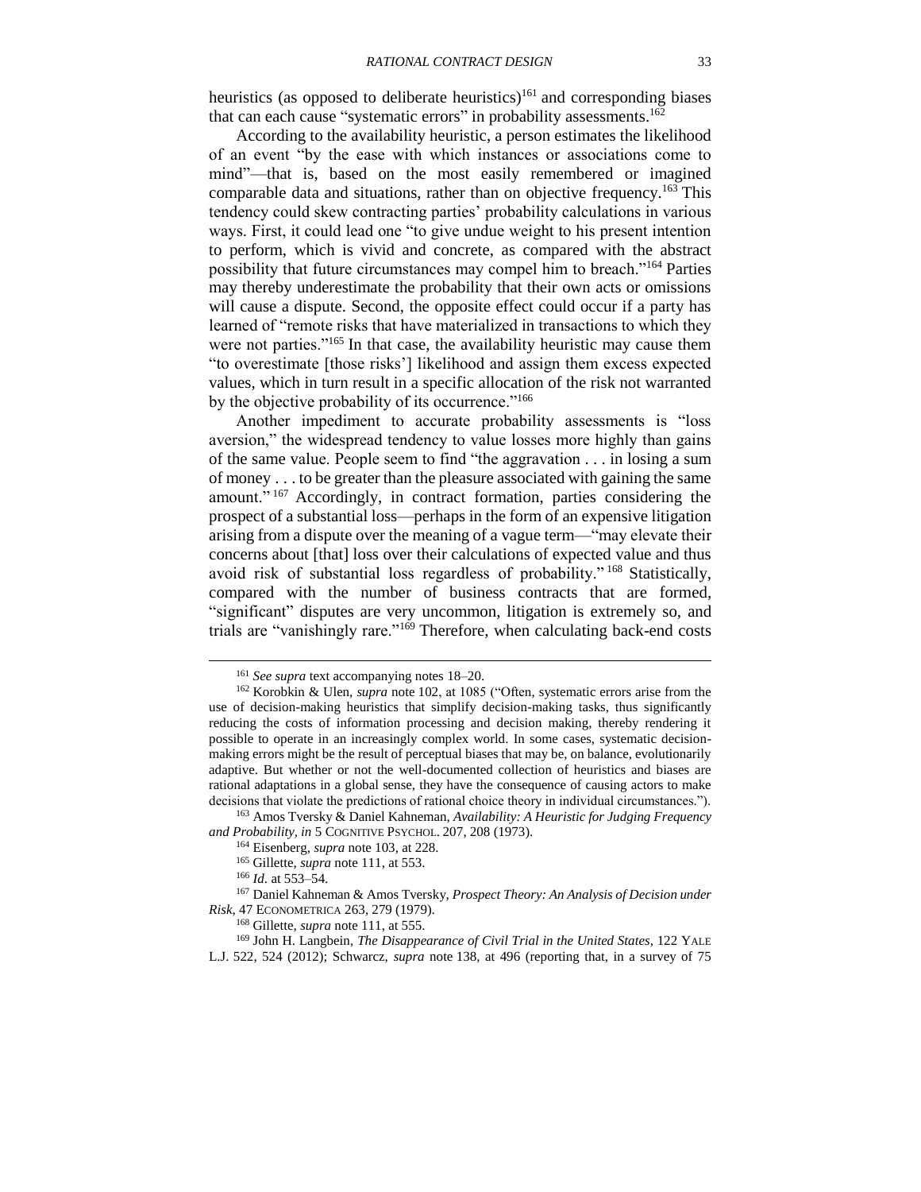heuristics (as opposed to deliberate heuristics)<sup>161</sup> and corresponding biases that can each cause "systematic errors" in probability assessments.<sup>162</sup>

According to the availability heuristic, a person estimates the likelihood of an event "by the ease with which instances or associations come to mind"—that is, based on the most easily remembered or imagined comparable data and situations, rather than on objective frequency.<sup>163</sup> This tendency could skew contracting parties' probability calculations in various ways. First, it could lead one "to give undue weight to his present intention to perform, which is vivid and concrete, as compared with the abstract possibility that future circumstances may compel him to breach."<sup>164</sup> Parties may thereby underestimate the probability that their own acts or omissions will cause a dispute. Second, the opposite effect could occur if a party has learned of "remote risks that have materialized in transactions to which they were not parties."<sup>165</sup> In that case, the availability heuristic may cause them "to overestimate [those risks'] likelihood and assign them excess expected values, which in turn result in a specific allocation of the risk not warranted by the objective probability of its occurrence."<sup>166</sup>

Another impediment to accurate probability assessments is "loss aversion," the widespread tendency to value losses more highly than gains of the same value. People seem to find "the aggravation . . . in losing a sum of money . . . to be greater than the pleasure associated with gaining the same amount."<sup>167</sup> Accordingly, in contract formation, parties considering the prospect of a substantial loss—perhaps in the form of an expensive litigation arising from a dispute over the meaning of a vague term—"may elevate their concerns about [that] loss over their calculations of expected value and thus avoid risk of substantial loss regardless of probability." <sup>168</sup> Statistically, compared with the number of business contracts that are formed, "significant" disputes are very uncommon, litigation is extremely so, and trials are "vanishingly rare."<sup>169</sup> Therefore, when calculating back-end costs

<span id="page-32-1"></span><span id="page-32-0"></span><sup>161</sup> *See supra* text accompanying notes [18–](#page-5-1)[20.](#page-5-2)

<sup>162</sup> Korobkin & Ulen, *supra* note [102,](#page-22-2) at 1085 ("Often, systematic errors arise from the use of decision-making heuristics that simplify decision-making tasks, thus significantly reducing the costs of information processing and decision making, thereby rendering it possible to operate in an increasingly complex world. In some cases, systematic decisionmaking errors might be the result of perceptual biases that may be, on balance, evolutionarily adaptive. But whether or not the well-documented collection of heuristics and biases are rational adaptations in a global sense, they have the consequence of causing actors to make decisions that violate the predictions of rational choice theory in individual circumstances.").

<sup>163</sup> Amos Tversky & Daniel Kahneman, *Availability: A Heuristic for Judging Frequency and Probability, in* 5 COGNITIVE PSYCHOL. 207, 208 (1973).

<sup>164</sup> Eisenberg, *supra* note [103,](#page-22-3) at 228.

<sup>165</sup> Gillette, *supra* note [111,](#page-23-2) at 553.

<sup>166</sup> *Id*. at 553–54.

<sup>167</sup> Daniel Kahneman & Amos Tversky, *Prospect Theory: An Analysis of Decision under Risk*, 47 ECONOMETRICA 263, 279 (1979).

<sup>168</sup> Gillette, *supra* note [111,](#page-23-2) at 555.

<sup>169</sup> John H. Langbein, *The Disappearance of Civil Trial in the United States*, 122 YALE

L.J. 522, 524 (2012); Schwarcz, *supra* note [138,](#page-28-1) at 496 (reporting that, in a survey of 75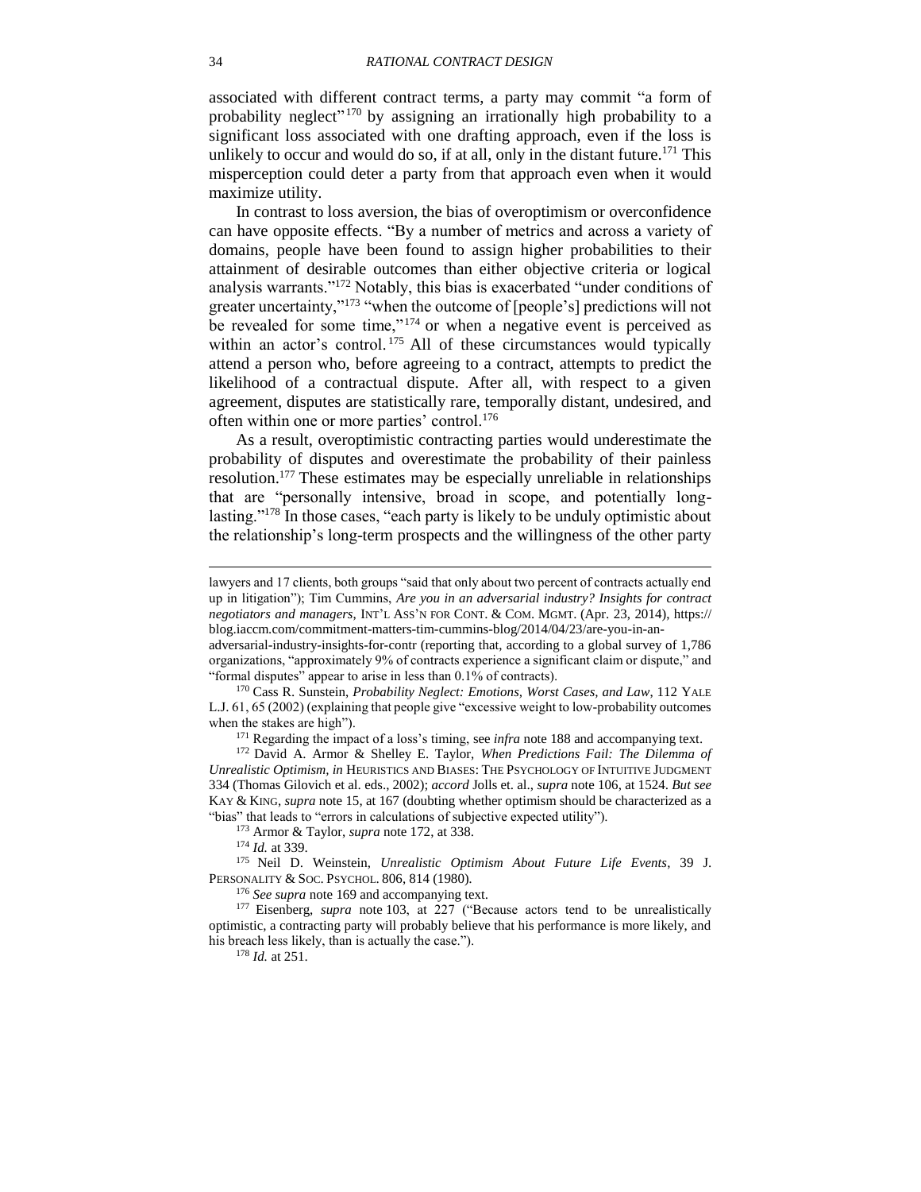<span id="page-33-0"></span>associated with different contract terms, a party may commit "a form of probability neglect"<sup>170</sup> by assigning an irrationally high probability to a significant loss associated with one drafting approach, even if the loss is unlikely to occur and would do so, if at all, only in the distant future.<sup>171</sup> This misperception could deter a party from that approach even when it would maximize utility.

<span id="page-33-1"></span>In contrast to loss aversion, the bias of overoptimism or overconfidence can have opposite effects. "By a number of metrics and across a variety of domains, people have been found to assign higher probabilities to their attainment of desirable outcomes than either objective criteria or logical analysis warrants."<sup>172</sup> Notably, this bias is exacerbated "under conditions of greater uncertainty,"<sup>173</sup> "when the outcome of [people's] predictions will not be revealed for some time," $174}$  or when a negative event is perceived as within an actor's control.<sup>175</sup> All of these circumstances would typically attend a person who, before agreeing to a contract, attempts to predict the likelihood of a contractual dispute. After all, with respect to a given agreement, disputes are statistically rare, temporally distant, undesired, and often within one or more parties' control.<sup>176</sup>

As a result, overoptimistic contracting parties would underestimate the probability of disputes and overestimate the probability of their painless resolution.<sup>177</sup> These estimates may be especially unreliable in relationships that are "personally intensive, broad in scope, and potentially longlasting."<sup>178</sup> In those cases, "each party is likely to be unduly optimistic about the relationship's long-term prospects and the willingness of the other party

<sup>173</sup> Armor & Taylor, *supra* note [172,](#page-33-1) at 338.

<sup>176</sup> *See supra* note [169](#page-32-1) and accompanying text.

lawyers and 17 clients, both groups "said that only about two percent of contracts actually end up in litigation"); Tim Cummins, *Are you in an adversarial industry? Insights for contract negotiators and managers*, INT'L ASS'N FOR CONT. & COM. MGMT. (Apr. 23, 2014), https:// blog.iaccm.com/commitment-matters-tim-cummins-blog/2014/04/23/are-you-in-an-

adversarial-industry-insights-for-contr (reporting that, according to a global survey of 1,786 organizations, "approximately 9% of contracts experience a significant claim or dispute," and "formal disputes" appear to arise in less than 0.1% of contracts).

<sup>170</sup> Cass R. Sunstein, *Probability Neglect: Emotions, Worst Cases, and Law*, 112 YALE L.J. 61, 65 (2002) (explaining that people give "excessive weight to low-probability outcomes when the stakes are high").

<sup>171</sup> Regarding the impact of a loss's timing, see *infra* note [188](#page-35-0) and accompanying text.

<sup>172</sup> David A. Armor & Shelley E. Taylor, *When Predictions Fail: The Dilemma of Unrealistic Optimism, in* HEURISTICS AND BIASES: THE PSYCHOLOGY OF INTUITIVE JUDGMENT 334 (Thomas Gilovich et al. eds., 2002); *accord* Jolls et. al., *supra* note [106,](#page-23-3) at 1524. *But see*  KAY & KING, *supra* note [15,](#page-5-0) at 167 (doubting whether optimism should be characterized as a "bias" that leads to "errors in calculations of subjective expected utility").

<sup>174</sup> *Id.* at 339.

<sup>175</sup> Neil D. Weinstein, *Unrealistic Optimism About Future Life Events*, 39 J. PERSONALITY & SOC. PSYCHOL. 806, 814 (1980)*.*

<sup>&</sup>lt;sup>177</sup> Eisenberg, *supra* note [103,](#page-22-3) at 227 ("Because actors tend to be unrealistically optimistic, a contracting party will probably believe that his performance is more likely, and his breach less likely, than is actually the case.").

<sup>178</sup> *Id.* at 251.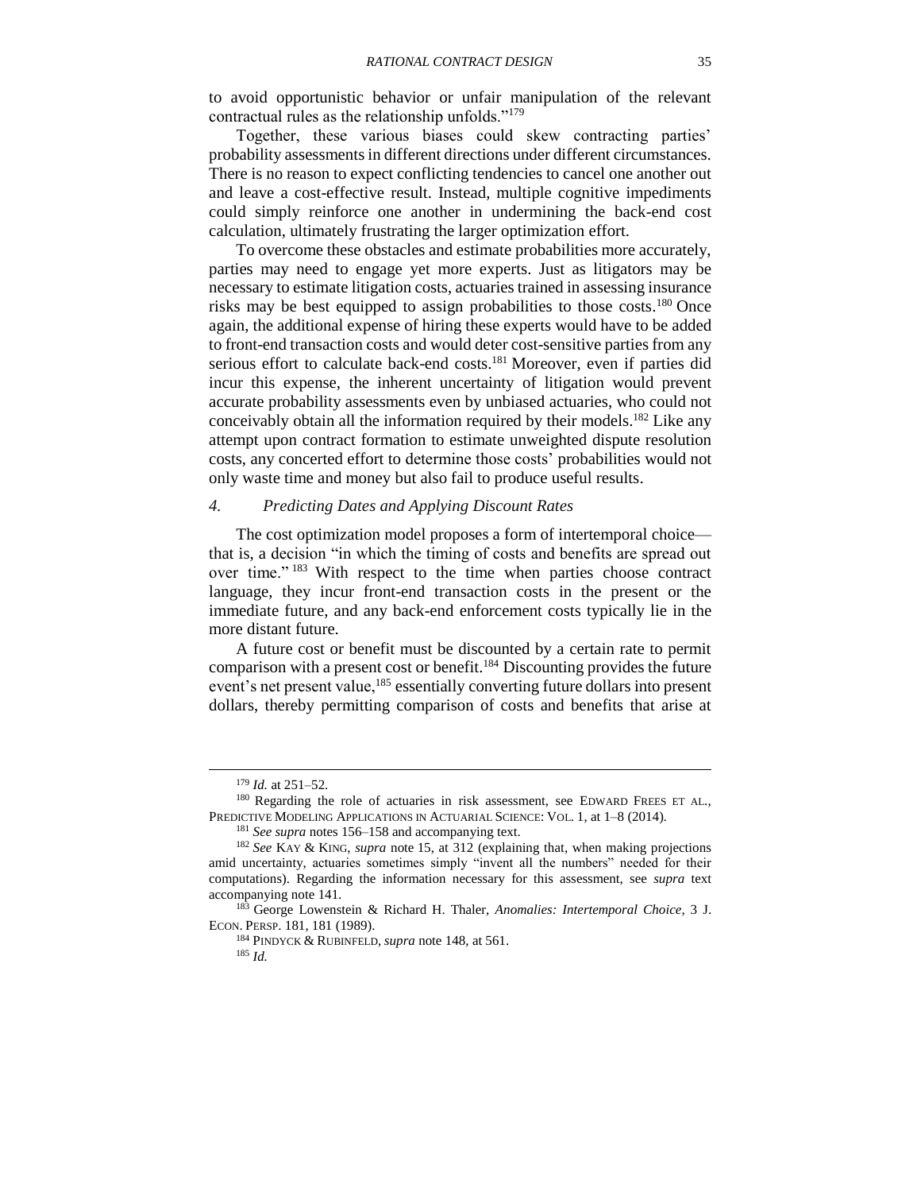<span id="page-34-1"></span>to avoid opportunistic behavior or unfair manipulation of the relevant contractual rules as the relationship unfolds."<sup>179</sup>

Together, these various biases could skew contracting parties' probability assessments in different directions under different circumstances. There is no reason to expect conflicting tendencies to cancel one another out and leave a cost-effective result. Instead, multiple cognitive impediments could simply reinforce one another in undermining the back-end cost calculation, ultimately frustrating the larger optimization effort.

<span id="page-34-2"></span>To overcome these obstacles and estimate probabilities more accurately, parties may need to engage yet more experts. Just as litigators may be necessary to estimate litigation costs, actuaries trained in assessing insurance risks may be best equipped to assign probabilities to those costs.<sup>180</sup> Once again, the additional expense of hiring these experts would have to be added to front-end transaction costs and would deter cost-sensitive parties from any serious effort to calculate back-end costs.<sup>181</sup> Moreover, even if parties did incur this expense, the inherent uncertainty of litigation would prevent accurate probability assessments even by unbiased actuaries, who could not conceivably obtain all the information required by their models. <sup>182</sup> Like any attempt upon contract formation to estimate unweighted dispute resolution costs, any concerted effort to determine those costs' probabilities would not only waste time and money but also fail to produce useful results.

#### <span id="page-34-0"></span>*4. Predicting Dates and Applying Discount Rates*

<span id="page-34-3"></span>The cost optimization model proposes a form of intertemporal choice that is, a decision "in which the timing of costs and benefits are spread out over time." <sup>183</sup> With respect to the time when parties choose contract language, they incur front-end transaction costs in the present or the immediate future, and any back-end enforcement costs typically lie in the more distant future.

A future cost or benefit must be discounted by a certain rate to permit comparison with a present cost or benefit.<sup>184</sup> Discounting provides the future event's net present value,<sup>185</sup> essentially converting future dollars into present dollars, thereby permitting comparison of costs and benefits that arise at

<sup>179</sup> *Id.* at 251–52.

<sup>&</sup>lt;sup>180</sup> Regarding the role of actuaries in risk assessment, see EDWARD FREES ET AL., PREDICTIVE MODELING APPLICATIONS IN ACTUARIAL SCIENCE: VOL. 1, at 1–8 (2014).

<sup>181</sup> *See supra* notes [156–](#page-30-0)[158](#page-31-1) and accompanying text.

<sup>182</sup> *See* KAY & KING, *supra* note [15,](#page-5-0) at 312 (explaining that, when making projections amid uncertainty, actuaries sometimes simply "invent all the numbers" needed for their computations). Regarding the information necessary for this assessment, see *supra* text accompanying note [141.](#page-29-2)

<sup>183</sup> George Lowenstein & Richard H. Thaler, *Anomalies: Intertemporal Choice*, 3 J. ECON. PERSP. 181, 181 (1989).

<sup>184</sup> PINDYCK & RUBINFELD, *supra* note [148,](#page-29-3) at 561.

<sup>185</sup> *Id.*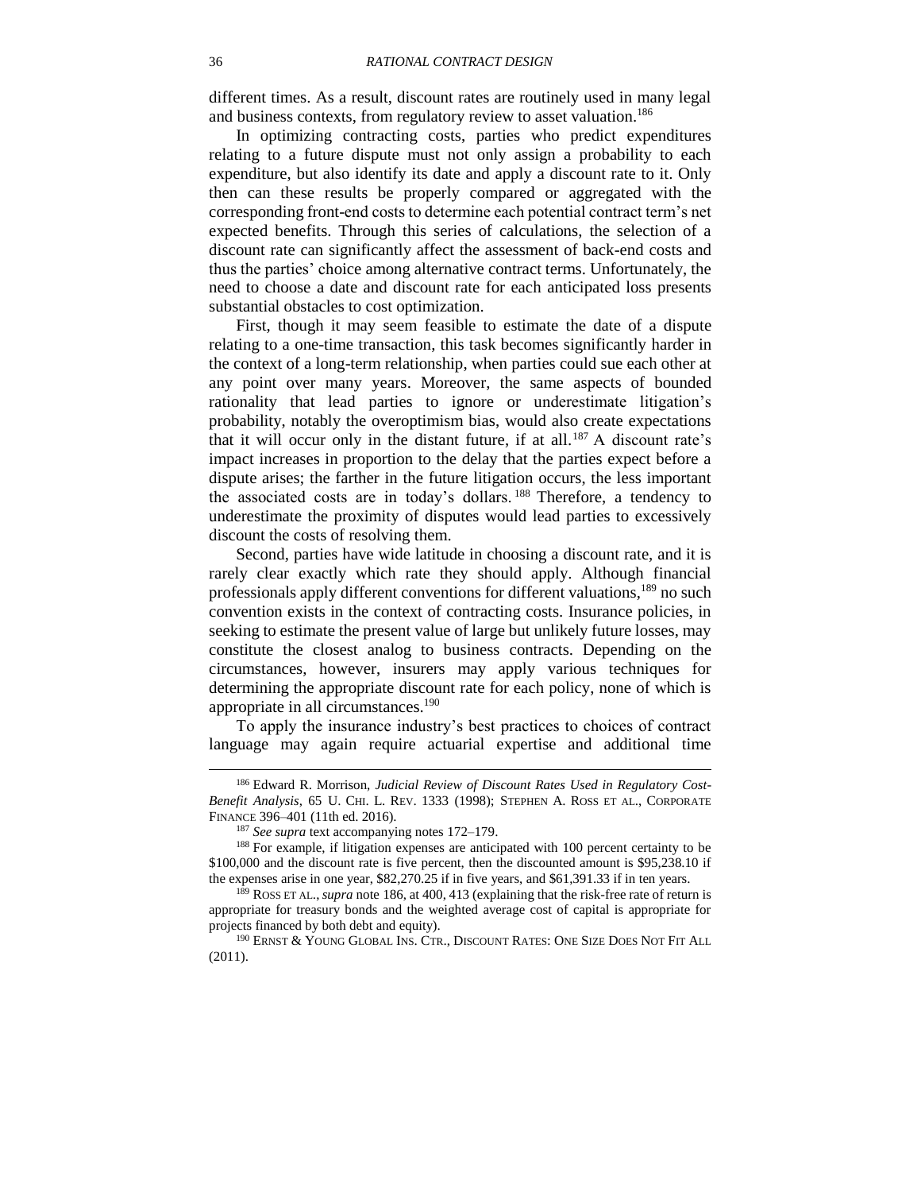<span id="page-35-1"></span>different times. As a result, discount rates are routinely used in many legal and business contexts, from regulatory review to asset valuation.<sup>186</sup>

In optimizing contracting costs, parties who predict expenditures relating to a future dispute must not only assign a probability to each expenditure, but also identify its date and apply a discount rate to it. Only then can these results be properly compared or aggregated with the corresponding front-end costs to determine each potential contract term's net expected benefits. Through this series of calculations, the selection of a discount rate can significantly affect the assessment of back-end costs and thus the parties' choice among alternative contract terms. Unfortunately, the need to choose a date and discount rate for each anticipated loss presents substantial obstacles to cost optimization.

First, though it may seem feasible to estimate the date of a dispute relating to a one-time transaction, this task becomes significantly harder in the context of a long-term relationship, when parties could sue each other at any point over many years. Moreover, the same aspects of bounded rationality that lead parties to ignore or underestimate litigation's probability, notably the overoptimism bias, would also create expectations that it will occur only in the distant future, if at all.<sup>187</sup> A discount rate's impact increases in proportion to the delay that the parties expect before a dispute arises; the farther in the future litigation occurs, the less important the associated costs are in today's dollars. <sup>188</sup> Therefore, a tendency to underestimate the proximity of disputes would lead parties to excessively discount the costs of resolving them.

<span id="page-35-0"></span>Second, parties have wide latitude in choosing a discount rate, and it is rarely clear exactly which rate they should apply. Although financial professionals apply different conventions for different valuations,<sup>189</sup> no such convention exists in the context of contracting costs. Insurance policies, in seeking to estimate the present value of large but unlikely future losses, may constitute the closest analog to business contracts. Depending on the circumstances, however, insurers may apply various techniques for determining the appropriate discount rate for each policy, none of which is appropriate in all circumstances.<sup>190</sup>

<span id="page-35-2"></span>To apply the insurance industry's best practices to choices of contract language may again require actuarial expertise and additional time

<sup>186</sup> Edward R. Morrison, *Judicial Review of Discount Rates Used in Regulatory Cost-Benefit Analysis*, 65 U. CHI. L. REV. 1333 (1998); STEPHEN A. ROSS ET AL., CORPORATE FINANCE 396–401 (11th ed. 2016).

<sup>187</sup> *See supra* text accompanying notes [172](#page-33-1)[–179.](#page-34-1)

<sup>188</sup> For example, if litigation expenses are anticipated with 100 percent certainty to be \$100,000 and the discount rate is five percent, then the discounted amount is \$95,238.10 if the expenses arise in one year, \$82,270.25 if in five years, and \$61,391.33 if in ten years.

<sup>189</sup> ROSS ET AL.,*supra* note [186,](#page-35-1) at 400, 413 (explaining that the risk-free rate of return is appropriate for treasury bonds and the weighted average cost of capital is appropriate for projects financed by both debt and equity).

<sup>190</sup> ERNST & YOUNG GLOBAL INS. CTR., DISCOUNT RATES: ONE SIZE DOES NOT FIT ALL (2011).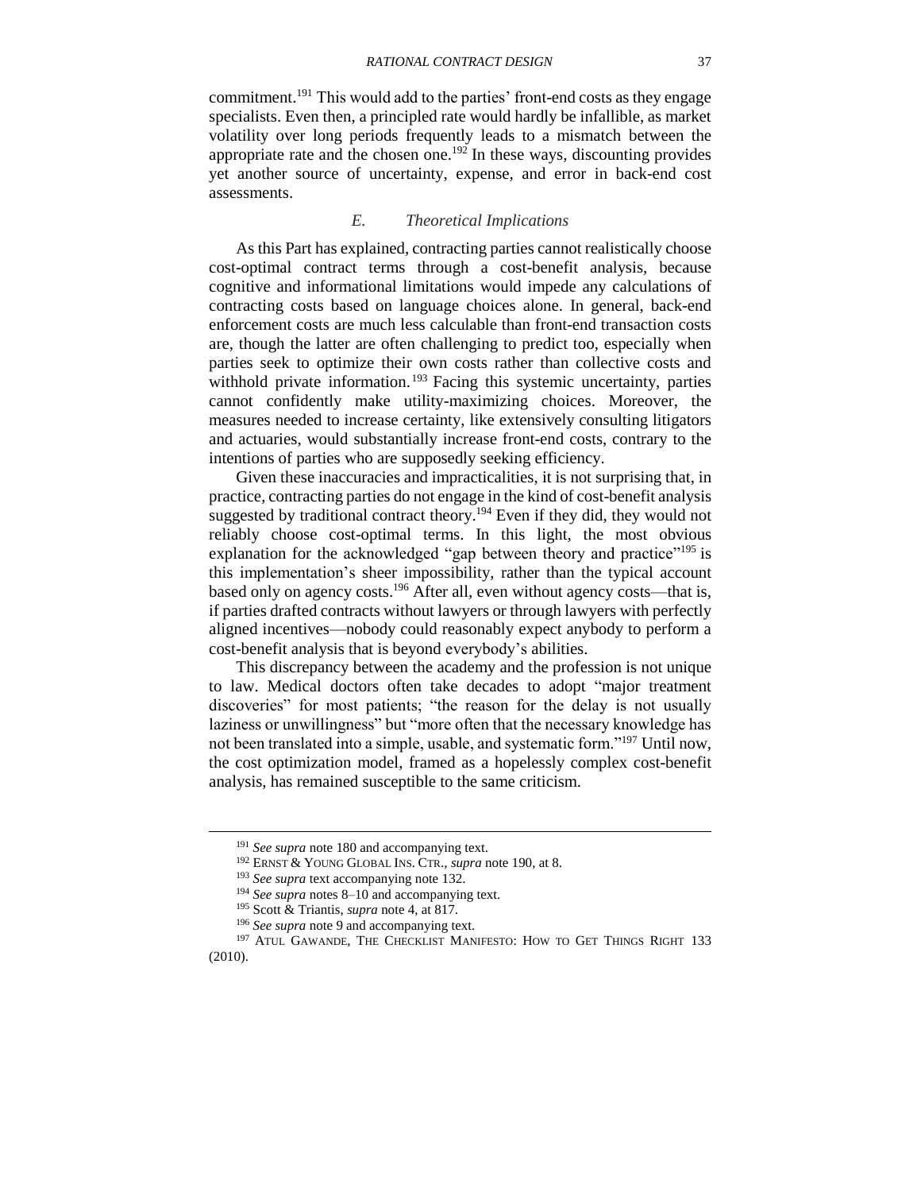commitment.<sup>191</sup> This would add to the parties' front-end costs as they engage specialists. Even then, a principled rate would hardly be infallible, as market volatility over long periods frequently leads to a mismatch between the appropriate rate and the chosen one.<sup>192</sup> In these ways, discounting provides yet another source of uncertainty, expense, and error in back-end cost assessments.

#### *E. Theoretical Implications*

<span id="page-36-0"></span>As this Part has explained, contracting parties cannot realistically choose cost-optimal contract terms through a cost-benefit analysis, because cognitive and informational limitations would impede any calculations of contracting costs based on language choices alone. In general, back-end enforcement costs are much less calculable than front-end transaction costs are, though the latter are often challenging to predict too, especially when parties seek to optimize their own costs rather than collective costs and withhold private information.<sup>193</sup> Facing this systemic uncertainty, parties cannot confidently make utility-maximizing choices. Moreover, the measures needed to increase certainty, like extensively consulting litigators and actuaries, would substantially increase front-end costs, contrary to the intentions of parties who are supposedly seeking efficiency.

Given these inaccuracies and impracticalities, it is not surprising that, in practice, contracting parties do not engage in the kind of cost-benefit analysis suggested by traditional contract theory.<sup>194</sup> Even if they did, they would not reliably choose cost-optimal terms. In this light, the most obvious explanation for the acknowledged "gap between theory and practice"<sup>195</sup> is this implementation's sheer impossibility, rather than the typical account based only on agency costs.<sup>196</sup> After all, even without agency costs—that is, if parties drafted contracts without lawyers or through lawyers with perfectly aligned incentives—nobody could reasonably expect anybody to perform a cost-benefit analysis that is beyond everybody's abilities.

This discrepancy between the academy and the profession is not unique to law. Medical doctors often take decades to adopt "major treatment discoveries" for most patients; "the reason for the delay is not usually laziness or unwillingness" but "more often that the necessary knowledge has not been translated into a simple, usable, and systematic form."<sup>197</sup> Until now, the cost optimization model, framed as a hopelessly complex cost-benefit analysis, has remained susceptible to the same criticism.

<span id="page-36-1"></span><sup>191</sup> *See supra* note [180](#page-34-2) and accompanying text.

<sup>192</sup> ERNST & YOUNG GLOBAL INS. CTR., *supra* note [190,](#page-35-2) at 8.

<sup>193</sup> *See supra* text accompanying note [132.](#page-27-2)

<sup>194</sup> *See supra* notes [8–](#page-2-2)[10](#page-3-1) and accompanying text.

<sup>195</sup> Scott & Triantis, *supra* note [4,](#page-2-1) at 817.

<sup>196</sup> *See supra* note [9](#page-3-3) and accompanying text.

<sup>&</sup>lt;sup>197</sup> ATUL GAWANDE, THE CHECKLIST MANIFESTO: HOW TO GET THINGS RIGHT 133 (2010).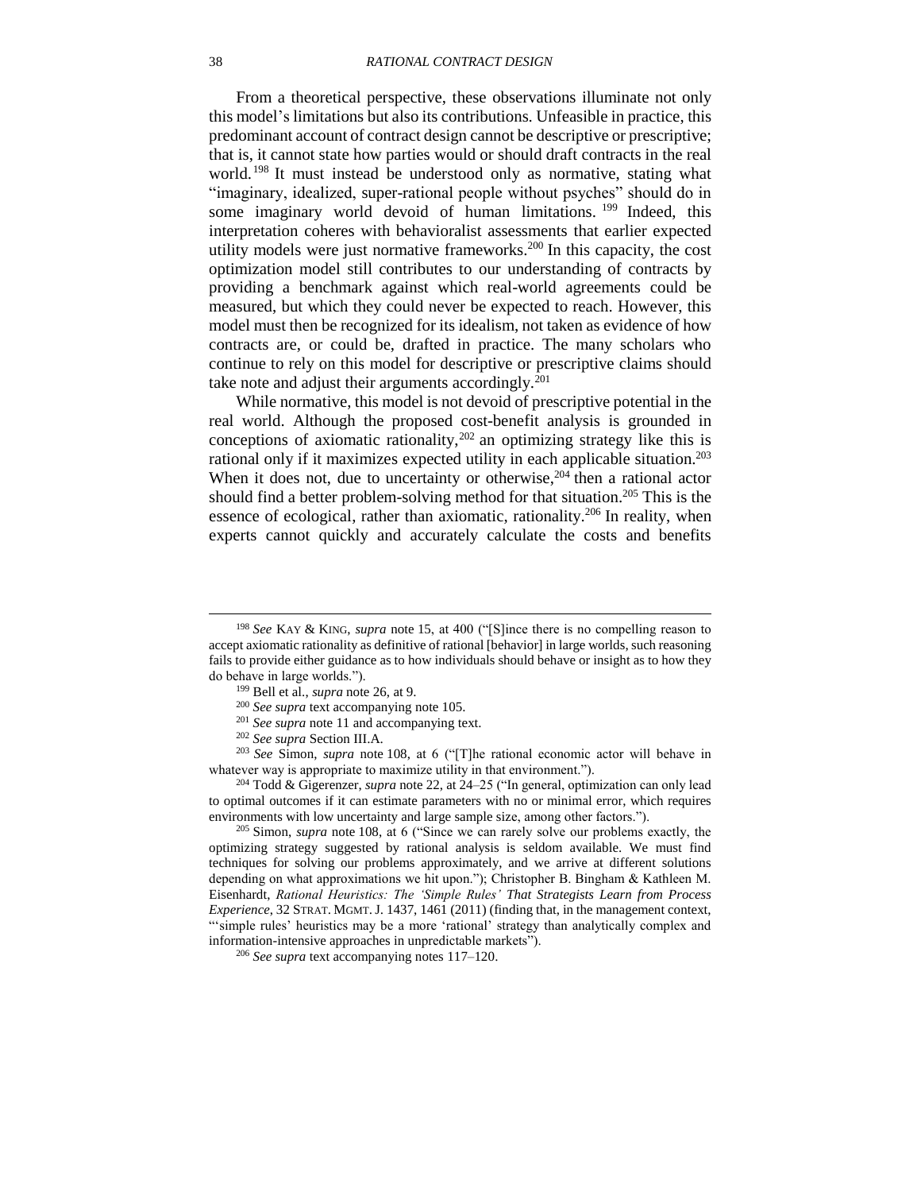From a theoretical perspective, these observations illuminate not only this model's limitations but also its contributions. Unfeasible in practice, this predominant account of contract design cannot be descriptive or prescriptive; that is, it cannot state how parties would or should draft contracts in the real world. <sup>198</sup> It must instead be understood only as normative, stating what "imaginary, idealized, super-rational people without psyches" should do in some imaginary world devoid of human limitations. <sup>199</sup> Indeed, this interpretation coheres with behavioralist assessments that earlier expected utility models were just normative frameworks. <sup>200</sup> In this capacity, the cost optimization model still contributes to our understanding of contracts by providing a benchmark against which real-world agreements could be measured, but which they could never be expected to reach. However, this model must then be recognized for its idealism, not taken as evidence of how contracts are, or could be, drafted in practice. The many scholars who continue to rely on this model for descriptive or prescriptive claims should take note and adjust their arguments accordingly. $201$ 

<span id="page-37-0"></span>While normative, this model is not devoid of prescriptive potential in the real world. Although the proposed cost-benefit analysis is grounded in conceptions of axiomatic rationality,  $202$  an optimizing strategy like this is rational only if it maximizes expected utility in each applicable situation.<sup>203</sup> When it does not, due to uncertainty or otherwise, $204$  then a rational actor should find a better problem-solving method for that situation. <sup>205</sup> This is the essence of ecological, rather than axiomatic, rationality.<sup>206</sup> In reality, when experts cannot quickly and accurately calculate the costs and benefits

<sup>203</sup> *See* Simon, *supra* note [108,](#page-23-0) at 6 ("[T]he rational economic actor will behave in whatever way is appropriate to maximize utility in that environment.").

<sup>204</sup> Todd & Gigerenzer, *supra* note [22,](#page-6-0) at 24–25 ("In general, optimization can only lead to optimal outcomes if it can estimate parameters with no or minimal error, which requires environments with low uncertainty and large sample size, among other factors.").

<sup>205</sup> Simon, *supra* note [108,](#page-23-0) at 6 ("Since we can rarely solve our problems exactly, the optimizing strategy suggested by rational analysis is seldom available. We must find techniques for solving our problems approximately, and we arrive at different solutions depending on what approximations we hit upon."); Christopher B. Bingham & Kathleen M. Eisenhardt, *Rational Heuristics: The 'Simple Rules' That Strategists Learn from Process Experience*, 32 STRAT. MGMT.J. 1437, 1461 (2011) (finding that, in the management context, "'simple rules' heuristics may be a more 'rational' strategy than analytically complex and information-intensive approaches in unpredictable markets").

<sup>206</sup> *See supra* text accompanying notes [117](#page-24-2)[–120.](#page-24-3)

<sup>198</sup> *See* KAY & KING, *supra* note [15,](#page-5-0) at 400 ("[S]ince there is no compelling reason to accept axiomatic rationality as definitive of rational [behavior] in large worlds, such reasoning fails to provide either guidance as to how individuals should behave or insight as to how they do behave in large worlds.").

<sup>199</sup> Bell et al., *supra* note [26,](#page-6-1) at 9.

<sup>200</sup> *See supra* text accompanying note [105.](#page-23-4)

<sup>201</sup> *See supra* note [11](#page-3-0) and accompanying text.

<sup>202</sup> *See supra* Section [III.A.](#page-22-1)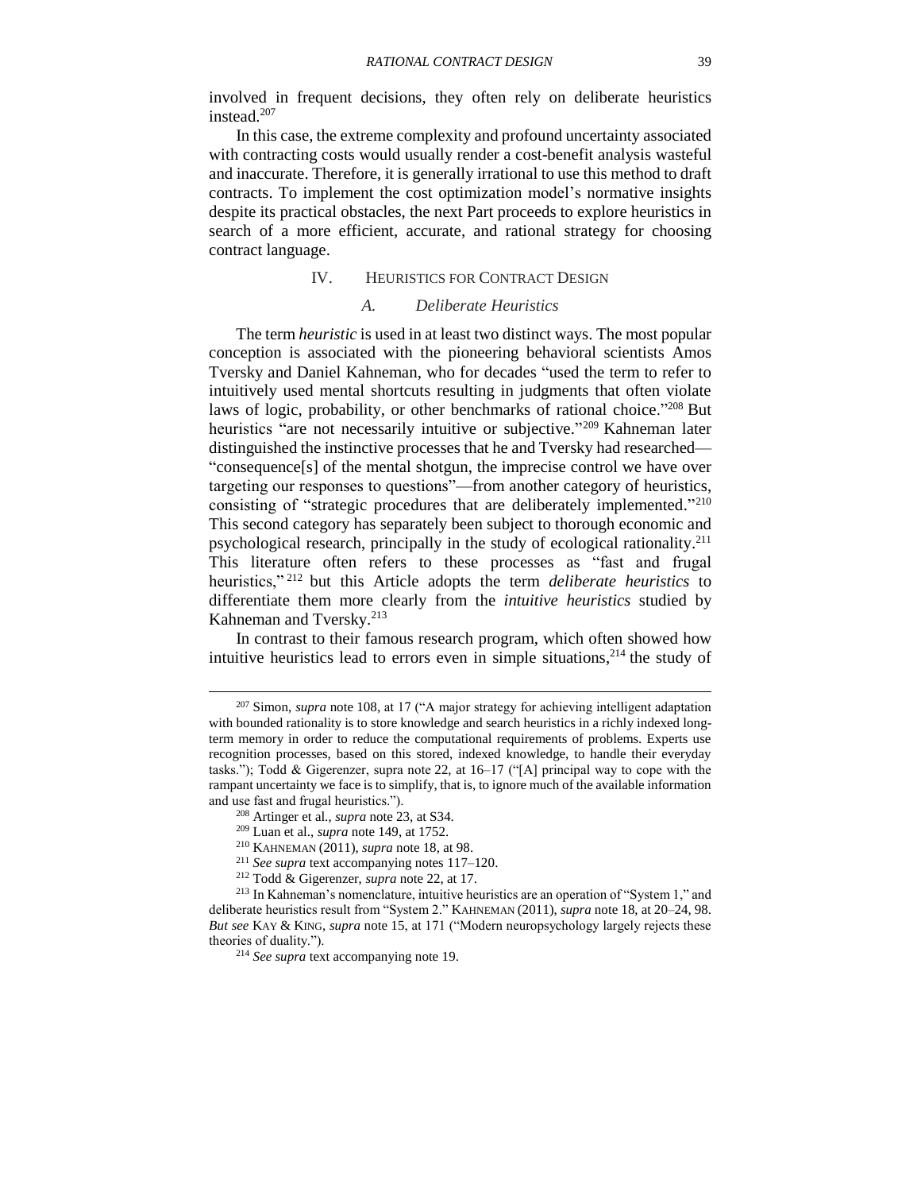involved in frequent decisions, they often rely on deliberate heuristics instead.<sup>207</sup>

In this case, the extreme complexity and profound uncertainty associated with contracting costs would usually render a cost-benefit analysis wasteful and inaccurate. Therefore, it is generally irrational to use this method to draft contracts. To implement the cost optimization model's normative insights despite its practical obstacles, the next Part proceeds to explore heuristics in search of a more efficient, accurate, and rational strategy for choosing contract language.

## IV. HEURISTICS FOR CONTRACT DESIGN

## <span id="page-38-2"></span>*A. Deliberate Heuristics*

<span id="page-38-1"></span><span id="page-38-0"></span>The term *heuristic* is used in at least two distinct ways. The most popular conception is associated with the pioneering behavioral scientists Amos Tversky and Daniel Kahneman, who for decades "used the term to refer to intuitively used mental shortcuts resulting in judgments that often violate laws of logic, probability, or other benchmarks of rational choice."<sup>208</sup> But heuristics "are not necessarily intuitive or subjective."<sup>209</sup> Kahneman later distinguished the instinctive processes that he and Tversky had researched— "consequence[s] of the mental shotgun, the imprecise control we have over targeting our responses to questions"—from another category of heuristics, consisting of "strategic procedures that are deliberately implemented."<sup>210</sup> This second category has separately been subject to thorough economic and psychological research, principally in the study of ecological rationality.<sup>211</sup> This literature often refers to these processes as "fast and frugal heuristics," <sup>212</sup> but this Article adopts the term *deliberate heuristics* to differentiate them more clearly from the *intuitive heuristics* studied by Kahneman and Tversky.<sup>213</sup>

<span id="page-38-3"></span>In contrast to their famous research program, which often showed how intuitive heuristics lead to errors even in simple situations, <sup>214</sup> the study of

<sup>207</sup> Simon, *supra* note [108,](#page-23-0) at 17 ("A major strategy for achieving intelligent adaptation with bounded rationality is to store knowledge and search heuristics in a richly indexed longterm memory in order to reduce the computational requirements of problems. Experts use recognition processes, based on this stored, indexed knowledge, to handle their everyday tasks."); Todd & Gigerenzer, supra note [22,](#page-6-0) at 16–17 ("[A] principal way to cope with the rampant uncertainty we face is to simplify, that is, to ignore much of the available information and use fast and frugal heuristics.").

<sup>208</sup> Artinger et al., *supra* note [23,](#page-6-2) at S34.

<sup>209</sup> Luan et al., *supra* note [149,](#page-29-4) at 1752.

<sup>210</sup> KAHNEMAN (2011), *supra* note [18,](#page-5-1) at 98.

<sup>211</sup> *See supra* text accompanying notes [117](#page-24-2)[–120.](#page-24-3)

<sup>212</sup> Todd & Gigerenzer, *supra* note [22,](#page-6-0) at 17.

<sup>213</sup> In Kahneman's nomenclature, intuitive heuristics are an operation of "System 1," and deliberate heuristics result from "System 2." KAHNEMAN (2011), *supra* note [18,](#page-5-1) at 20–24, 98. *But see* KAY & KING, *supra* note [15,](#page-5-0) at 171 ("Modern neuropsychology largely rejects these theories of duality.").

<sup>214</sup> *See supra* text accompanying note [19.](#page-5-3)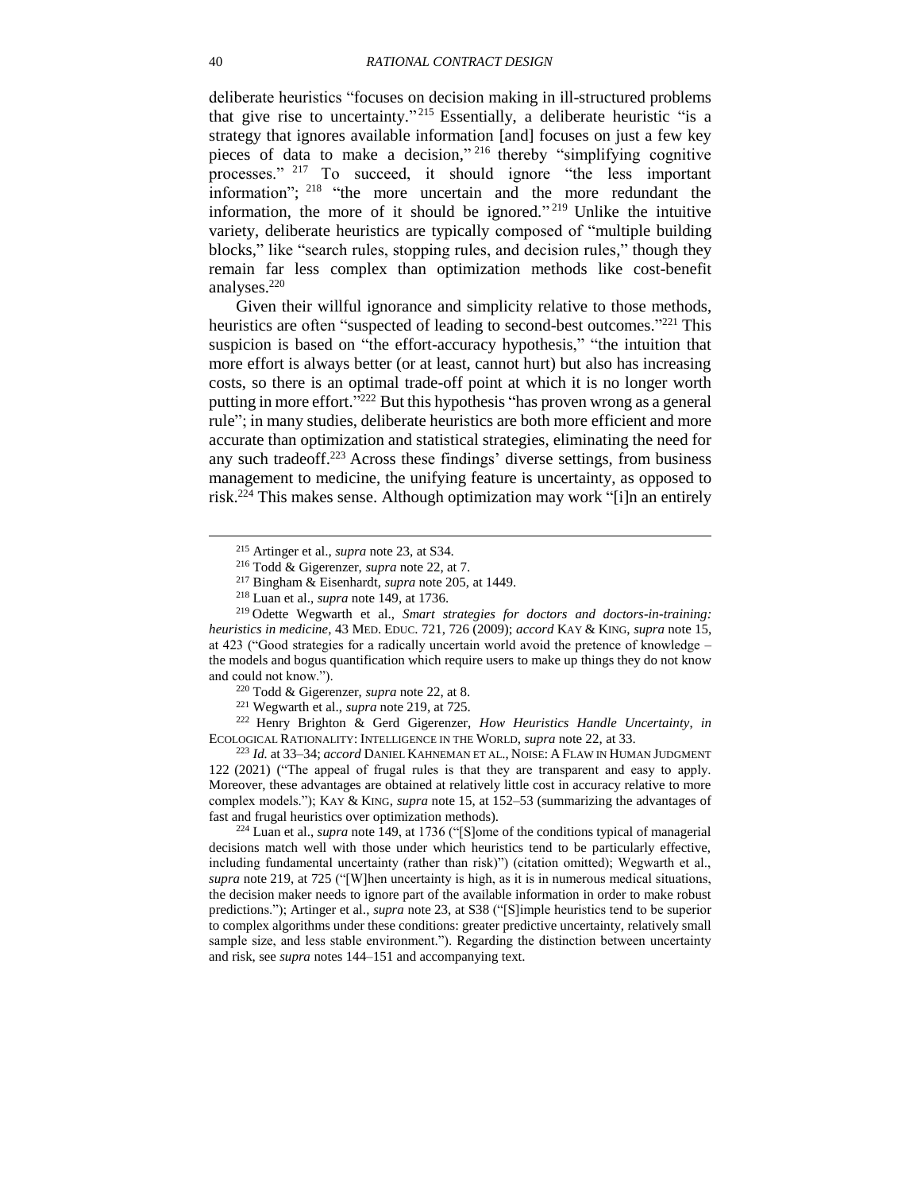<span id="page-39-2"></span>deliberate heuristics "focuses on decision making in ill-structured problems that give rise to uncertainty." <sup>215</sup> Essentially, a deliberate heuristic "is a strategy that ignores available information [and] focuses on just a few key pieces of data to make a decision," <sup>216</sup> thereby "simplifying cognitive processes." <sup>217</sup> To succeed, it should ignore "the less important information"; <sup>218</sup> "the more uncertain and the more redundant the information, the more of it should be ignored." <sup>219</sup> Unlike the intuitive variety, deliberate heuristics are typically composed of "multiple building blocks," like "search rules, stopping rules, and decision rules," though they remain far less complex than optimization methods like cost-benefit analyses.<sup>220</sup>

<span id="page-39-1"></span><span id="page-39-0"></span>Given their willful ignorance and simplicity relative to those methods, heuristics are often "suspected of leading to second-best outcomes."<sup>221</sup> This suspicion is based on "the effort-accuracy hypothesis," "the intuition that more effort is always better (or at least, cannot hurt) but also has increasing costs, so there is an optimal trade-off point at which it is no longer worth putting in more effort."<sup>222</sup> But this hypothesis "has proven wrong as a general rule"; in many studies, deliberate heuristics are both more efficient and more accurate than optimization and statistical strategies, eliminating the need for any such tradeoff. <sup>223</sup> Across these findings' diverse settings, from business management to medicine, the unifying feature is uncertainty, as opposed to risk. <sup>224</sup> This makes sense. Although optimization may work "[i]n an entirely

<sup>223</sup> *Id.* at 33–34; *accord* DANIEL KAHNEMAN ET AL., NOISE: A FLAW IN HUMAN JUDGMENT 122 (2021) ("The appeal of frugal rules is that they are transparent and easy to apply. Moreover, these advantages are obtained at relatively little cost in accuracy relative to more complex models."); KAY & KING, *supra* note [15,](#page-5-0) at 152–53 (summarizing the advantages of fast and frugal heuristics over optimization methods).

<sup>224</sup> Luan et al., *supra* note [149,](#page-29-4) at 1736 ("[S]ome of the conditions typical of managerial decisions match well with those under which heuristics tend to be particularly effective, including fundamental uncertainty (rather than risk)") (citation omitted); Wegwarth et al., *supra* note [219,](#page-39-0) at 725 ("[W]hen uncertainty is high, as it is in numerous medical situations, the decision maker needs to ignore part of the available information in order to make robust predictions."); Artinger et al., *supra* note [23,](#page-6-2) at S38 ("[S]imple heuristics tend to be superior to complex algorithms under these conditions: greater predictive uncertainty, relatively small sample size, and less stable environment."). Regarding the distinction between uncertainty and risk, see *supra* notes [144–](#page-29-0)[151](#page-29-1) and accompanying text.

<span id="page-39-3"></span><sup>215</sup> Artinger et al., *supra* note [23,](#page-6-2) at S34.

<sup>216</sup> Todd & Gigerenzer, *supra* note [22,](#page-6-0) at 7.

<sup>217</sup> Bingham & Eisenhardt, *supra* note [205,](#page-37-0) at 1449.

<sup>218</sup> Luan et al., *supra* note [149,](#page-29-4) at 1736.

<sup>219</sup> Odette Wegwarth et al., *Smart strategies for doctors and doctors-in-training: heuristics in medicine*, 43 MED. EDUC. 721, 726 (2009); *accord* KAY & KING, *supra* note [15,](#page-5-0) at 423 ("Good strategies for a radically uncertain world avoid the pretence of knowledge – the models and bogus quantification which require users to make up things they do not know and could not know.").

<sup>220</sup> Todd & Gigerenzer, *supra* note [22,](#page-6-0) at 8.

<sup>221</sup> Wegwarth et al., *supra* note [219,](#page-39-0) at 725.

<sup>222</sup> Henry Brighton & Gerd Gigerenzer, *How Heuristics Handle Uncertainty*, *in*  ECOLOGICAL RATIONALITY: INTELLIGENCE IN THE WORLD, *supra* note [22,](#page-6-0) at 33.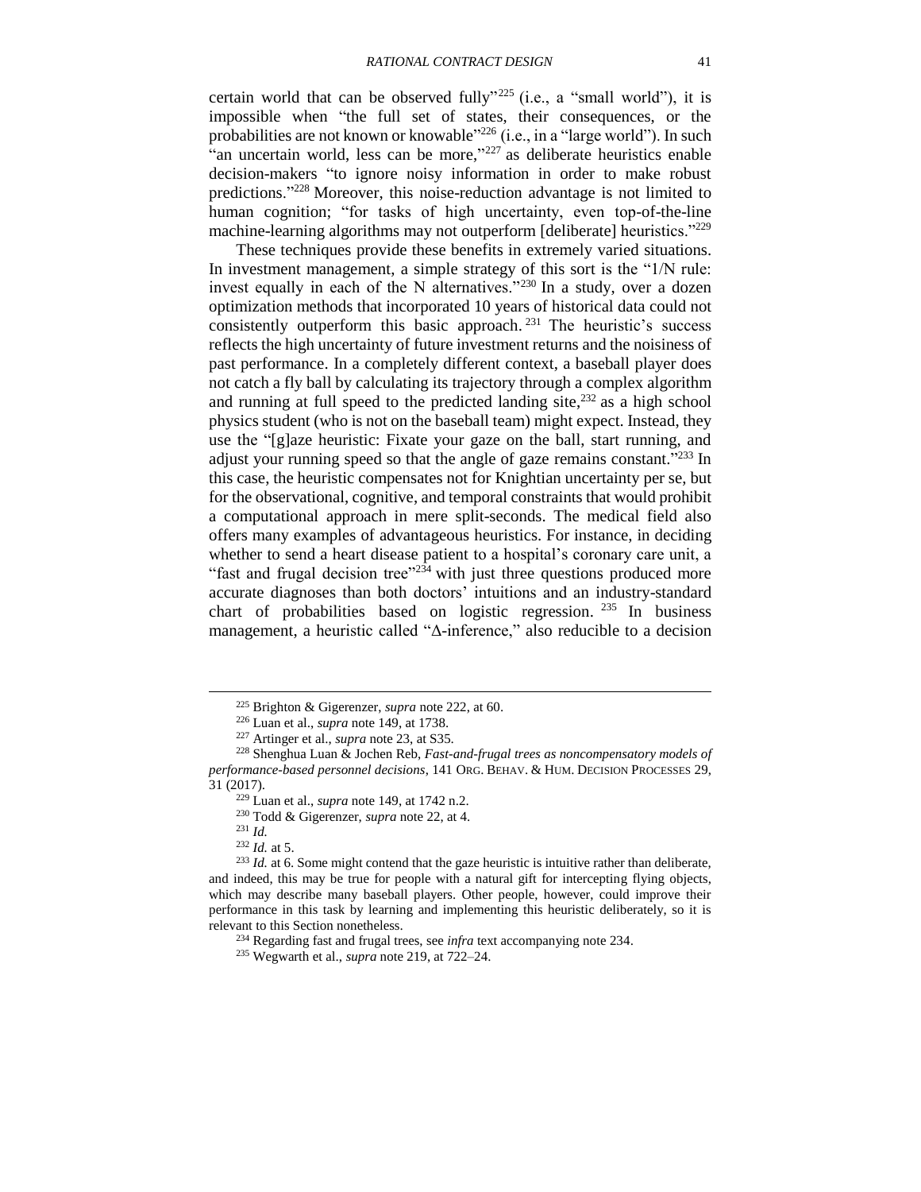<span id="page-40-2"></span>certain world that can be observed fully" <sup>225</sup> (i.e., a "small world"), it is impossible when "the full set of states, their consequences, or the probabilities are not known or knowable<sup>326</sup> (i.e., in a "large world"). In such "an uncertain world, less can be more," <sup>227</sup> as deliberate heuristics enable decision-makers "to ignore noisy information in order to make robust predictions."<sup>228</sup> Moreover, this noise-reduction advantage is not limited to human cognition; "for tasks of high uncertainty, even top-of-the-line machine-learning algorithms may not outperform [deliberate] heuristics."<sup>229</sup>

<span id="page-40-1"></span>These techniques provide these benefits in extremely varied situations. In investment management, a simple strategy of this sort is the "1/N rule: invest equally in each of the N alternatives."<sup>230</sup> In a study, over a dozen optimization methods that incorporated 10 years of historical data could not consistently outperform this basic approach. <sup>231</sup> The heuristic's success reflects the high uncertainty of future investment returns and the noisiness of past performance. In a completely different context, a baseball player does not catch a fly ball by calculating its trajectory through a complex algorithm and running at full speed to the predicted landing site, $2^{32}$  as a high school physics student (who is not on the baseball team) might expect. Instead, they use the "[g]aze heuristic: Fixate your gaze on the ball, start running, and adjust your running speed so that the angle of gaze remains constant."<sup>233</sup> In this case, the heuristic compensates not for Knightian uncertainty per se, but for the observational, cognitive, and temporal constraints that would prohibit a computational approach in mere split-seconds. The medical field also offers many examples of advantageous heuristics. For instance, in deciding whether to send a heart disease patient to a hospital's coronary care unit, a "fast and frugal decision tree"<sup>234</sup> with just three questions produced more accurate diagnoses than both doctors' intuitions and an industry-standard chart of probabilities based on logistic regression. <sup>235</sup> In business management, a heuristic called "Δ-inference," also reducible to a decision

<span id="page-40-0"></span><sup>225</sup> Brighton & Gigerenzer, *supra* note [222,](#page-39-1) at 60.

<sup>226</sup> Luan et al., *supra* note [149,](#page-29-4) at 1738.

<sup>227</sup> Artinger et al., *supra* note [23,](#page-6-2) at S35.

<sup>228</sup> Shenghua Luan & Jochen Reb, *Fast-and-frugal trees as noncompensatory models of performance-based personnel decisions*, 141 ORG. BEHAV. & HUM. DECISION PROCESSES 29, 31 (2017).

<sup>229</sup> Luan et al., *supra* note [149,](#page-29-4) at 1742 n.2.

<sup>230</sup> Todd & Gigerenzer, *supra* note [22,](#page-6-0) at 4.

<sup>231</sup> *Id.*

<sup>232</sup> *Id.* at 5.

<sup>&</sup>lt;sup>233</sup> *Id.* at 6. Some might contend that the gaze heuristic is intuitive rather than deliberate, and indeed, this may be true for people with a natural gift for intercepting flying objects, which may describe many baseball players. Other people, however, could improve their performance in this task by learning and implementing this heuristic deliberately, so it is relevant to this Section nonetheless.

<sup>234</sup> Regarding fast and frugal trees, see *infra* text accompanying note [234.](#page-40-0)

<sup>235</sup> Wegwarth et al., *supra* note [219,](#page-39-0) at 722–24.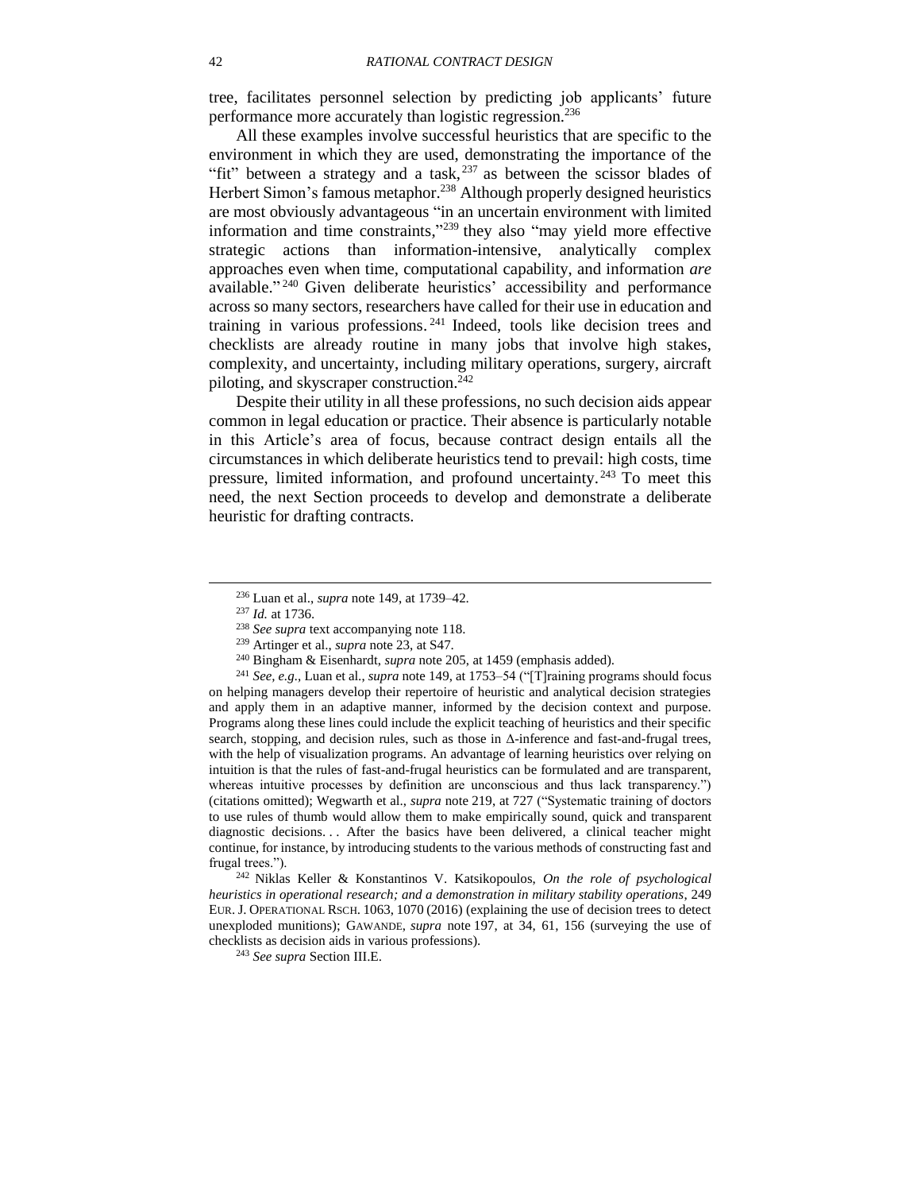tree, facilitates personnel selection by predicting job applicants' future performance more accurately than logistic regression.<sup>236</sup>

<span id="page-41-1"></span>All these examples involve successful heuristics that are specific to the environment in which they are used, demonstrating the importance of the "fit" between a strategy and a task,  $237$  as between the scissor blades of Herbert Simon's famous metaphor.<sup>238</sup> Although properly designed heuristics are most obviously advantageous "in an uncertain environment with limited information and time constraints," <sup>239</sup> they also "may yield more effective strategic actions than information-intensive, analytically complex approaches even when time, computational capability, and information *are* available." <sup>240</sup> Given deliberate heuristics' accessibility and performance across so many sectors, researchers have called for their use in education and training in various professions. <sup>241</sup> Indeed, tools like decision trees and checklists are already routine in many jobs that involve high stakes, complexity, and uncertainty, including military operations, surgery, aircraft piloting, and skyscraper construction.<sup>242</sup>

<span id="page-41-0"></span>Despite their utility in all these professions, no such decision aids appear common in legal education or practice. Their absence is particularly notable in this Article's area of focus, because contract design entails all the circumstances in which deliberate heuristics tend to prevail: high costs, time pressure, limited information, and profound uncertainty.<sup>243</sup> To meet this need, the next Section proceeds to develop and demonstrate a deliberate heuristic for drafting contracts.

l

<sup>241</sup> *See, e.g.,* Luan et al., *supra* note [149,](#page-29-4) at 1753–54 ("[T]raining programs should focus on helping managers develop their repertoire of heuristic and analytical decision strategies and apply them in an adaptive manner, informed by the decision context and purpose. Programs along these lines could include the explicit teaching of heuristics and their specific search, stopping, and decision rules, such as those in Δ-inference and fast-and-frugal trees, with the help of visualization programs. An advantage of learning heuristics over relying on intuition is that the rules of fast-and-frugal heuristics can be formulated and are transparent, whereas intuitive processes by definition are unconscious and thus lack transparency.") (citations omitted); Wegwarth et al., *supra* note [219,](#page-39-0) at 727 ("Systematic training of doctors to use rules of thumb would allow them to make empirically sound, quick and transparent diagnostic decisions. . . After the basics have been delivered, a clinical teacher might continue, for instance, by introducing students to the various methods of constructing fast and frugal trees.").

<sup>242</sup> Niklas Keller & Konstantinos V. Katsikopoulos, *On the role of psychological heuristics in operational research; and a demonstration in military stability operations*, 249 EUR. J. OPERATIONAL RSCH. 1063, 1070 (2016) (explaining the use of decision trees to detect unexploded munitions); GAWANDE, *supra* note [197,](#page-36-1) at 34, 61, 156 (surveying the use of checklists as decision aids in various professions).

<sup>243</sup> *See supra* Section [III.E.](#page-36-0)

<sup>236</sup> Luan et al., *supra* note [149,](#page-29-4) at 1739–42.

<sup>237</sup> *Id.* at 1736.

<sup>238</sup> *See supra* text accompanying note [118.](#page-24-4)

<sup>239</sup> Artinger et al., *supra* note [23,](#page-6-2) at S47.

<sup>240</sup> Bingham & Eisenhardt, *supra* note [205,](#page-37-0) at 1459 (emphasis added).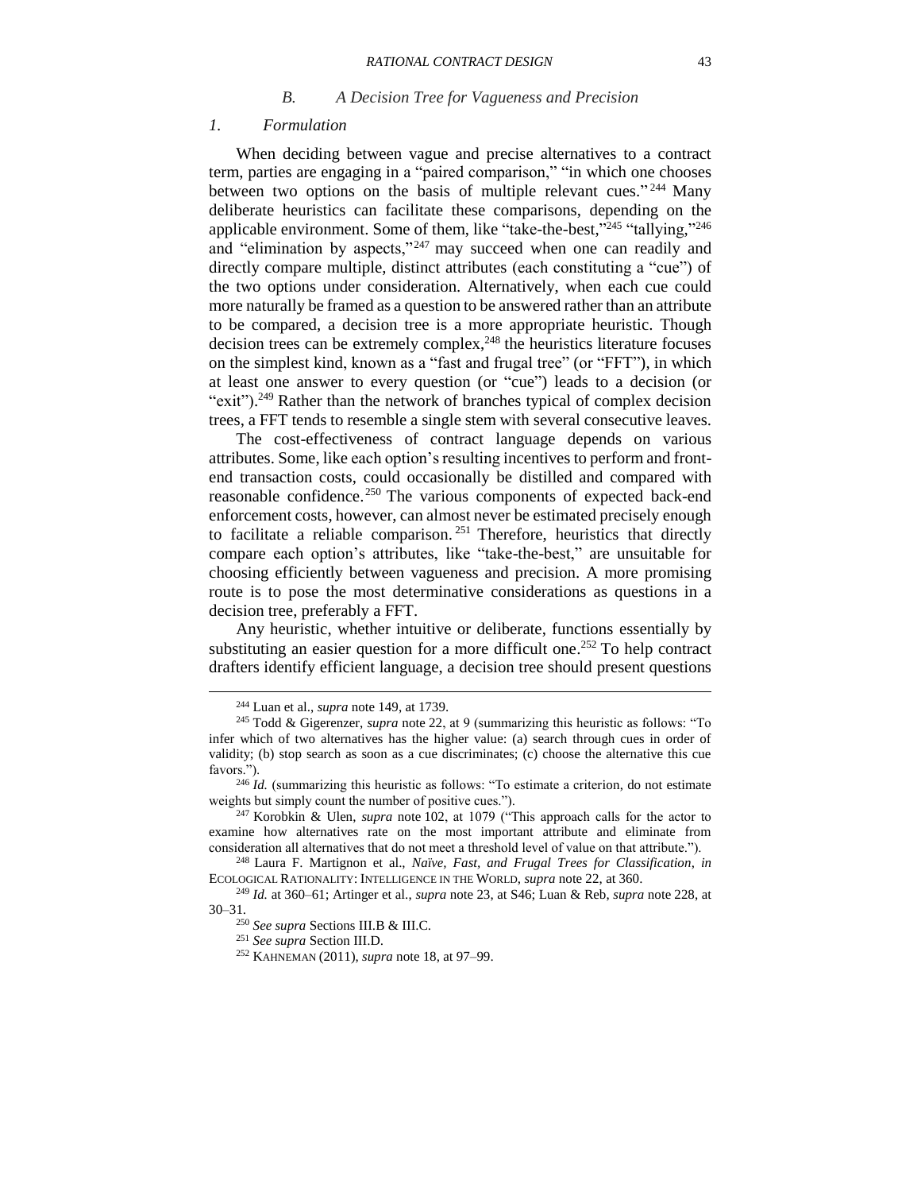#### *B. A Decision Tree for Vagueness and Precision*

#### <span id="page-42-1"></span><span id="page-42-0"></span>*1. Formulation*

When deciding between vague and precise alternatives to a contract term, parties are engaging in a "paired comparison," "in which one chooses between two options on the basis of multiple relevant cues."<sup>244</sup> Many deliberate heuristics can facilitate these comparisons, depending on the applicable environment. Some of them, like "take-the-best,"<sup>245</sup> "tallying,"<sup>246</sup> and "elimination by aspects,"<sup>247</sup> may succeed when one can readily and directly compare multiple, distinct attributes (each constituting a "cue") of the two options under consideration. Alternatively, when each cue could more naturally be framed as a question to be answered rather than an attribute to be compared, a decision tree is a more appropriate heuristic. Though decision trees can be extremely complex, <sup>248</sup> the heuristics literature focuses on the simplest kind, known as a "fast and frugal tree" (or "FFT"), in which at least one answer to every question (or "cue") leads to a decision (or "exit").<sup>249</sup> Rather than the network of branches typical of complex decision trees, a FFT tends to resemble a single stem with several consecutive leaves.

<span id="page-42-3"></span><span id="page-42-2"></span>The cost-effectiveness of contract language depends on various attributes. Some, like each option's resulting incentives to perform and frontend transaction costs, could occasionally be distilled and compared with reasonable confidence.<sup>250</sup> The various components of expected back-end enforcement costs, however, can almost never be estimated precisely enough to facilitate a reliable comparison. <sup>251</sup> Therefore, heuristics that directly compare each option's attributes, like "take-the-best," are unsuitable for choosing efficiently between vagueness and precision. A more promising route is to pose the most determinative considerations as questions in a decision tree, preferably a FFT.

Any heuristic, whether intuitive or deliberate, functions essentially by substituting an easier question for a more difficult one. <sup>252</sup> To help contract drafters identify efficient language, a decision tree should present questions

<sup>244</sup> Luan et al., *supra* note [149,](#page-29-4) at 1739.

<sup>245</sup> Todd & Gigerenzer, *supra* note [22,](#page-6-0) at 9 (summarizing this heuristic as follows: "To infer which of two alternatives has the higher value: (a) search through cues in order of validity; (b) stop search as soon as a cue discriminates; (c) choose the alternative this cue favors.").

<sup>&</sup>lt;sup>246</sup> *Id.* (summarizing this heuristic as follows: "To estimate a criterion, do not estimate weights but simply count the number of positive cues.").

<sup>247</sup> Korobkin & Ulen, *supra* note [102,](#page-22-2) at 1079 ("This approach calls for the actor to examine how alternatives rate on the most important attribute and eliminate from consideration all alternatives that do not meet a threshold level of value on that attribute.").

<sup>248</sup> Laura F. Martignon et al., *Naïve, Fast, and Frugal Trees for Classification*, *in*  ECOLOGICAL RATIONALITY: INTELLIGENCE IN THE WORLD, *supra* note [22,](#page-6-0) at 360.

<sup>249</sup> *Id.* at 360–61; Artinger et al., *supra* note [23,](#page-6-2) at S46; Luan & Reb, *supra* note [228,](#page-40-1) at 30–31.

<sup>250</sup> *See supra* Sections [III.B](#page-24-0) [& III.C.](#page-26-0)

<sup>251</sup> *See supra* Section [III.D.](#page-27-0)

<sup>252</sup> KAHNEMAN (2011), *supra* note [18,](#page-5-1) at 97–99.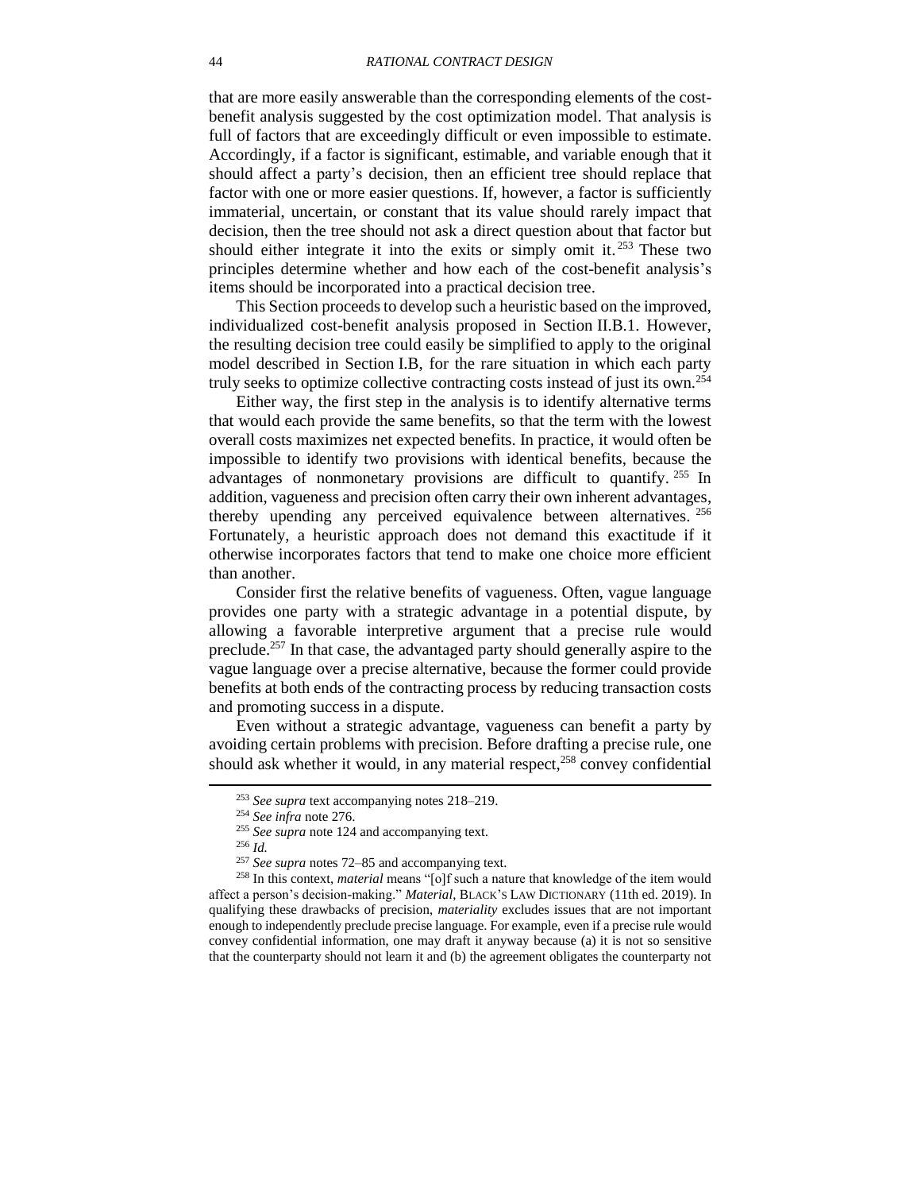that are more easily answerable than the corresponding elements of the costbenefit analysis suggested by the cost optimization model. That analysis is full of factors that are exceedingly difficult or even impossible to estimate. Accordingly, if a factor is significant, estimable, and variable enough that it should affect a party's decision, then an efficient tree should replace that factor with one or more easier questions. If, however, a factor is sufficiently immaterial, uncertain, or constant that its value should rarely impact that decision, then the tree should not ask a direct question about that factor but should either integrate it into the exits or simply omit it. <sup>253</sup> These two principles determine whether and how each of the cost-benefit analysis's items should be incorporated into a practical decision tree.

This Section proceeds to develop such a heuristic based on the improved, individualized cost-benefit analysis proposed in Section [II.B.1.](#page-14-1) However, the resulting decision tree could easily be simplified to apply to the original model described in Section [I.B,](#page-9-0) for the rare situation in which each party truly seeks to optimize collective contracting costs instead of just its own.<sup>254</sup>

Either way, the first step in the analysis is to identify alternative terms that would each provide the same benefits, so that the term with the lowest overall costs maximizes net expected benefits. In practice, it would often be impossible to identify two provisions with identical benefits, because the advantages of nonmonetary provisions are difficult to quantify.<sup>255</sup> In addition, vagueness and precision often carry their own inherent advantages, thereby upending any perceived equivalence between alternatives. 256 Fortunately, a heuristic approach does not demand this exactitude if it otherwise incorporates factors that tend to make one choice more efficient than another.

<span id="page-43-0"></span>Consider first the relative benefits of vagueness. Often, vague language provides one party with a strategic advantage in a potential dispute, by allowing a favorable interpretive argument that a precise rule would preclude.<sup>257</sup> In that case, the advantaged party should generally aspire to the vague language over a precise alternative, because the former could provide benefits at both ends of the contracting process by reducing transaction costs and promoting success in a dispute.

Even without a strategic advantage, vagueness can benefit a party by avoiding certain problems with precision. Before drafting a precise rule, one should ask whether it would, in any material respect, $258$  convey confidential

<sup>253</sup> *See supra* text accompanying notes [218](#page-39-2)[–219.](#page-39-0)

<sup>254</sup> *See infra* note [276.](#page-47-0)

<sup>255</sup> *See supra* note [124](#page-25-0) and accompanying text.

<sup>256</sup> *Id.*

<sup>257</sup> *See supra* notes [72](#page-16-0)[–85](#page-18-1) and accompanying text.

<sup>258</sup> In this context, *material* means "[o]f such a nature that knowledge of the item would affect a person's decision-making." *Material*, BLACK'S LAW DICTIONARY (11th ed. 2019). In qualifying these drawbacks of precision, *materiality* excludes issues that are not important enough to independently preclude precise language. For example, even if a precise rule would convey confidential information, one may draft it anyway because (a) it is not so sensitive that the counterparty should not learn it and (b) the agreement obligates the counterparty not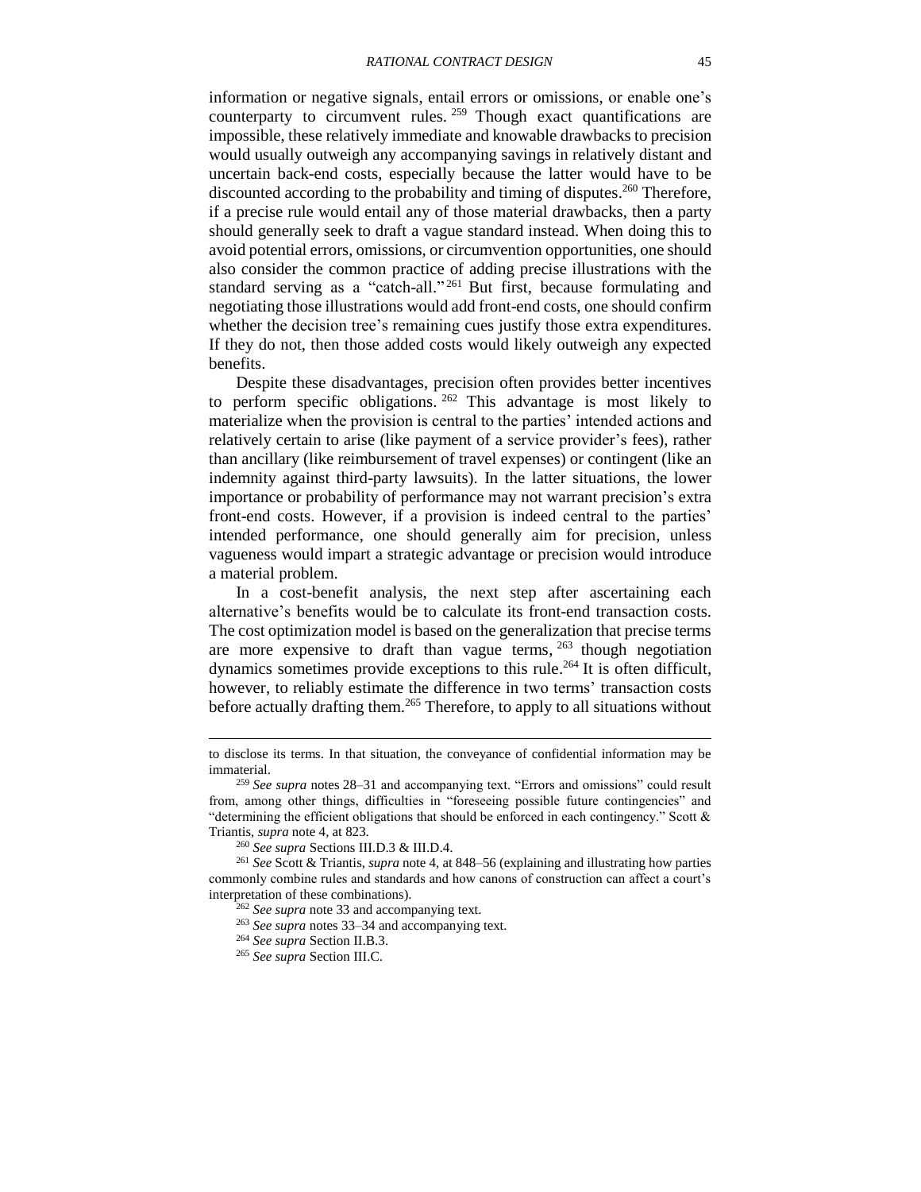information or negative signals, entail errors or omissions, or enable one's counterparty to circumvent rules. <sup>259</sup> Though exact quantifications are impossible, these relatively immediate and knowable drawbacks to precision would usually outweigh any accompanying savings in relatively distant and uncertain back-end costs, especially because the latter would have to be discounted according to the probability and timing of disputes.<sup>260</sup> Therefore, if a precise rule would entail any of those material drawbacks, then a party should generally seek to draft a vague standard instead. When doing this to avoid potential errors, omissions, or circumvention opportunities, one should also consider the common practice of adding precise illustrations with the standard serving as a "catch-all."<sup>261</sup> But first, because formulating and negotiating those illustrations would add front-end costs, one should confirm whether the decision tree's remaining cues justify those extra expenditures. If they do not, then those added costs would likely outweigh any expected benefits.

Despite these disadvantages, precision often provides better incentives to perform specific obligations.  $262$  This advantage is most likely to materialize when the provision is central to the parties' intended actions and relatively certain to arise (like payment of a service provider's fees), rather than ancillary (like reimbursement of travel expenses) or contingent (like an indemnity against third-party lawsuits). In the latter situations, the lower importance or probability of performance may not warrant precision's extra front-end costs. However, if a provision is indeed central to the parties' intended performance, one should generally aim for precision, unless vagueness would impart a strategic advantage or precision would introduce a material problem.

<span id="page-44-0"></span>In a cost-benefit analysis, the next step after ascertaining each alternative's benefits would be to calculate its front-end transaction costs. The cost optimization model is based on the generalization that precise terms are more expensive to draft than vague terms,  $263$  though negotiation dynamics sometimes provide exceptions to this rule. <sup>264</sup> It is often difficult, however, to reliably estimate the difference in two terms' transaction costs before actually drafting them. <sup>265</sup> Therefore, to apply to all situations without

to disclose its terms. In that situation, the conveyance of confidential information may be immaterial.

<sup>259</sup> *See supra* notes [28](#page-7-3)[–31](#page-7-4) and accompanying text. "Errors and omissions" could result from, among other things, difficulties in "foreseeing possible future contingencies" and "determining the efficient obligations that should be enforced in each contingency." Scott & Triantis, *supra* note [4,](#page-2-1) at 823.

<sup>260</sup> *See supra* Sections [III.D.3](#page-31-0) [& III.D.4.](#page-34-0)

<sup>261</sup> *See* Scott & Triantis, *supra* note [4,](#page-2-1) at 848–56 (explaining and illustrating how parties commonly combine rules and standards and how canons of construction can affect a court's interpretation of these combinations).

<sup>262</sup> *See supra* note [33](#page-8-1) and accompanying text.

<sup>263</sup> *See supra* notes [33](#page-8-1)[–34](#page-8-2) and accompanying text.

<sup>264</sup> *See supra* Section [II.B.3.](#page-19-0)

<sup>265</sup> *See supra* Section [III.C.](#page-26-0)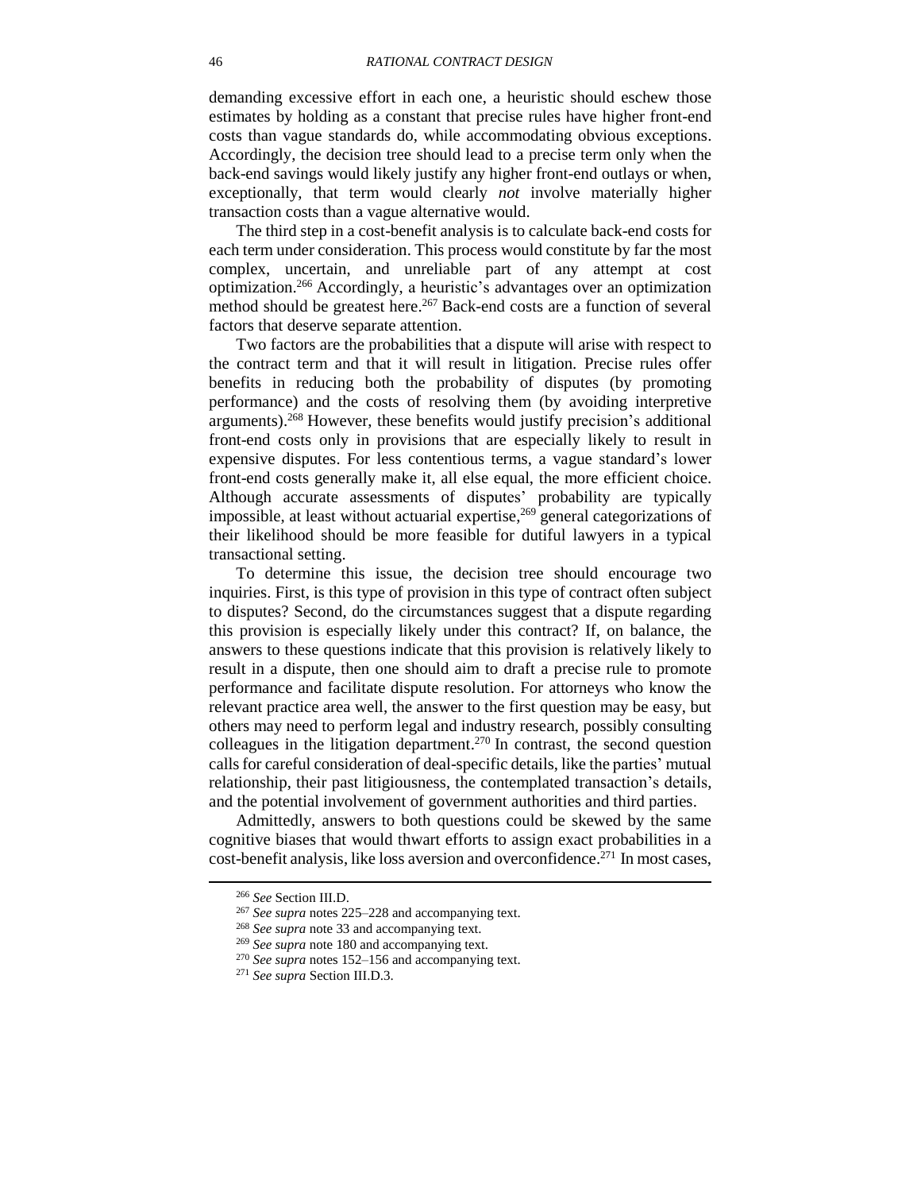demanding excessive effort in each one, a heuristic should eschew those estimates by holding as a constant that precise rules have higher front-end costs than vague standards do, while accommodating obvious exceptions. Accordingly, the decision tree should lead to a precise term only when the back-end savings would likely justify any higher front-end outlays or when, exceptionally, that term would clearly *not* involve materially higher transaction costs than a vague alternative would.

<span id="page-45-0"></span>The third step in a cost-benefit analysis is to calculate back-end costs for each term under consideration. This process would constitute by far the most complex, uncertain, and unreliable part of any attempt at cost optimization. <sup>266</sup> Accordingly, a heuristic's advantages over an optimization method should be greatest here. <sup>267</sup> Back-end costs are a function of several factors that deserve separate attention.

Two factors are the probabilities that a dispute will arise with respect to the contract term and that it will result in litigation. Precise rules offer benefits in reducing both the probability of disputes (by promoting performance) and the costs of resolving them (by avoiding interpretive arguments). <sup>268</sup> However, these benefits would justify precision's additional front-end costs only in provisions that are especially likely to result in expensive disputes. For less contentious terms, a vague standard's lower front-end costs generally make it, all else equal, the more efficient choice. Although accurate assessments of disputes' probability are typically impossible, at least without actuarial expertise, <sup>269</sup> general categorizations of their likelihood should be more feasible for dutiful lawyers in a typical transactional setting.

To determine this issue, the decision tree should encourage two inquiries. First, is this type of provision in this type of contract often subject to disputes? Second, do the circumstances suggest that a dispute regarding this provision is especially likely under this contract? If, on balance, the answers to these questions indicate that this provision is relatively likely to result in a dispute, then one should aim to draft a precise rule to promote performance and facilitate dispute resolution. For attorneys who know the relevant practice area well, the answer to the first question may be easy, but others may need to perform legal and industry research, possibly consulting colleagues in the litigation department.<sup>270</sup> In contrast, the second question calls for careful consideration of deal-specific details, like the parties' mutual relationship, their past litigiousness, the contemplated transaction's details, and the potential involvement of government authorities and third parties.

Admittedly, answers to both questions could be skewed by the same cognitive biases that would thwart efforts to assign exact probabilities in a cost-benefit analysis, like loss aversion and overconfidence. <sup>271</sup> In most cases,

<span id="page-45-1"></span><sup>266</sup> *See* Section [III.D.](#page-27-0)

<sup>267</sup> *See supra* notes [225–](#page-40-2)[228](#page-40-1) and accompanying text.

<sup>268</sup> *See supra* note [33](#page-8-1) and accompanying text.

<sup>269</sup> *See supra* note [180](#page-34-2) and accompanying text.

<sup>270</sup> *See supra* notes [152–](#page-30-1)[156](#page-30-0) and accompanying text.

<sup>271</sup> *See supra* Section [III.D.3.](#page-31-0)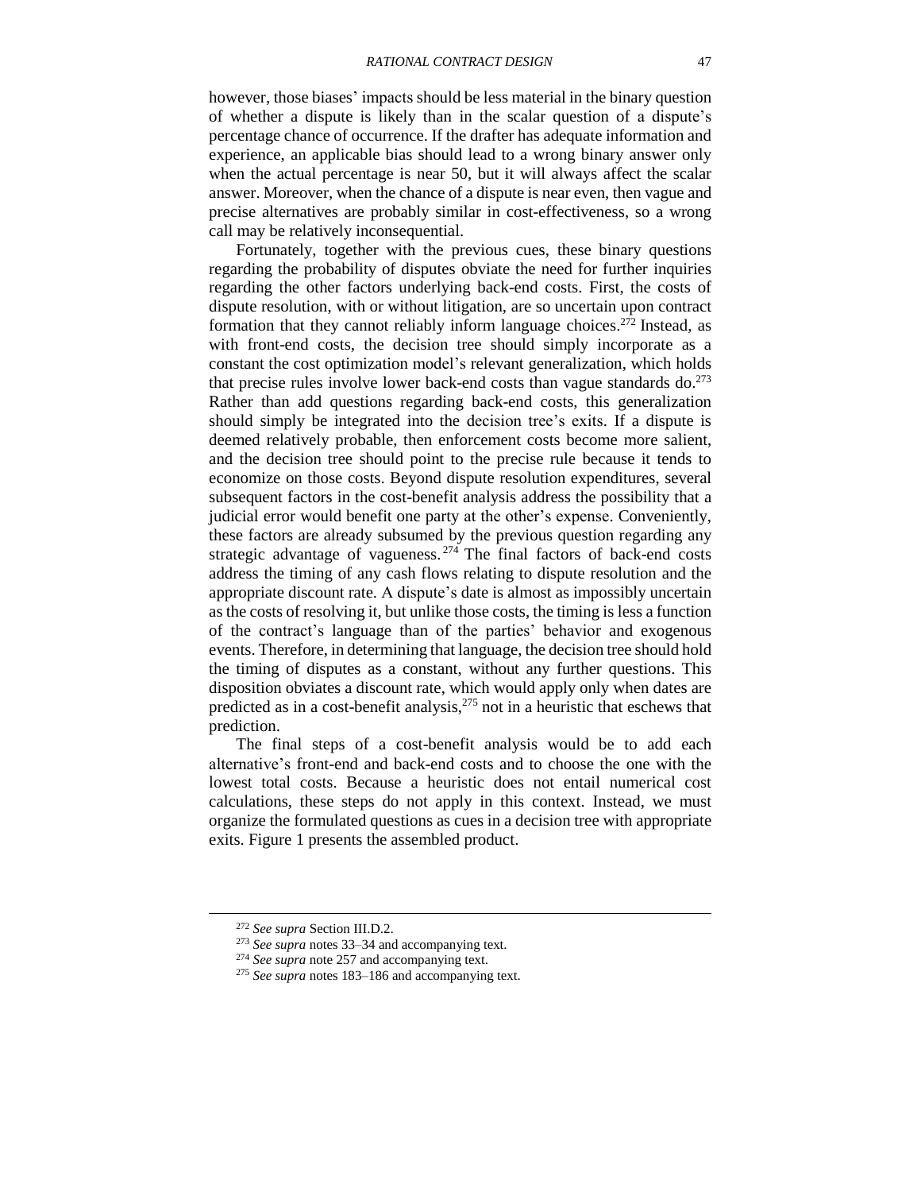however, those biases' impacts should be less material in the binary question of whether a dispute is likely than in the scalar question of a dispute's percentage chance of occurrence. If the drafter has adequate information and experience, an applicable bias should lead to a wrong binary answer only when the actual percentage is near 50, but it will always affect the scalar answer. Moreover, when the chance of a dispute is near even, then vague and precise alternatives are probably similar in cost-effectiveness, so a wrong call may be relatively inconsequential.

<span id="page-46-0"></span>Fortunately, together with the previous cues, these binary questions regarding the probability of disputes obviate the need for further inquiries regarding the other factors underlying back-end costs. First, the costs of dispute resolution, with or without litigation, are so uncertain upon contract formation that they cannot reliably inform language choices. <sup>272</sup> Instead, as with front-end costs, the decision tree should simply incorporate as a constant the cost optimization model's relevant generalization, which holds that precise rules involve lower back-end costs than vague standards do.<sup>273</sup> Rather than add questions regarding back-end costs, this generalization should simply be integrated into the decision tree's exits. If a dispute is deemed relatively probable, then enforcement costs become more salient, and the decision tree should point to the precise rule because it tends to economize on those costs. Beyond dispute resolution expenditures, several subsequent factors in the cost-benefit analysis address the possibility that a judicial error would benefit one party at the other's expense. Conveniently, these factors are already subsumed by the previous question regarding any strategic advantage of vagueness.  $274$  The final factors of back-end costs address the timing of any cash flows relating to dispute resolution and the appropriate discount rate. A dispute's date is almost as impossibly uncertain as the costs of resolving it, but unlike those costs, the timing is less a function of the contract's language than of the parties' behavior and exogenous events. Therefore, in determining that language, the decision tree should hold the timing of disputes as a constant, without any further questions. This disposition obviates a discount rate, which would apply only when dates are predicted as in a cost-benefit analysis,<sup>275</sup> not in a heuristic that eschews that prediction.

The final steps of a cost-benefit analysis would be to add each alternative's front-end and back-end costs and to choose the one with the lowest total costs. Because a heuristic does not entail numerical cost calculations, these steps do not apply in this context. Instead, we must organize the formulated questions as cues in a decision tree with appropriate exits. Figure 1 presents the assembled product.

<sup>272</sup> *See supra* Section [III.D.2.](#page-28-0)

<sup>273</sup> *See supra* notes [33](#page-8-1)[–34](#page-8-2) and accompanying text.

<sup>274</sup> *See supra* note [257](#page-43-0) and accompanying text.

<sup>275</sup> *See supra* notes [183–](#page-34-3)[186](#page-35-1) and accompanying text.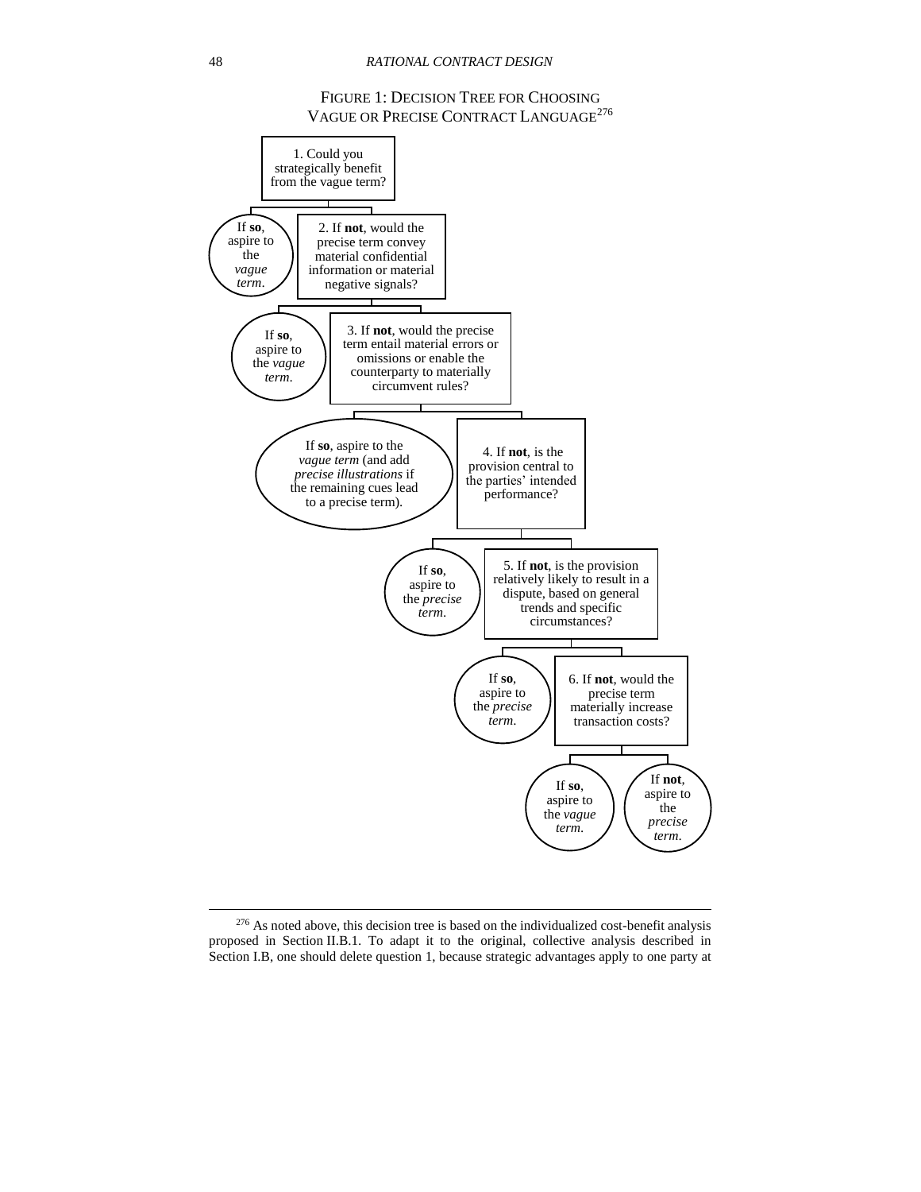## <span id="page-47-0"></span>FIGURE 1: DECISION TREE FOR CHOOSING VAGUE OR PRECISE CONTRACT LANGUAGE<sup>276</sup>



<sup>&</sup>lt;sup>276</sup> As noted above, this decision tree is based on the individualized cost-benefit analysis proposed in Section [II.B.1.](#page-14-1) To adapt it to the original, collective analysis described in Section [I.B,](#page-9-0) one should delete question 1, because strategic advantages apply to one party at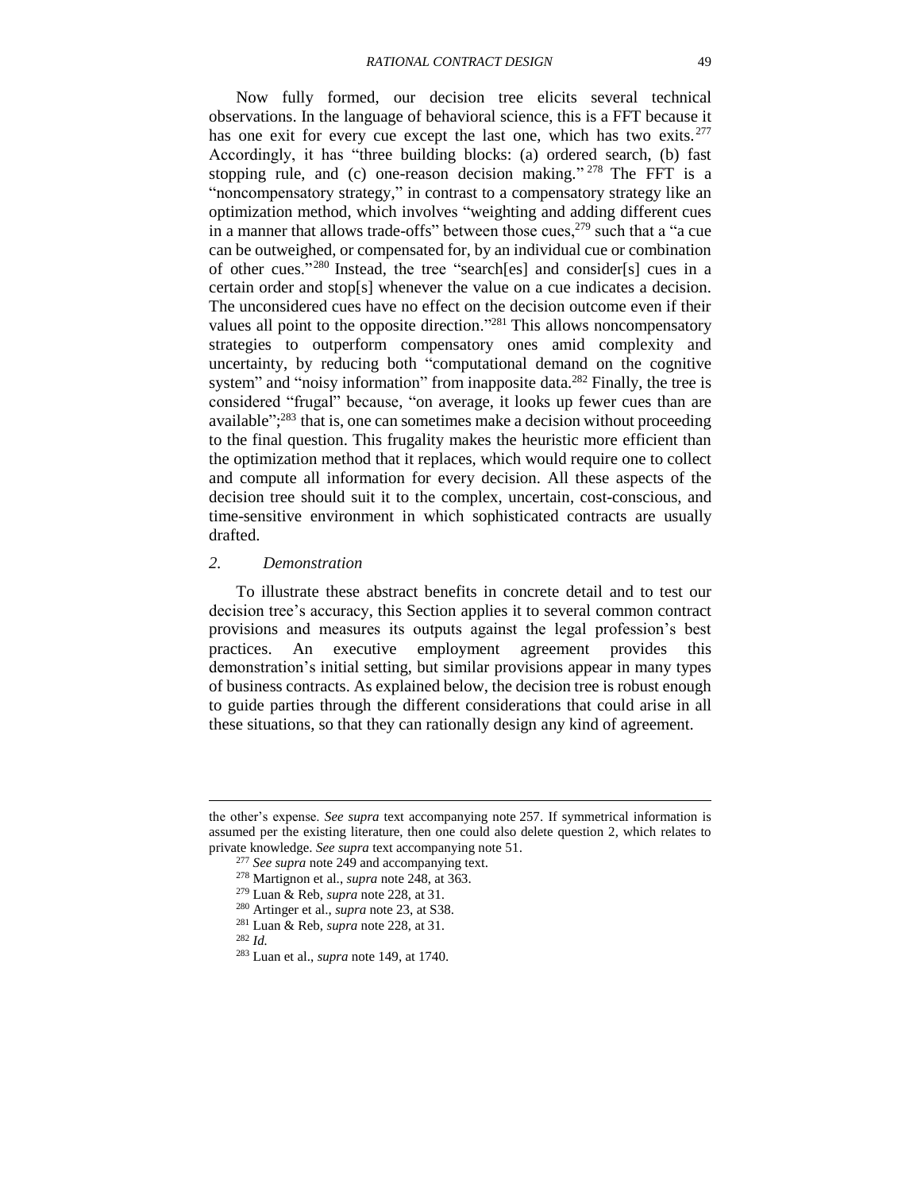Now fully formed, our decision tree elicits several technical observations. In the language of behavioral science, this is a FFT because it has one exit for every cue except the last one, which has two exits.<sup>277</sup> Accordingly, it has "three building blocks: (a) ordered search, (b) fast stopping rule, and (c) one-reason decision making."  $278$  The FFT is a "noncompensatory strategy," in contrast to a compensatory strategy like an optimization method, which involves "weighting and adding different cues in a manner that allows trade-offs" between those cues,  $279$  such that a "a cue can be outweighed, or compensated for, by an individual cue or combination of other cues."<sup>280</sup> Instead, the tree "search[es] and consider[s] cues in a certain order and stop[s] whenever the value on a cue indicates a decision. The unconsidered cues have no effect on the decision outcome even if their values all point to the opposite direction."<sup>281</sup> This allows noncompensatory strategies to outperform compensatory ones amid complexity and uncertainty, by reducing both "computational demand on the cognitive system" and "noisy information" from inapposite data.<sup>282</sup> Finally, the tree is considered "frugal" because, "on average, it looks up fewer cues than are available"; <sup>283</sup> that is, one can sometimes make a decision without proceeding to the final question. This frugality makes the heuristic more efficient than the optimization method that it replaces, which would require one to collect and compute all information for every decision. All these aspects of the decision tree should suit it to the complex, uncertain, cost-conscious, and time-sensitive environment in which sophisticated contracts are usually drafted.

#### <span id="page-48-1"></span><span id="page-48-0"></span>*2. Demonstration*

To illustrate these abstract benefits in concrete detail and to test our decision tree's accuracy, this Section applies it to several common contract provisions and measures its outputs against the legal profession's best practices. An executive employment agreement provides this demonstration's initial setting, but similar provisions appear in many types of business contracts. As explained below, the decision tree is robust enough to guide parties through the different considerations that could arise in all these situations, so that they can rationally design any kind of agreement.

the other's expense. *See supra* text accompanying note [257.](#page-43-0) If symmetrical information is assumed per the existing literature, then one could also delete question 2, which relates to private knowledge. *See supra* text accompanying note [51.](#page-11-2)

<sup>277</sup> *See supra* note [249](#page-42-2) and accompanying text.

<sup>278</sup> Martignon et al., *supra* note [248,](#page-42-3) at 363.

<sup>279</sup> Luan & Reb, *supra* note [228,](#page-40-1) at 31.

<sup>280</sup> Artinger et al., *supra* note [23,](#page-6-2) at S38.

<sup>281</sup> Luan & Reb, *supra* note [228,](#page-40-1) at 31.

<sup>282</sup> *Id.*

<sup>283</sup> Luan et al., *supra* note [149,](#page-29-4) at 1740.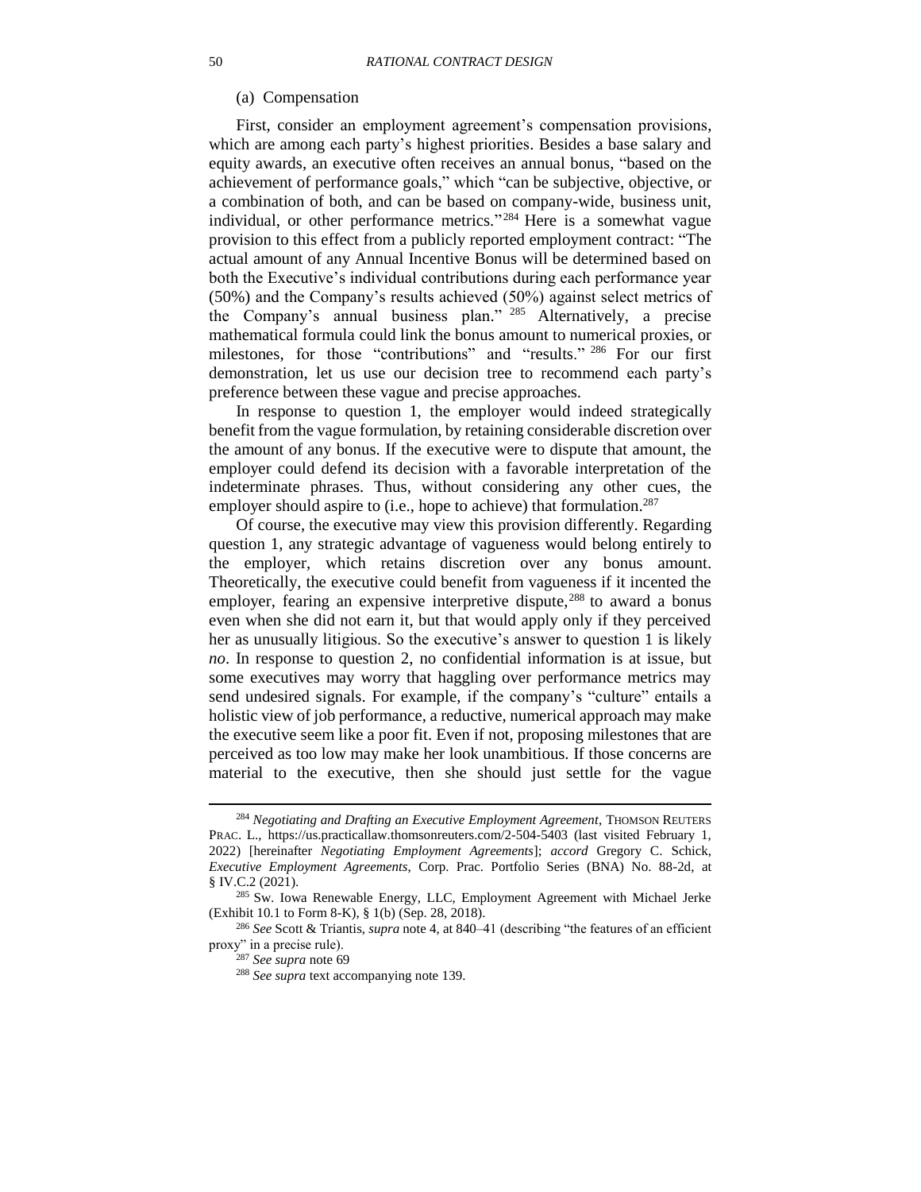#### <span id="page-49-0"></span>(a) Compensation

First, consider an employment agreement's compensation provisions, which are among each party's highest priorities. Besides a base salary and equity awards, an executive often receives an annual bonus, "based on the achievement of performance goals," which "can be subjective, objective, or a combination of both, and can be based on company-wide, business unit, individual, or other performance metrics."<sup>284</sup> Here is a somewhat vague provision to this effect from a publicly reported employment contract: "The actual amount of any Annual Incentive Bonus will be determined based on both the Executive's individual contributions during each performance year (50%) and the Company's results achieved (50%) against select metrics of the Company's annual business plan." <sup>285</sup> Alternatively, a precise mathematical formula could link the bonus amount to numerical proxies, or milestones, for those "contributions" and "results." <sup>286</sup> For our first demonstration, let us use our decision tree to recommend each party's preference between these vague and precise approaches.

In response to question 1, the employer would indeed strategically benefit from the vague formulation, by retaining considerable discretion over the amount of any bonus. If the executive were to dispute that amount, the employer could defend its decision with a favorable interpretation of the indeterminate phrases. Thus, without considering any other cues, the employer should aspire to (i.e., hope to achieve) that formulation. $287$ 

Of course, the executive may view this provision differently. Regarding question 1, any strategic advantage of vagueness would belong entirely to the employer, which retains discretion over any bonus amount. Theoretically, the executive could benefit from vagueness if it incented the employer, fearing an expensive interpretive dispute,<sup>288</sup> to award a bonus even when she did not earn it, but that would apply only if they perceived her as unusually litigious. So the executive's answer to question 1 is likely *no*. In response to question 2, no confidential information is at issue, but some executives may worry that haggling over performance metrics may send undesired signals. For example, if the company's "culture" entails a holistic view of job performance, a reductive, numerical approach may make the executive seem like a poor fit. Even if not, proposing milestones that are perceived as too low may make her look unambitious. If those concerns are material to the executive, then she should just settle for the vague

<sup>&</sup>lt;sup>284</sup> Negotiating and Drafting an Executive Employment Agreement, THOMSON REUTERS PRAC. L., https://us.practicallaw.thomsonreuters.com/2-504-5403 (last visited February 1, 2022) [hereinafter *Negotiating Employment Agreements*]; *accord* Gregory C. Schick, *Executive Employment Agreements*, Corp. Prac. Portfolio Series (BNA) No. 88-2d, at § IV.C.2 (2021).

<sup>&</sup>lt;sup>285</sup> Sw. Iowa Renewable Energy, LLC, Employment Agreement with Michael Jerke (Exhibit 10.1 to Form 8-K), § 1(b) (Sep. 28, 2018).

<sup>286</sup> *See* Scott & Triantis, *supra* note [4,](#page-2-1) at 840–41 (describing "the features of an efficient proxy" in a precise rule).

<sup>287</sup> *See supra* note [69](#page-15-1)

<sup>288</sup> *See supra* text accompanying note [139.](#page-28-2)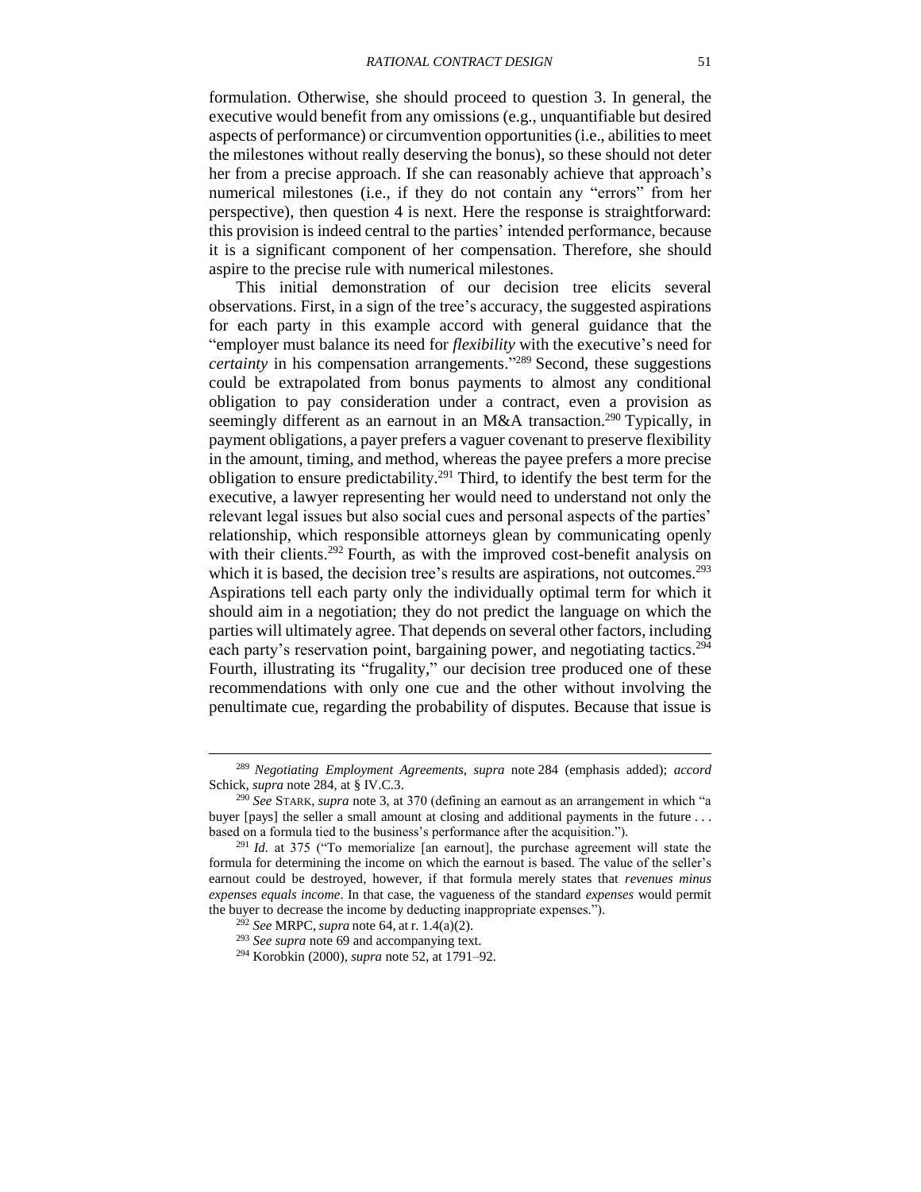formulation. Otherwise, she should proceed to question 3. In general, the executive would benefit from any omissions (e.g., unquantifiable but desired aspects of performance) or circumvention opportunities(i.e., abilities to meet the milestones without really deserving the bonus), so these should not deter her from a precise approach. If she can reasonably achieve that approach's numerical milestones (i.e., if they do not contain any "errors" from her perspective), then question 4 is next. Here the response is straightforward: this provision is indeed central to the parties' intended performance, because it is a significant component of her compensation. Therefore, she should aspire to the precise rule with numerical milestones.

This initial demonstration of our decision tree elicits several observations. First, in a sign of the tree's accuracy, the suggested aspirations for each party in this example accord with general guidance that the "employer must balance its need for *flexibility* with the executive's need for *certainty* in his compensation arrangements." <sup>289</sup> Second, these suggestions could be extrapolated from bonus payments to almost any conditional obligation to pay consideration under a contract, even a provision as seemingly different as an earnout in an M&A transaction.<sup>290</sup> Typically, in payment obligations, a payer prefers a vaguer covenant to preserve flexibility in the amount, timing, and method, whereas the payee prefers a more precise obligation to ensure predictability.<sup>291</sup> Third, to identify the best term for the executive, a lawyer representing her would need to understand not only the relevant legal issues but also social cues and personal aspects of the parties' relationship, which responsible attorneys glean by communicating openly with their clients.<sup>292</sup> Fourth, as with the improved cost-benefit analysis on which it is based, the decision tree's results are aspirations, not outcomes.<sup>293</sup> Aspirations tell each party only the individually optimal term for which it should aim in a negotiation; they do not predict the language on which the parties will ultimately agree. That depends on several other factors, including each party's reservation point, bargaining power, and negotiating tactics.<sup>294</sup> Fourth, illustrating its "frugality," our decision tree produced one of these recommendations with only one cue and the other without involving the penultimate cue, regarding the probability of disputes. Because that issue is

<sup>289</sup> *Negotiating Employment Agreements*, *supra* note [284](#page-49-0) (emphasis added); *accord*  Schick, *supra* note [284,](#page-49-0) at § IV.C.3.

<sup>290</sup> *See* STARK, *supra* note [3,](#page-2-0) at 370 (defining an earnout as an arrangement in which "a buyer [pays] the seller a small amount at closing and additional payments in the future . . . based on a formula tied to the business's performance after the acquisition.").

<sup>291</sup> *Id.* at 375 ("To memorialize [an earnout], the purchase agreement will state the formula for determining the income on which the earnout is based. The value of the seller's earnout could be destroyed, however, if that formula merely states that *revenues minus expenses equals income*. In that case, the vagueness of the standard *expenses* would permit the buyer to decrease the income by deducting inappropriate expenses.").

<sup>292</sup> *See* MRPC, *supra* note [64,](#page-13-1) at r. 1.4(a)(2).

<sup>293</sup> *See supra* note [69](#page-15-1) and accompanying text.

<sup>294</sup> Korobkin (2000), *supra* note [52,](#page-12-0) at 1791–92.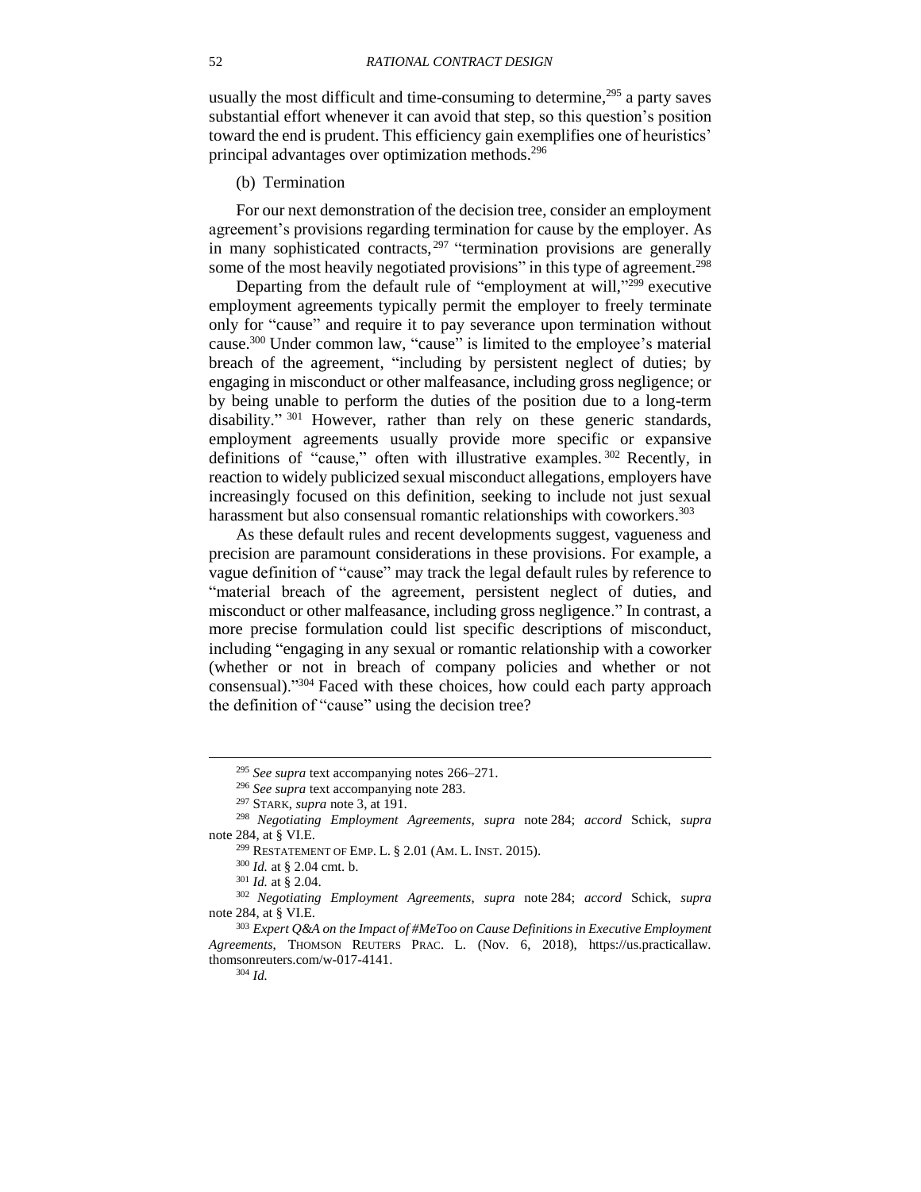usually the most difficult and time-consuming to determine,  $295$  a party saves substantial effort whenever it can avoid that step, so this question's position toward the end is prudent. This efficiency gain exemplifies one of heuristics' principal advantages over optimization methods.<sup>296</sup>

(b) Termination

For our next demonstration of the decision tree, consider an employment agreement's provisions regarding termination for cause by the employer. As in many sophisticated contracts,<sup>297</sup> "termination provisions are generally some of the most heavily negotiated provisions" in this type of agreement.<sup>298</sup>

Departing from the default rule of "employment at will,"<sup>299</sup> executive employment agreements typically permit the employer to freely terminate only for "cause" and require it to pay severance upon termination without cause.<sup>300</sup> Under common law, "cause" is limited to the employee's material breach of the agreement, "including by persistent neglect of duties; by engaging in misconduct or other malfeasance, including gross negligence; or by being unable to perform the duties of the position due to a long-term disability."<sup>301</sup> However, rather than rely on these generic standards, employment agreements usually provide more specific or expansive definitions of "cause," often with illustrative examples.<sup>302</sup> Recently, in reaction to widely publicized sexual misconduct allegations, employers have increasingly focused on this definition, seeking to include not just sexual harassment but also consensual romantic relationships with coworkers.<sup>303</sup>

<span id="page-51-0"></span>As these default rules and recent developments suggest, vagueness and precision are paramount considerations in these provisions. For example, a vague definition of "cause" may track the legal default rules by reference to "material breach of the agreement, persistent neglect of duties, and misconduct or other malfeasance, including gross negligence." In contrast, a more precise formulation could list specific descriptions of misconduct, including "engaging in any sexual or romantic relationship with a coworker (whether or not in breach of company policies and whether or not consensual)."<sup>304</sup> Faced with these choices, how could each party approach the definition of "cause" using the decision tree?

<sup>295</sup> *See supra* text accompanying notes [266](#page-45-0)[–271.](#page-45-1)

<sup>296</sup> *See supra* text accompanying note [283.](#page-48-1)

<sup>297</sup> STARK, *supra* note [3,](#page-2-0) at 191.

<sup>298</sup> *Negotiating Employment Agreements*, *supra* note [284;](#page-49-0) *accord* Schick, *supra*  note [284,](#page-49-0) at § VI.E.

<sup>299</sup> RESTATEMENT OF EMP. L. § 2.01 (AM. L. INST. 2015).

<sup>300</sup> *Id.* at § 2.04 cmt. b.

<sup>301</sup> *Id.* at § 2.04.

<sup>302</sup> *Negotiating Employment Agreements*, *supra* note [284;](#page-49-0) *accord* Schick, *supra*  note [284,](#page-49-0) at § VI.E.

<sup>303</sup> *Expert Q&A on the Impact of #MeToo on Cause Definitions in Executive Employment Agreements*, THOMSON REUTERS PRAC. L. (Nov. 6, 2018), https://us.practicallaw. thomsonreuters.com/w-017-4141. <sup>304</sup> *Id.*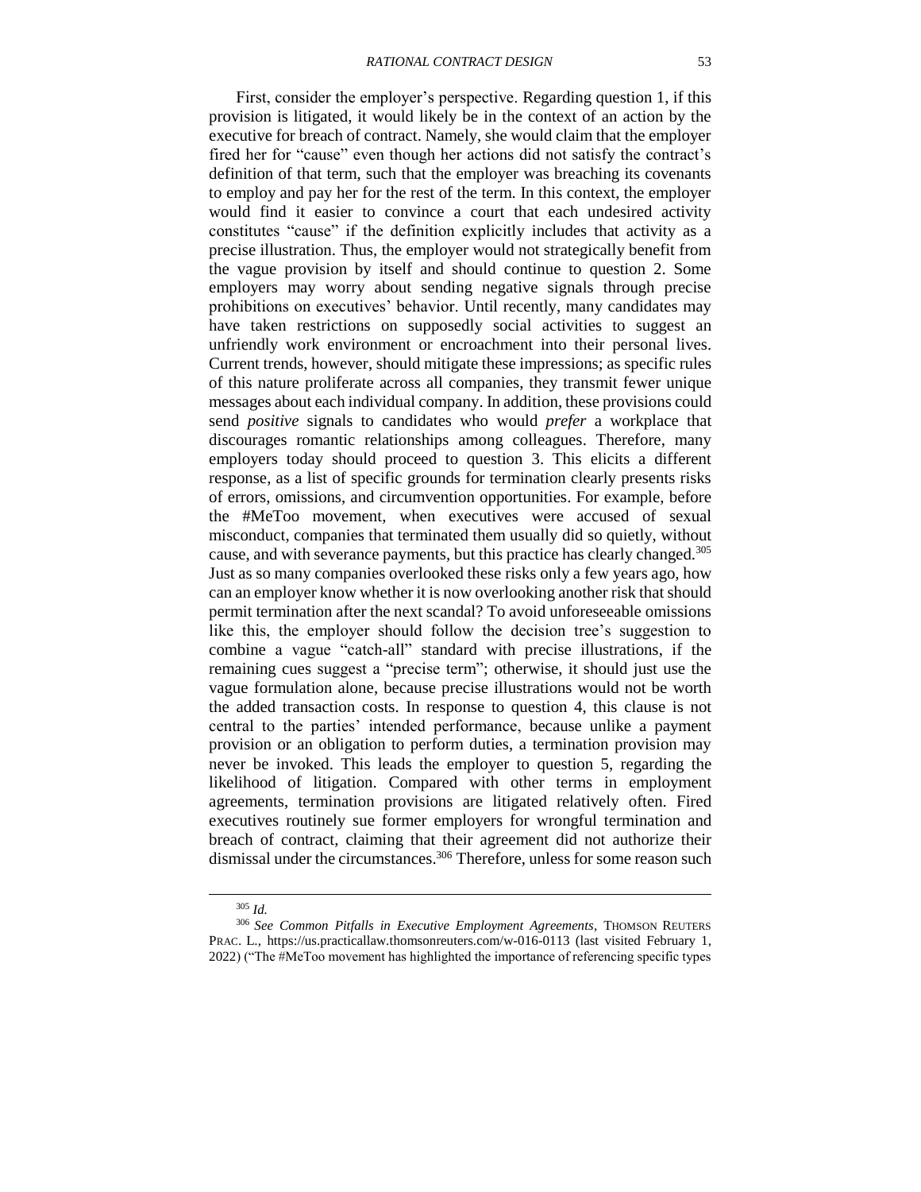First, consider the employer's perspective. Regarding question 1, if this provision is litigated, it would likely be in the context of an action by the executive for breach of contract. Namely, she would claim that the employer fired her for "cause" even though her actions did not satisfy the contract's definition of that term, such that the employer was breaching its covenants to employ and pay her for the rest of the term. In this context, the employer would find it easier to convince a court that each undesired activity constitutes "cause" if the definition explicitly includes that activity as a precise illustration. Thus, the employer would not strategically benefit from the vague provision by itself and should continue to question 2. Some employers may worry about sending negative signals through precise prohibitions on executives' behavior. Until recently, many candidates may have taken restrictions on supposedly social activities to suggest an unfriendly work environment or encroachment into their personal lives. Current trends, however, should mitigate these impressions; as specific rules of this nature proliferate across all companies, they transmit fewer unique messages about each individual company. In addition, these provisions could send *positive* signals to candidates who would *prefer* a workplace that discourages romantic relationships among colleagues. Therefore, many employers today should proceed to question 3. This elicits a different response, as a list of specific grounds for termination clearly presents risks of errors, omissions, and circumvention opportunities. For example, before the #MeToo movement, when executives were accused of sexual misconduct, companies that terminated them usually did so quietly, without cause, and with severance payments, but this practice has clearly changed.<sup>305</sup> Just as so many companies overlooked these risks only a few years ago, how can an employer know whether it is now overlooking another risk that should permit termination after the next scandal? To avoid unforeseeable omissions like this, the employer should follow the decision tree's suggestion to combine a vague "catch-all" standard with precise illustrations, if the remaining cues suggest a "precise term"; otherwise, it should just use the vague formulation alone, because precise illustrations would not be worth the added transaction costs. In response to question 4, this clause is not central to the parties' intended performance, because unlike a payment provision or an obligation to perform duties, a termination provision may never be invoked. This leads the employer to question 5, regarding the likelihood of litigation. Compared with other terms in employment agreements, termination provisions are litigated relatively often. Fired executives routinely sue former employers for wrongful termination and breach of contract, claiming that their agreement did not authorize their dismissal under the circumstances. <sup>306</sup> Therefore, unless for some reason such

<sup>305</sup> *Id.*

<sup>306</sup> *See Common Pitfalls in Executive Employment Agreements*, THOMSON REUTERS PRAC. L., https://us.practicallaw.thomsonreuters.com/w-016-0113 (last visited February 1, 2022) ("The #MeToo movement has highlighted the importance of referencing specific types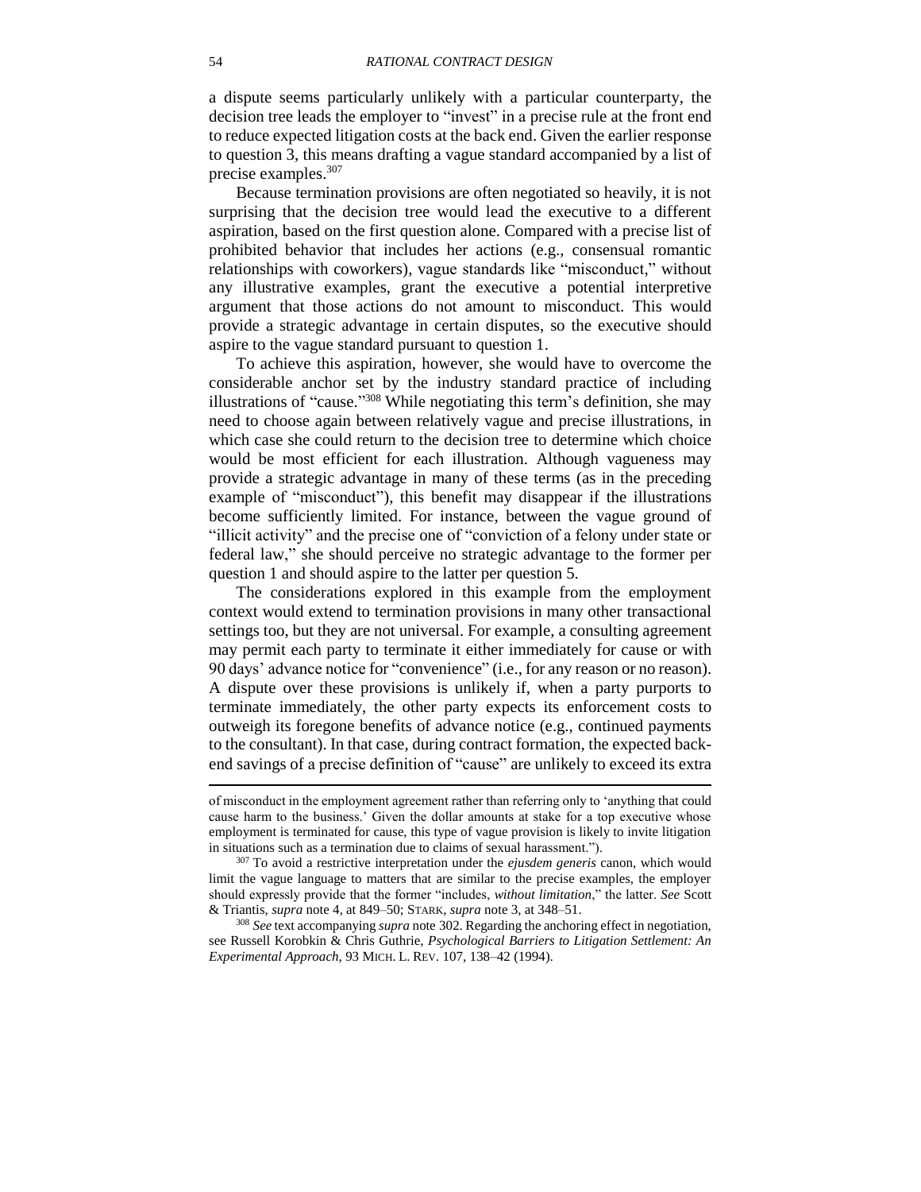a dispute seems particularly unlikely with a particular counterparty, the decision tree leads the employer to "invest" in a precise rule at the front end to reduce expected litigation costs at the back end. Given the earlier response to question 3, this means drafting a vague standard accompanied by a list of precise examples. 307

Because termination provisions are often negotiated so heavily, it is not surprising that the decision tree would lead the executive to a different aspiration, based on the first question alone. Compared with a precise list of prohibited behavior that includes her actions (e.g., consensual romantic relationships with coworkers), vague standards like "misconduct," without any illustrative examples, grant the executive a potential interpretive argument that those actions do not amount to misconduct. This would provide a strategic advantage in certain disputes, so the executive should aspire to the vague standard pursuant to question 1.

To achieve this aspiration, however, she would have to overcome the considerable anchor set by the industry standard practice of including illustrations of "cause."<sup>308</sup> While negotiating this term's definition, she may need to choose again between relatively vague and precise illustrations, in which case she could return to the decision tree to determine which choice would be most efficient for each illustration. Although vagueness may provide a strategic advantage in many of these terms (as in the preceding example of "misconduct"), this benefit may disappear if the illustrations become sufficiently limited. For instance, between the vague ground of "illicit activity" and the precise one of "conviction of a felony under state or federal law," she should perceive no strategic advantage to the former per question 1 and should aspire to the latter per question 5.

The considerations explored in this example from the employment context would extend to termination provisions in many other transactional settings too, but they are not universal. For example, a consulting agreement may permit each party to terminate it either immediately for cause or with 90 days' advance notice for "convenience" (i.e., for any reason or no reason). A dispute over these provisions is unlikely if, when a party purports to terminate immediately, the other party expects its enforcement costs to outweigh its foregone benefits of advance notice (e.g., continued payments to the consultant). In that case, during contract formation, the expected backend savings of a precise definition of "cause" are unlikely to exceed its extra

of misconduct in the employment agreement rather than referring only to 'anything that could cause harm to the business.' Given the dollar amounts at stake for a top executive whose employment is terminated for cause, this type of vague provision is likely to invite litigation in situations such as a termination due to claims of sexual harassment.").

<sup>307</sup> To avoid a restrictive interpretation under the *ejusdem generis* canon, which would limit the vague language to matters that are similar to the precise examples, the employer should expressly provide that the former "includes, *without limitation*," the latter. *See* Scott & Triantis, *supra* note [4,](#page-2-1) at 849–50; STARK, *supra* note [3,](#page-2-0) at 348–51.

<sup>308</sup> *See* text accompanying *supra* note [302.](#page-51-0) Regarding the anchoring effect in negotiation, see Russell Korobkin & Chris Guthrie, *Psychological Barriers to Litigation Settlement: An Experimental Approach*, 93 MICH. L. REV. 107, 138–42 (1994).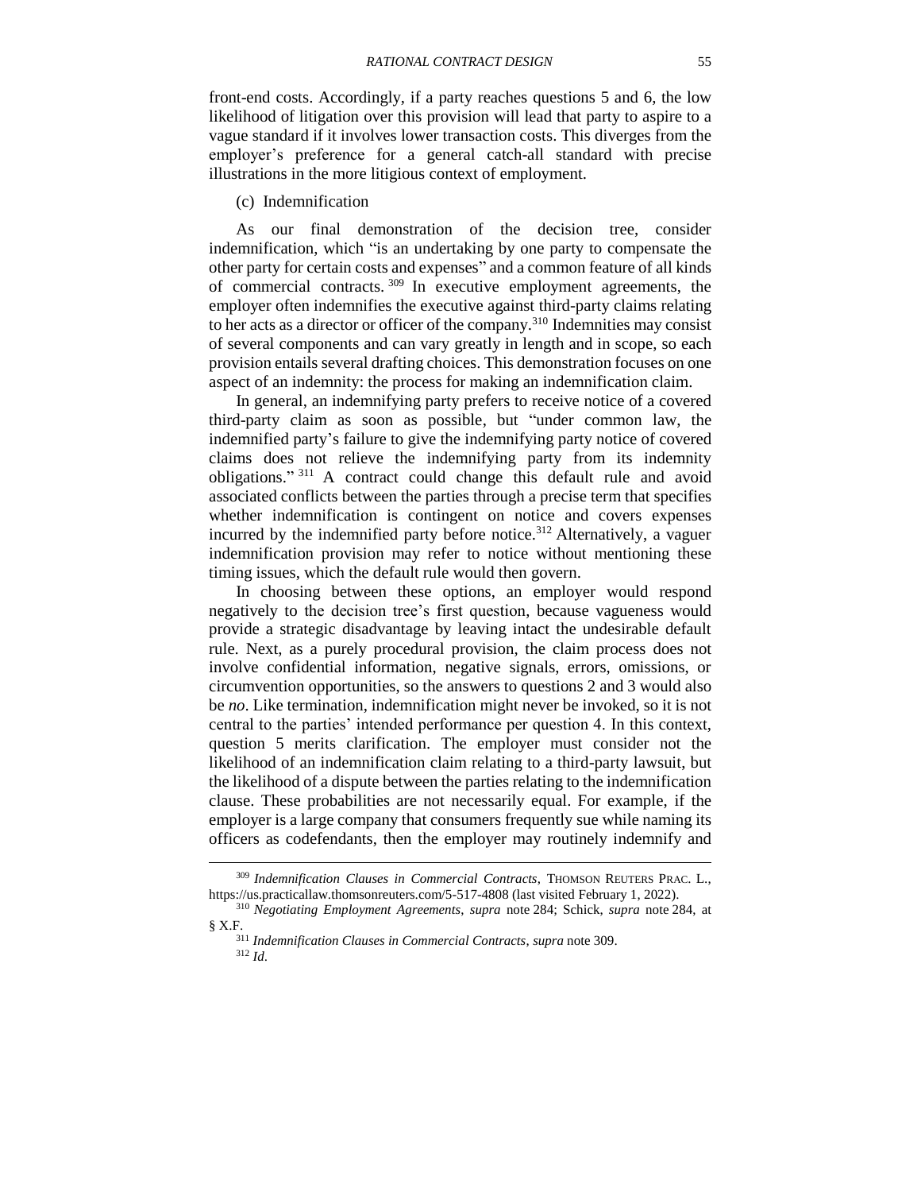front-end costs. Accordingly, if a party reaches questions 5 and 6, the low likelihood of litigation over this provision will lead that party to aspire to a vague standard if it involves lower transaction costs. This diverges from the employer's preference for a general catch-all standard with precise illustrations in the more litigious context of employment.

<span id="page-54-0"></span>(c) Indemnification

As our final demonstration of the decision tree, consider indemnification, which "is an undertaking by one party to compensate the other party for certain costs and expenses" and a common feature of all kinds of commercial contracts. <sup>309</sup> In executive employment agreements, the employer often indemnifies the executive against third-party claims relating to her acts as a director or officer of the company.<sup>310</sup> Indemnities may consist of several components and can vary greatly in length and in scope, so each provision entails several drafting choices. This demonstration focuses on one aspect of an indemnity: the process for making an indemnification claim.

In general, an indemnifying party prefers to receive notice of a covered third-party claim as soon as possible, but "under common law, the indemnified party's failure to give the indemnifying party notice of covered claims does not relieve the indemnifying party from its indemnity obligations." <sup>311</sup> A contract could change this default rule and avoid associated conflicts between the parties through a precise term that specifies whether indemnification is contingent on notice and covers expenses incurred by the indemnified party before notice.<sup>312</sup> Alternatively, a vaguer indemnification provision may refer to notice without mentioning these timing issues, which the default rule would then govern.

In choosing between these options, an employer would respond negatively to the decision tree's first question, because vagueness would provide a strategic disadvantage by leaving intact the undesirable default rule. Next, as a purely procedural provision, the claim process does not involve confidential information, negative signals, errors, omissions, or circumvention opportunities, so the answers to questions 2 and 3 would also be *no*. Like termination, indemnification might never be invoked, so it is not central to the parties' intended performance per question 4. In this context, question 5 merits clarification. The employer must consider not the likelihood of an indemnification claim relating to a third-party lawsuit, but the likelihood of a dispute between the parties relating to the indemnification clause. These probabilities are not necessarily equal. For example, if the employer is a large company that consumers frequently sue while naming its officers as codefendants, then the employer may routinely indemnify and

<sup>309</sup> *Indemnification Clauses in Commercial Contracts*, THOMSON REUTERS PRAC. L., https://us.practicallaw.thomsonreuters.com/5-517-4808 (last visited February 1, 2022).

<sup>310</sup> *Negotiating Employment Agreements*, *supra* note [284;](#page-49-0) Schick, *supra* note [284,](#page-49-0) at § X.F.

<sup>311</sup> *Indemnification Clauses in Commercial Contracts*, *supra* note [309.](#page-54-0)

<sup>312</sup> *Id*.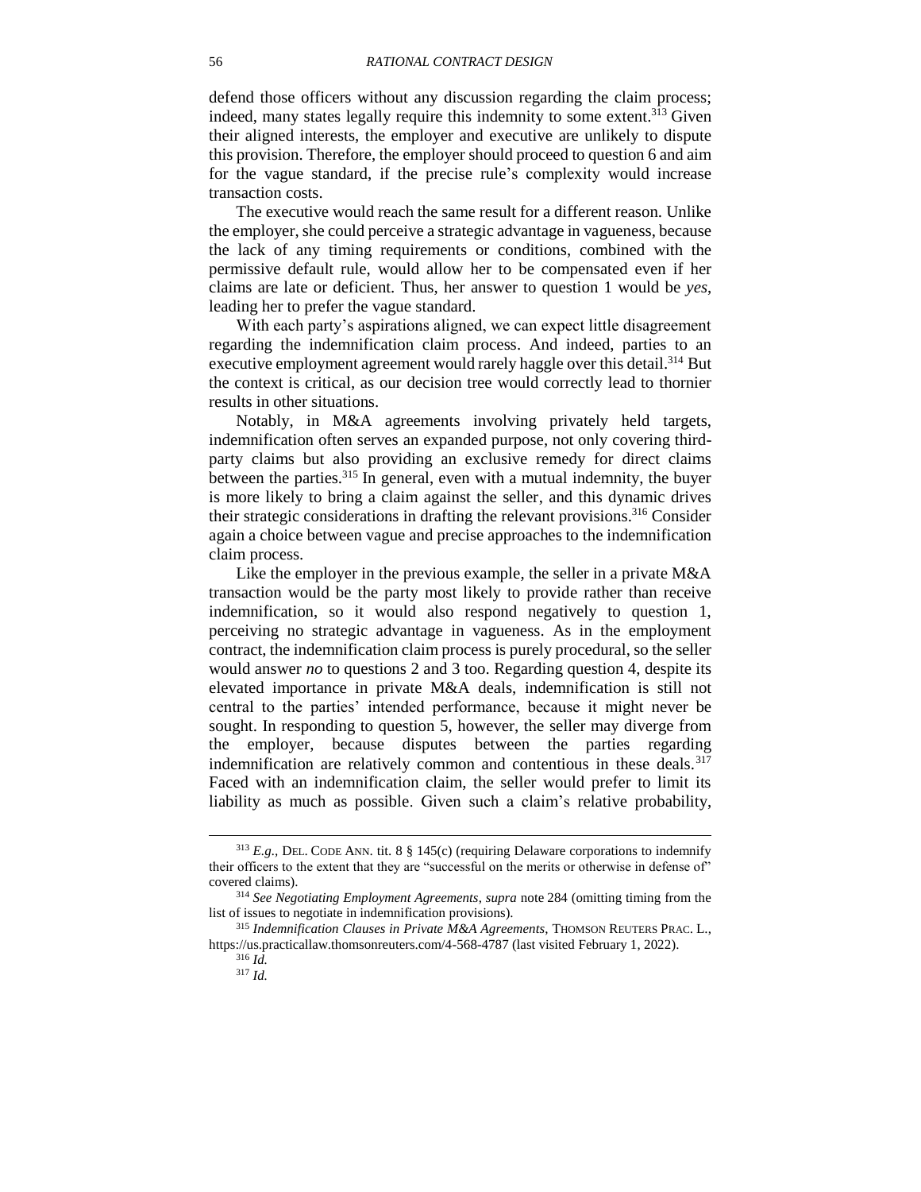defend those officers without any discussion regarding the claim process; indeed, many states legally require this indemnity to some extent.<sup>313</sup> Given their aligned interests, the employer and executive are unlikely to dispute this provision. Therefore, the employer should proceed to question 6 and aim for the vague standard, if the precise rule's complexity would increase transaction costs.

The executive would reach the same result for a different reason. Unlike the employer, she could perceive a strategic advantage in vagueness, because the lack of any timing requirements or conditions, combined with the permissive default rule, would allow her to be compensated even if her claims are late or deficient. Thus, her answer to question 1 would be *yes*, leading her to prefer the vague standard.

With each party's aspirations aligned, we can expect little disagreement regarding the indemnification claim process. And indeed, parties to an executive employment agreement would rarely haggle over this detail.<sup>314</sup> But the context is critical, as our decision tree would correctly lead to thornier results in other situations.

Notably, in M&A agreements involving privately held targets, indemnification often serves an expanded purpose, not only covering thirdparty claims but also providing an exclusive remedy for direct claims between the parties.<sup>315</sup> In general, even with a mutual indemnity, the buyer is more likely to bring a claim against the seller, and this dynamic drives their strategic considerations in drafting the relevant provisions. <sup>316</sup> Consider again a choice between vague and precise approaches to the indemnification claim process.

Like the employer in the previous example, the seller in a private M&A transaction would be the party most likely to provide rather than receive indemnification, so it would also respond negatively to question 1, perceiving no strategic advantage in vagueness. As in the employment contract, the indemnification claim process is purely procedural, so the seller would answer *no* to questions 2 and 3 too. Regarding question 4, despite its elevated importance in private M&A deals, indemnification is still not central to the parties' intended performance, because it might never be sought. In responding to question 5, however, the seller may diverge from the employer, because disputes between the parties regarding indemnification are relatively common and contentious in these deals.<sup>317</sup> Faced with an indemnification claim, the seller would prefer to limit its liability as much as possible. Given such a claim's relative probability,

 $313$  *E.g.*, DEL. CODE ANN. tit. 8  $\S$  145(c) (requiring Delaware corporations to indemnify their officers to the extent that they are "successful on the merits or otherwise in defense of" covered claims).

<sup>314</sup> *See Negotiating Employment Agreements*, *supra* note [284](#page-49-0) (omitting timing from the list of issues to negotiate in indemnification provisions).

<sup>315</sup> *Indemnification Clauses in Private M&A Agreements*, THOMSON REUTERS PRAC. L., https://us.practicallaw.thomsonreuters.com/4-568-4787 (last visited February 1, 2022).

<sup>316</sup> *Id.* <sup>317</sup> *Id.*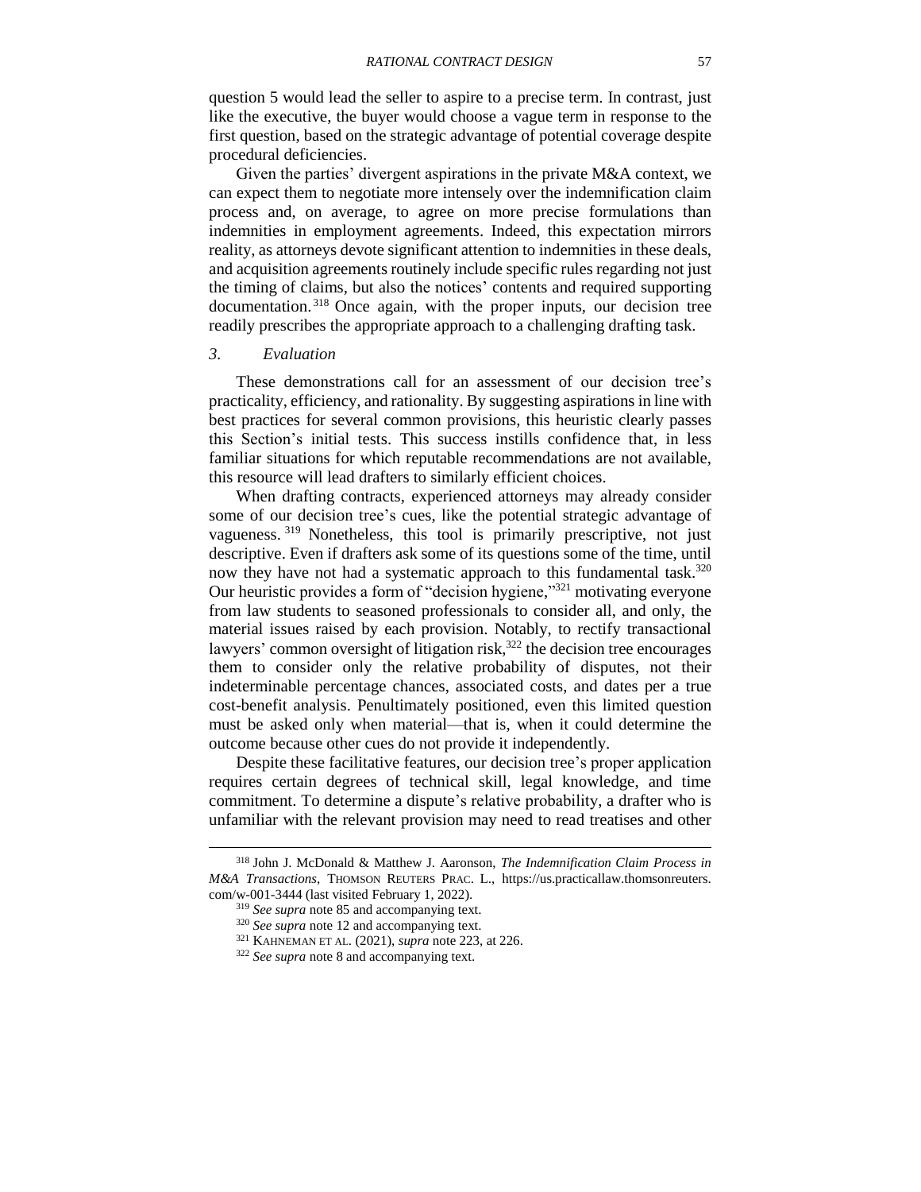question 5 would lead the seller to aspire to a precise term. In contrast, just like the executive, the buyer would choose a vague term in response to the first question, based on the strategic advantage of potential coverage despite procedural deficiencies.

Given the parties' divergent aspirations in the private M&A context, we can expect them to negotiate more intensely over the indemnification claim process and, on average, to agree on more precise formulations than indemnities in employment agreements. Indeed, this expectation mirrors reality, as attorneys devote significant attention to indemnities in these deals, and acquisition agreements routinely include specific rules regarding not just the timing of claims, but also the notices' contents and required supporting documentation.<sup>318</sup> Once again, with the proper inputs, our decision tree readily prescribes the appropriate approach to a challenging drafting task.

#### <span id="page-56-0"></span>*3. Evaluation*

 $\overline{a}$ 

These demonstrations call for an assessment of our decision tree's practicality, efficiency, and rationality. By suggesting aspirations in line with best practices for several common provisions, this heuristic clearly passes this Section's initial tests. This success instills confidence that, in less familiar situations for which reputable recommendations are not available, this resource will lead drafters to similarly efficient choices.

When drafting contracts, experienced attorneys may already consider some of our decision tree's cues, like the potential strategic advantage of vagueness.<sup>319</sup> Nonetheless, this tool is primarily prescriptive, not just descriptive. Even if drafters ask some of its questions some of the time, until now they have not had a systematic approach to this fundamental task.<sup>320</sup> Our heuristic provides a form of "decision hygiene,"<sup>321</sup> motivating everyone from law students to seasoned professionals to consider all, and only, the material issues raised by each provision. Notably, to rectify transactional lawyers' common oversight of litigation risk,<sup>322</sup> the decision tree encourages them to consider only the relative probability of disputes, not their indeterminable percentage chances, associated costs, and dates per a true cost-benefit analysis. Penultimately positioned, even this limited question must be asked only when material—that is, when it could determine the outcome because other cues do not provide it independently.

Despite these facilitative features, our decision tree's proper application requires certain degrees of technical skill, legal knowledge, and time commitment. To determine a dispute's relative probability, a drafter who is unfamiliar with the relevant provision may need to read treatises and other

<sup>318</sup> John J. McDonald & Matthew J. Aaronson, *The Indemnification Claim Process in M&A Transactions*, THOMSON REUTERS PRAC. L., https://us.practicallaw.thomsonreuters. com/w-001-3444 (last visited February 1, 2022).

<sup>319</sup> *See supra* note [85](#page-18-1) and accompanying text.

<sup>320</sup> *See supra* note [12](#page-3-2) and accompanying text.

<sup>321</sup> KAHNEMAN ET AL. (2021), *supra* note [223,](#page-39-3) at 226.

<sup>322</sup> *See supra* note [8](#page-2-2) and accompanying text.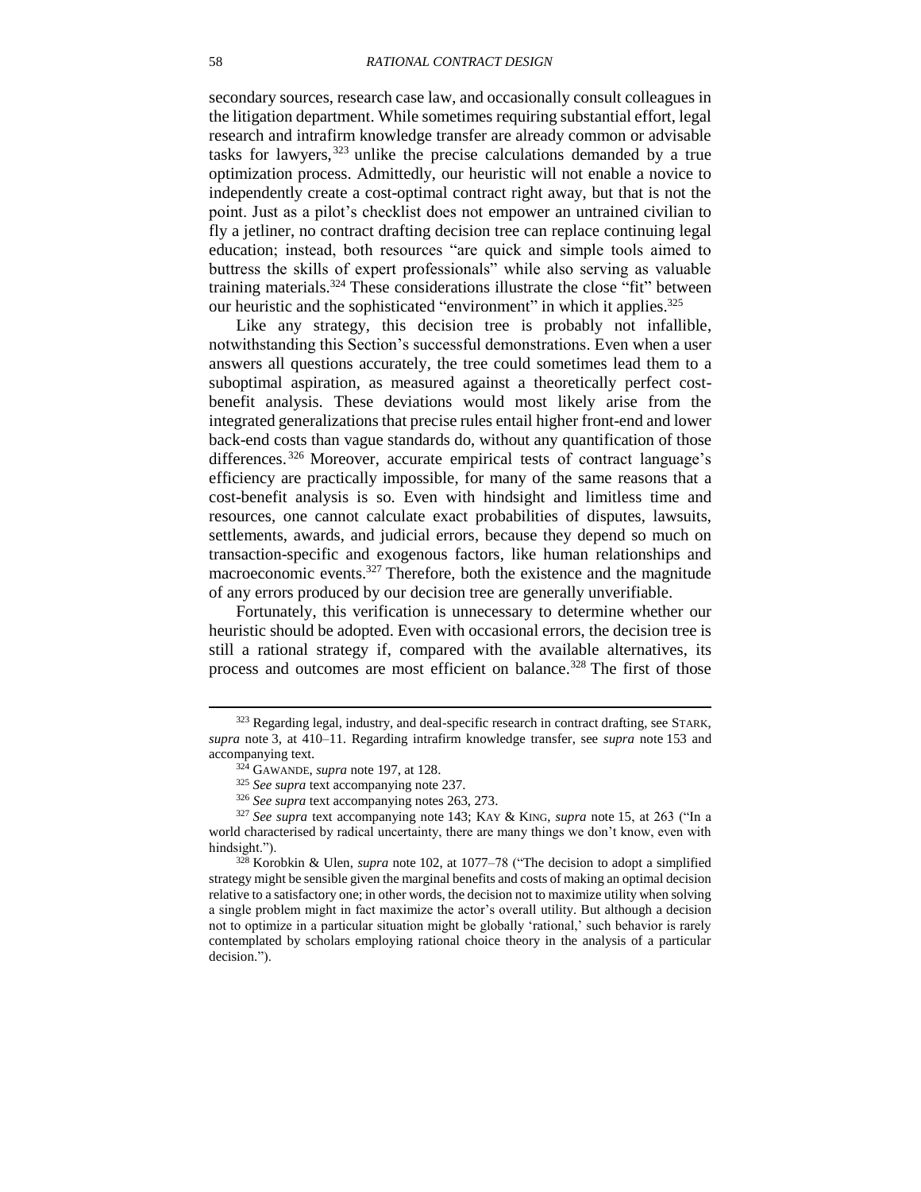secondary sources, research case law, and occasionally consult colleagues in the litigation department. While sometimes requiring substantial effort, legal research and intrafirm knowledge transfer are already common or advisable tasks for lawyers, <sup>323</sup> unlike the precise calculations demanded by a true optimization process. Admittedly, our heuristic will not enable a novice to independently create a cost-optimal contract right away, but that is not the point. Just as a pilot's checklist does not empower an untrained civilian to fly a jetliner, no contract drafting decision tree can replace continuing legal education; instead, both resources "are quick and simple tools aimed to buttress the skills of expert professionals" while also serving as valuable training materials.<sup>324</sup> These considerations illustrate the close "fit" between our heuristic and the sophisticated "environment" in which it applies.<sup>325</sup>

Like any strategy, this decision tree is probably not infallible, notwithstanding this Section's successful demonstrations. Even when a user answers all questions accurately, the tree could sometimes lead them to a suboptimal aspiration, as measured against a theoretically perfect costbenefit analysis. These deviations would most likely arise from the integrated generalizations that precise rules entail higher front-end and lower back-end costs than vague standards do, without any quantification of those differences. <sup>326</sup> Moreover, accurate empirical tests of contract language's efficiency are practically impossible, for many of the same reasons that a cost-benefit analysis is so. Even with hindsight and limitless time and resources, one cannot calculate exact probabilities of disputes, lawsuits, settlements, awards, and judicial errors, because they depend so much on transaction-specific and exogenous factors, like human relationships and macroeconomic events. <sup>327</sup> Therefore, both the existence and the magnitude of any errors produced by our decision tree are generally unverifiable.

Fortunately, this verification is unnecessary to determine whether our heuristic should be adopted. Even with occasional errors, the decision tree is still a rational strategy if, compared with the available alternatives, its process and outcomes are most efficient on balance. <sup>328</sup> The first of those

<sup>&</sup>lt;sup>323</sup> Regarding legal, industry, and deal-specific research in contract drafting, see STARK, *supra* note [3,](#page-2-0) at 410–11. Regarding intrafirm knowledge transfer, see *supra* note [153](#page-30-2) and accompanying text.

<sup>324</sup> GAWANDE, *supra* note [197,](#page-36-1) at 128.

<sup>325</sup> *See supra* text accompanying note [237.](#page-41-1)

<sup>326</sup> *See supra* text accompanying notes [263,](#page-44-0) [273.](#page-46-0)

<sup>327</sup> *See supra* text accompanying note [143;](#page-29-5) KAY & KING, *supra* note [15,](#page-5-0) at 263 ("In a world characterised by radical uncertainty, there are many things we don't know, even with hindsight.").

<sup>328</sup> Korobkin & Ulen, *supra* note [102,](#page-22-2) at 1077–78 ("The decision to adopt a simplified strategy might be sensible given the marginal benefits and costs of making an optimal decision relative to a satisfactory one; in other words, the decision not to maximize utility when solving a single problem might in fact maximize the actor's overall utility. But although a decision not to optimize in a particular situation might be globally 'rational,' such behavior is rarely contemplated by scholars employing rational choice theory in the analysis of a particular decision.").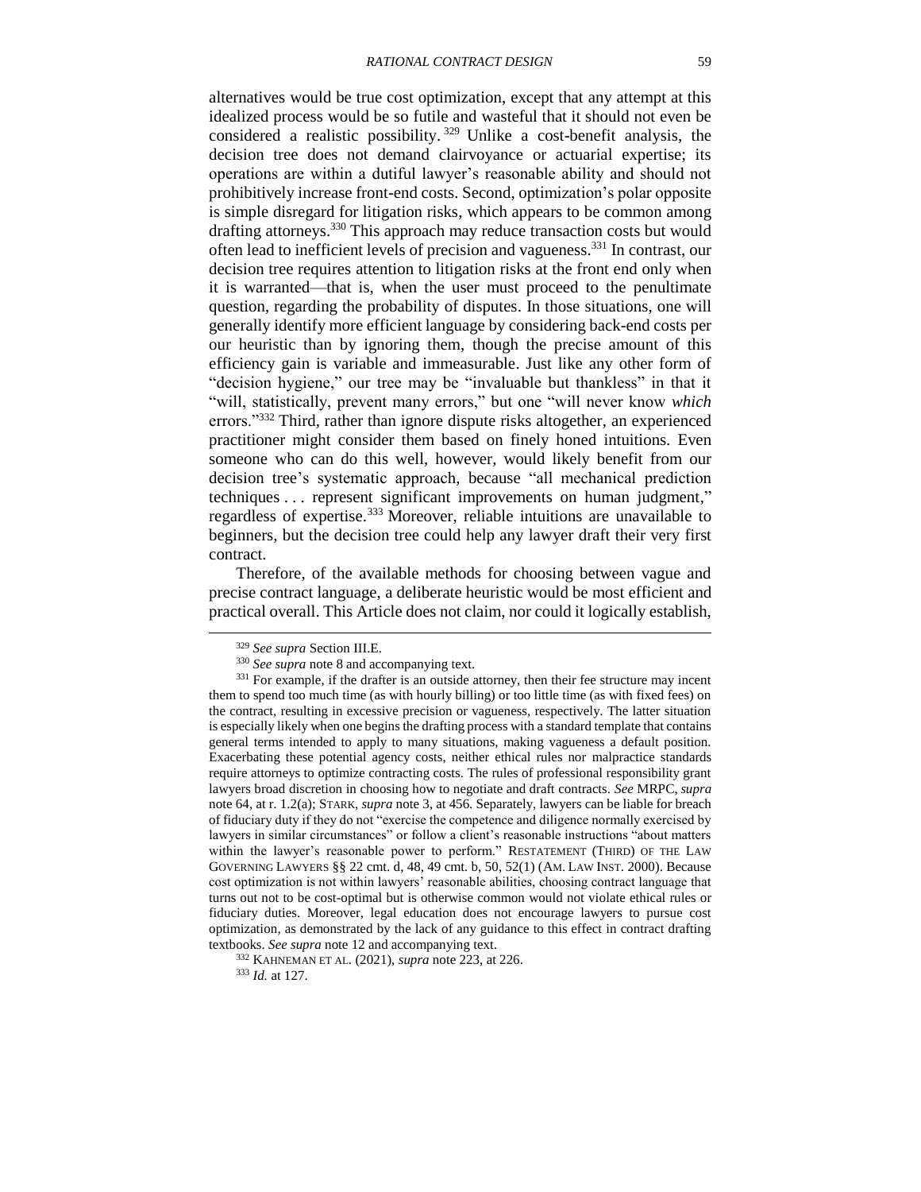alternatives would be true cost optimization, except that any attempt at this idealized process would be so futile and wasteful that it should not even be considered a realistic possibility. <sup>329</sup> Unlike a cost-benefit analysis, the decision tree does not demand clairvoyance or actuarial expertise; its operations are within a dutiful lawyer's reasonable ability and should not prohibitively increase front-end costs. Second, optimization's polar opposite is simple disregard for litigation risks, which appears to be common among drafting attorneys.<sup>330</sup> This approach may reduce transaction costs but would often lead to inefficient levels of precision and vagueness.<sup>331</sup> In contrast, our decision tree requires attention to litigation risks at the front end only when it is warranted—that is, when the user must proceed to the penultimate question, regarding the probability of disputes. In those situations, one will generally identify more efficient language by considering back-end costs per our heuristic than by ignoring them, though the precise amount of this efficiency gain is variable and immeasurable. Just like any other form of "decision hygiene," our tree may be "invaluable but thankless" in that it "will, statistically, prevent many errors," but one "will never know *which*  errors."<sup>332</sup> Third, rather than ignore dispute risks altogether, an experienced practitioner might consider them based on finely honed intuitions. Even someone who can do this well, however, would likely benefit from our decision tree's systematic approach, because "all mechanical prediction techniques . . . represent significant improvements on human judgment," regardless of expertise.<sup>333</sup> Moreover, reliable intuitions are unavailable to beginners, but the decision tree could help any lawyer draft their very first contract.

Therefore, of the available methods for choosing between vague and precise contract language, a deliberate heuristic would be most efficient and practical overall. This Article does not claim, nor could it logically establish,

l

<sup>332</sup> KAHNEMAN ET AL. (2021), *supra* note [223,](#page-39-3) at 226. <sup>333</sup> *Id.* at 127.

<sup>329</sup> *See supra* Section [III.E.](#page-36-0)

<sup>&</sup>lt;sup>330</sup> *See supra* note [8](#page-2-2) and accompanying text.

<sup>&</sup>lt;sup>331</sup> For example, if the drafter is an outside attorney, then their fee structure may incent them to spend too much time (as with hourly billing) or too little time (as with fixed fees) on the contract, resulting in excessive precision or vagueness, respectively. The latter situation is especially likely when one begins the drafting process with a standard template that contains general terms intended to apply to many situations, making vagueness a default position. Exacerbating these potential agency costs, neither ethical rules nor malpractice standards require attorneys to optimize contracting costs. The rules of professional responsibility grant lawyers broad discretion in choosing how to negotiate and draft contracts. *See* MRPC, *supra*  note [64,](#page-13-1) at r. 1.2(a); STARK, *supra* note [3,](#page-2-0) at 456. Separately, lawyers can be liable for breach of fiduciary duty if they do not "exercise the competence and diligence normally exercised by lawyers in similar circumstances" or follow a client's reasonable instructions "about matters within the lawyer's reasonable power to perform." RESTATEMENT (THIRD) OF THE LAW GOVERNING LAWYERS §§ 22 cmt. d, 48, 49 cmt. b, 50, 52(1) (AM. LAW INST. 2000). Because cost optimization is not within lawyers' reasonable abilities, choosing contract language that turns out not to be cost-optimal but is otherwise common would not violate ethical rules or fiduciary duties. Moreover, legal education does not encourage lawyers to pursue cost optimization, as demonstrated by the lack of any guidance to this effect in contract drafting textbooks. *See supra* note [12](#page-3-2) and accompanying text.